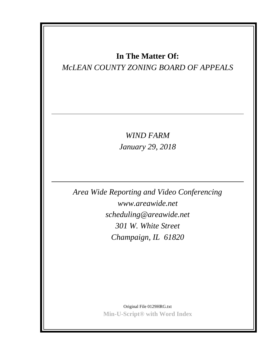## **In The Matter Of:**

## *McLEAN COUNTY ZONING BOARD OF APPEALS*

*WIND FARM January 29, 2018*

*Area Wide Reporting and Video Conferencing www.areawide.net scheduling@areawide.net 301 W. White Street Champaign, IL 61820*

> Original File 0129HRG.txt **Min-U-Script® with Word Index**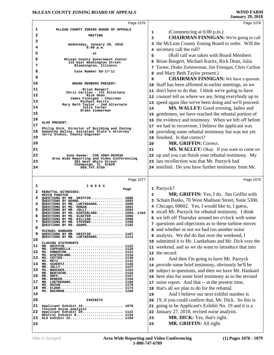|          | Page 1076                                                                                   | Page 1078                                                                       |
|----------|---------------------------------------------------------------------------------------------|---------------------------------------------------------------------------------|
| 1        | MCLEAN COUNTY ZONING BOARD OF APPEALS                                                       |                                                                                 |
| 2        | <b>MEETING</b>                                                                              | (Commencing at 6:00 p.m.)<br>1<br><b>CHAIRMAN FINNIGAN:</b> We're going to call |
| 3        |                                                                                             | $\mathbf{2}$<br>3 the McLean County Zoning Board to order. Will the             |
| 4        | Wednesday, January 29, 2018<br>$6:00$ p.m.                                                  | 4 secretary call the roll?                                                      |
| 5        | at                                                                                          | (Roll call was taken with Board Members<br>5                                    |
| 6        | McLean County Government Center                                                             | Brian Bangert, Michael Kuritz, Rick Dean, Julia<br>6                            |
| 7        | 115 East Washington Street<br>Bloomington, Illinois                                         | 7 Turner, Drake Zimmerman, Jim Finnigan, Chris Carlton                          |
| 8        | Case Number SU-17-11                                                                        | and Mary Beth Taylor present.)<br>8                                             |
| 9        |                                                                                             | <b>CHAIRMAN FINNIGAN:</b> We have a quorum.<br>9                                |
| 10       | <b>BOARD MEMBERS PRESENT:</b>                                                               | Staff has been affirmed in earlier meetings, so we<br>10                        |
| 11       | Brian Bangert                                                                               | 11 don't have to do that. I think we're going to have                           |
| 12       | Chris Carlton - 1st Alternate<br>Rick Dean                                                  | 12 counsel tell us where we are, bring everybody up to                          |
| 13       | James Finnigan - Chairman<br>Michael Kuritz                                                 | 13 speed again like we've been doing and we'll proceed.                         |
| 14       | Mary Beth Taylor - 2nd Alternate<br>Julia Turner                                            | MS. WALLEY: Good evening, ladies and<br>14                                      |
| 15       | Drake Zimmerman                                                                             | gentlemen, we have reached the rebuttal portion of<br>15                        |
| 16       |                                                                                             | 16 the evidence and testimony. When we left off before                          |
| 17       | ALSO PRESENT:                                                                               | 17 we had to reconvene, I believe the applicant was                             |
| 18       | Philip Dick, Director of Building and Zoning<br>Samantha Walley, Assistant State's Attorney | providing some rebuttal testimony but was not yet<br>18                         |
| 19       | Jerry Stokes, County Engineer                                                               | finished. Is that correct?<br>19                                                |
| 20       |                                                                                             | MR. GRIFFIN: Correct.<br>20                                                     |
| 21       |                                                                                             | MS. WALLEY: Okay. If you want to come on<br>21                                  |
| 22       | June Haeme: CSR #084-003038<br>Area Wide Reporting and Video Conferencing                   | 22 up and you can finish your rebuttal testimony. My                            |
| 23       | 301 West White Street<br>Champaign, IL 61820                                                | 23 last recollection was that Mr. Parzyck had                                   |
| 24       | 800.747.6789                                                                                | 24 testified. Do you have further testimony from Mr.                            |
|          |                                                                                             |                                                                                 |
|          |                                                                                             |                                                                                 |
|          | Page 1077                                                                                   | Page 1079                                                                       |
| 1        | INDEX<br>Page                                                                               | 1 Parzyck?                                                                      |
| 2        | REBUTTAL WITNESSES:<br>KEVIN PARZYCK                                                        | MR. GRIFFIN: Yes, I do. Jim Griffin with<br>$\mathbf{2}$                        |
| 3        | QUESTIONS BY MR. GRIFFIN 1080<br>QUESTIONS BY BOARD 1083                                    | 3 Schain Banks, 70 West Madison Street, Suite 5300,                             |
| 4        | QUESTIONS BY MR. LUETKEHANS 1090<br>QUESTIONS BY MS. MORAN 1091                             | 4 Chicago, 60602. Yes, I would like to, I guess,                                |
| 5        | QUESTIONS BY MR. JOLLY 1094<br>QUESTIONS BY MS. WINTERLAND 1095, 1104                       | 5 recall Mr. Parzyck for rebuttal testimony. I think                            |
| 6        | QUESTIONS BY MS. SLEETER 1096<br>QUESTIONS BY MR. KILLIAN 1098                              | 6 we left off Thursday around ten o'clock with some                             |
| 7        | QUESTIONS BY MR. STEVENS 1100<br>QUESTIONS BY MS. ADAMS 1102                                | 7 questions and objections as to these turbine moves                            |
| 8        | MICHAEL HANKARD                                                                             | 8 and whether or not we had run another noise                                   |
| 9        | QUESTIONS BY MR. GRIFFIN 1107<br>QUESTIONS BY MR. LUETKEHANS 1111                           | analysis. We did do that over the weekend, I<br>9                               |
| 10       | CLOSING STATEMENTS                                                                          | submitted it to Mr. Luetkehans and Mr. Dick over the<br>10                      |
| 11       | $MR.$ GRIFFIN 1122<br>MR. CAPPARELLA 1128                                                   | 11 weekend, and so we do want to introduce that into                            |
| 12       | MS. EMBERTON 1131<br>MS. WINTERLAND 1134                                                    | 12 the record.                                                                  |
| 13       | MS. COTTER 1138<br>MS. METZ 1141                                                            | And then I'm going to have Mr. Parzyck<br>13                                    |
| 14       | $MR.$ SCHERTZ 1146<br>MR. JOLLY 1147                                                        | 14 provide some brief testimony, obviously he'll be                             |
| 15       | MS. BRUCKER 1152<br>MR. BERTSCHE 1154                                                       | subject to questions, and then we have Mr. Hankard<br>15                        |
| 16       | $MR.$ DENEEN 1158                                                                           | here also for some brief testimony as to the revised<br>16                      |
| 17       | LUETKEHANS 1160<br>MR.<br>MS. DUZAN 1170                                                    | noise report. And that -- at the present time,<br>17                            |
| 18       | $MR.$ ELDER 1173<br>MS. BACHMAN 1180                                                        | that's all we plan to do for the rebuttal.<br>18                                |
| 19       |                                                                                             | And I believe our next exhibit number is<br>19                                  |
| 20       | <b>EXHIBITS</b>                                                                             | 19, if you could confirm that, Mr. Dick. So this is<br>20                       |
| 21       | Applicant Exhibit 19 1079<br>revised noise analysis                                         | going to be Applicant's Exhibit No. 19 and it is a<br>21                        |
| 22       | Applicant Exhibit 20 1122<br>Neutral Exhibit 8 1134                                         | January 27, 2018, revised noise analysis.<br>22                                 |
| 23<br>24 | SLG Exhibit 22 1160                                                                         | <b>MR. DICK:</b> Yes, that's right.<br>23<br>MR. GRIFFIN: All right.<br>24      |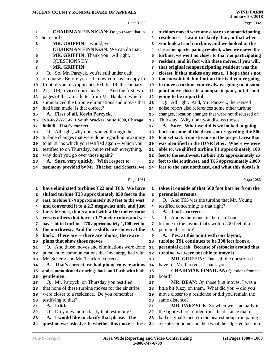|              | Page 1080                                                                                          |                         | Page 1082                                                                                                   |
|--------------|----------------------------------------------------------------------------------------------------|-------------------------|-------------------------------------------------------------------------------------------------------------|
| 1            | <b>CHAIRMAN FINNIGAN:</b> Do you want that in                                                      | 1                       | turbines moved were any closer to nonparticipating                                                          |
| $\mathbf{2}$ | the record?                                                                                        | $\overline{\mathbf{2}}$ | residences. I want to clarify that, in that when                                                            |
| 3            | MR. GRIFFIN: I would, yes.                                                                         | 3                       | you look at each turbine, and we looked at the                                                              |
| 4            | <b>CHAIRMAN FINNIGAN:</b> We can do that.                                                          | 4                       | closest nonparticipating resident, when we moved the                                                        |
| 5            | MR. GRIFFIN: Thank you. All right.                                                                 | 5                       | turbine, we went no closer to that nonparticipating                                                         |
| 6            | <b>QUESTIONS BY</b>                                                                                | 6                       | resident, and in fact with these moves, if you will,                                                        |
| 7            | <b>MR. GRIFFIN:</b>                                                                                | 7                       | that original nonparticipating resident was the                                                             |
| 8            | Q. So, Mr. Parzyck, you're still under oath                                                        | 8                       | closest, if that makes any sense. I hope that's not                                                         |
| 9            | of course. Before you -- I know you have a copy in                                                 | 9                       | too convoluted, but bottom line is if you're going                                                          |
| 10           | front of you of Applicant's Exhibit 19, the January                                                | 10                      | to move a turbine you're always going to at some                                                            |
| 11           | 27, 2018, revised noise analysis. And the first two                                                | 11                      | point move closer to a nonparticipant, but it's not                                                         |
| 12           | pages of that are a letter from Mr. Hankard which                                                  | 12                      | going to be impactful.                                                                                      |
| 13           | summarized the turbine eliminations and moves that                                                 | $13$                    | Q. All right. And, Mr. Parzyck, the revised                                                                 |
| 14           | had been made; is that correct?                                                                    | 14                      | noise report also references some other turbine                                                             |
| 15           | A. First of all, Kevin Parzyck,                                                                    | 15                      | changes, location changes that were not discussed on                                                        |
| 16           | P-A-R-Z-Y-C-K, 1 South Wacker, Suite 1800, Chicago,                                                | 16                      | Thursday. Why don't you discuss those?                                                                      |
| 17           | 60606. That's correct.                                                                             | 17                      | A. Sure. What we did is we looked at going                                                                  |
| 18           | Q. All right, why don't you go through the                                                         | 18                      | back to some of the discussion regarding the 500                                                            |
| 19           | turbine changes that were done regarding proximity                                                 | 19                      | foot setback from streams in the project area that                                                          |
| 20           | to air strips which you testified again -- which you                                               | 20                      | was identified in the IDNR letter. Where we were                                                            |
| 21           | testified to on Thursday, but to refresh everything,<br>why don't you go over those again?         | 21                      | able to, we shifted turbine T1 approximately 100<br>feet to the southwest, turbine T35 approximately 25     |
| 22<br>23     | A. Sure, very quickly. With respect to                                                             | 22<br>23                | feet to the southwest, and T65 approximately 2,000                                                          |
| 24           | testimony provided by Mr. Thacker and Schertz, we                                                  | 24                      | feet to the east northeast, and what this does is it                                                        |
|              |                                                                                                    |                         |                                                                                                             |
|              | Page 1081                                                                                          |                         | Page 1083                                                                                                   |
| 1            | have eliminated turbines T22 and T80. We have                                                      | 1                       | takes it outside of that 500 foot barrier from the                                                          |
| 2            | shifted turbine T23 approximately 850 feet to the                                                  | $\mathbf{z}$            | perennial streams.                                                                                          |
| 3            | east, turbine T74 approximately 300 feet to the west                                               | 3                       | Q. And T65 was the turbine that Mr. Young                                                                   |
| 4            | and converted it to a 2.3 megawatt unit, and just                                                  | 4                       | testified concerning; is that right?                                                                        |
| 5            | for reference, that's a unit with a 160 meter rotor                                                | 5                       | A. That's correct.                                                                                          |
| 6            | versus others that have a 127 meter rotor, and we                                                  | 6                       | Q. And is there one, is there still one                                                                     |
| 7            | have shifted turbine T78 approximately 1,100 feet to                                               | 7                       | turbine in the layout that's within 500 feet of a                                                           |
| 8            | the northwest. And those shifts are shown at the                                                   | 8                       | perennial stream?                                                                                           |
| 9            | back. There are -- there are photos, there are                                                     | 9                       | A. Yes, at this point with our layout,                                                                      |
| 10           | plans that show those moves.                                                                       | 10                      | turbine T91 continues to be 300 feet from a                                                                 |
| 11           | Q. And those moves and eliminations were done                                                      | 11                      | perennial creek. Because of setbacks around that                                                            |
| 12           | pursuant to communications that Invenergy had with                                                 | 12                      | turbine, we were not able to move it.                                                                       |
| 13           | Mr. Schertz and Mr. Thacker, correct?<br>A. That's correct, we had phone conversations             | 13<br>14                | MR. GRIFFIN: That's all the questions I                                                                     |
| 14           |                                                                                                    |                         | have for Mr. Parzyck. Thank you.                                                                            |
| 15           |                                                                                                    |                         |                                                                                                             |
|              | and communicated drawings back and forth with both                                                 | 15                      | <b>CHAIRMAN FINNIGAN:</b> Questions from the                                                                |
| 16           | gentlemen.                                                                                         | 16                      | board?                                                                                                      |
| 17           | Q. Mr. Parzyck, on Thursday you testified                                                          | 17                      | MR. DEAN: On those first moves, I was a                                                                     |
| 18           | that none of these turbine moves for the air strips                                                | 18                      | little bit fuzzy on them. What did you -- did you                                                           |
| 19           | were closer to a residence. Do you remember                                                        | 19                      | move closer to a residence or did you remain the                                                            |
| 20           | testifying to that?                                                                                | 20                      | same distance?                                                                                              |
| 21           | A. I did.                                                                                          | 21                      | MR. PARZYCK: So when we -- actually in                                                                      |
| 22           | Q. Do you want to clarify that testimony?                                                          | 22                      | the figures here, it identifies the distance that it                                                        |
| 23<br>24     | A. I would like to clarify that please. The<br>question was asked as to whether this move -- these | 23<br>24                | had originally been to the nearest nonparticipating<br>receptor or home and then what the adjusted location |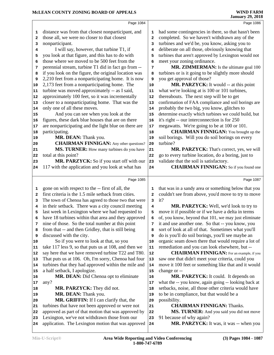|              | Page 1084                                                                                            |                         | Page 1086                                                             |
|--------------|------------------------------------------------------------------------------------------------------|-------------------------|-----------------------------------------------------------------------|
| 1            | distance was from that closest nonparticipant, and                                                   | 1                       | had some contingencies in there, so that hasn't been                  |
| $\mathbf{2}$ | those all, we were no closer to that closest                                                         | $\mathbf{2}$            | completed. So we haven't withdrawn any of the                         |
| 3            | nonparticipant.                                                                                      | 3                       | turbines and we'd be, you know, asking you to                         |
| 4            | I will say, however, that turbine T1, if                                                             | 4                       | deliberate on all those, obviously knowing that                       |
| 5            | you look at that figure, and this has to do with                                                     | 5                       | turbines that aren't approved by Lexington would not                  |
| 6            | those where we moved to be 500 feet from the                                                         | 6                       | meet your zoning ordinance.                                           |
| 7            | perennial stream, turbine T1 did in fact go from --                                                  | 7                       | MR. ZIMMERMAN: Is the ultimate goal 100                               |
| 8            | if you look on the figure, the original location was                                                 | 8                       | turbines or is it going to be slightly more should                    |
| 9            | 2,210 feet from a nonparticipating home. It is now                                                   | 9                       | you get approval of those?                                            |
| 10           | 2,173 feet from a nonparticipating home. The                                                         | ${\bf 10}$              | MR. PARZYCK: It would -- at this point                                |
| 11           | turbine was moved approximately -- as I said,                                                        | 11                      | what we're looking at is 100 or 101 turbines,                         |
| 12           | approximately 100 feet, so it was incrementally                                                      | 12                      | thereabouts. The next step will be to get                             |
| 13           | closer to a nonparticipating home. That was the                                                      | 13                      | confirmation of FAA compliance and soil borings are                   |
| 14           | only one of all these moves.                                                                         | 14                      | probably the two big, you know, glitches to                           |
| 15           | And you can see when you look at the                                                                 | 15                      | determine exactly which turbines we could build, but                  |
| 16           | figures, these dark blue houses that are on there                                                    | 16                      | it's right -- our interconnection is for 250                          |
| 17           | are nonparticipating and the light blue on there are                                                 | 17                      | megawatts. We're going to be at 100 or 101.                           |
| 18           | participating.                                                                                       | 18                      | <b>CHAIRMAN FINNIGAN:</b> You brought up the                          |
| 19           | MR. DEAN: Thank you.                                                                                 | 19                      | soil borings. Will you do soil borings on every                       |
| 20           | <b>CHAIRMAN FINNIGAN:</b> Any other questions?                                                       | 20                      | turbine?                                                              |
| 21           | MS. TURNER: How many turbines do you have                                                            | 21                      | MR. PARZYCK: That's correct, yes, we will                             |
| 22           | total at this point?                                                                                 | 22                      | go to every turbine location, do a boring, just to                    |
| 23           | MR. PARZYCK: So if you start off with our                                                            | 23                      | validate that the soil is satisfactory.                               |
| 24           | 117 with the application and you look at what has                                                    | 24                      | <b>CHAIRMAN FINNIGAN:</b> So if you found one                         |
|              |                                                                                                      |                         |                                                                       |
|              |                                                                                                      |                         |                                                                       |
|              | Page 1085                                                                                            |                         | Page 1087                                                             |
|              |                                                                                                      |                         |                                                                       |
| 1            | gone on with respect to the -- first of all, the                                                     | 1                       | that was in a sandy area or something below that you                  |
| $\mathbf{2}$ | first criteria is the 1.5 mile setback from cities.                                                  | $\overline{\mathbf{2}}$ | couldn't see from above, you'd move to try to move                    |
| 3            | The town of Chenoa has agreed to those two that were                                                 | 3                       | it?                                                                   |
| 4            | in their setback. There was a city council meeting                                                   | 4                       | MR. PARZYCK: Well, we'd look to try to                                |
| 5            | last week in Lexington where we had requested to                                                     | 5                       | move it if possible or if we have a delta in terms                    |
| 6            | have 18 turbines within that area and they approved                                                  | 6                       | of, you know, beyond that 101, we may just eliminate                  |
| 7            | nine of those. So the total number at this point                                                     | 7                       | it and use another one. So that -- you know, you                      |
| 8            | from that -- and then Gridley, that is still being                                                   | 8                       | sort of look at all of that. Sometimes what you'll                    |
| 9            | discussed with the city.                                                                             | 9                       | do is you'll do soil borings, you'll see maybe an                     |
| 10           | So if you were to look at that, so you                                                               | 10                      | organic seam down there that would require a lot of                   |
| 11           | take 117 less 9, so that puts us at 108, and then we                                                 | 11                      | remediation and you can look elsewhere, but --                        |
| 12<br>13     | say here that we have removed turbine T22 and T80.                                                   | 12                      | <b>CHAIRMAN FINNIGAN:</b> For an example, if you                      |
| 14           | That puts us at 106. Oh, I'm sorry, Chenoa had four                                                  | 13                      | saw one that didn't meet your criteria, could you                     |
|              | turbines that they had approved within the mile and                                                  | 14<br>15                | move it 100 feet or something like that and it would                  |
| 15<br>16     | a half setback, I apologize.                                                                         | 16                      | change or --                                                          |
| 17           | MR. DEAN: Did Chenoa opt to eliminate                                                                | 17                      | MR. PARZYCK: It could. It depends on                                  |
| 18           | any?                                                                                                 | 18                      | what the -- you know, again going -- looking back at                  |
| 19           | MR. PARZYCK: They did not.                                                                           | 19                      | setbacks, noise, all those other criteria would have                  |
| 20           | MR. DEAN: Thank you.                                                                                 | 20                      | to be in compliance, but that would be a<br>possibility.              |
| 21           | MR. GRIFFIN: If I can clarify that, the                                                              | 21                      | <b>CHAIRMAN FINNIGAN: Thanks.</b>                                     |
| 22           | turbines that have not been approved or were not                                                     | 22                      |                                                                       |
| 23           | approved as part of that motion that was approved by                                                 | 23                      | MS. TURNER: And you said you did not move<br>91 because of why again? |
| 24           | Lexington, we've not withdrawn those from our<br>application. The Lexington motion that was approved | 24                      | MR. PARZYCK: It was, it was -- when you                               |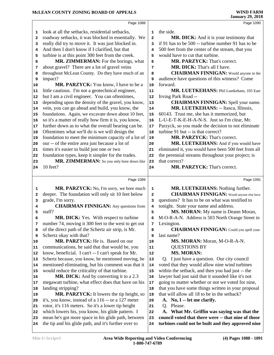|                                                                              | Page 1088                                                                                             |                | Page 1090                                            |
|------------------------------------------------------------------------------|-------------------------------------------------------------------------------------------------------|----------------|------------------------------------------------------|
| 1                                                                            | look at all the setbacks, residential setbacks,                                                       | $\mathbf 1$    | the side.                                            |
| 2                                                                            | roadway setbacks, it was blocked in essentially. We                                                   | $\overline{a}$ | MR. DICK: And it is your testimony that              |
| 3                                                                            | really did try to move it. It was just blocked in.                                                    | 3              | if 91 has to be 500 -- turbine number 91 has to be   |
| 4                                                                            | And then I don't know if I clarified, but that                                                        | 4              | 500 feet from the center of the stream, that you     |
| 5                                                                            | turbine is at this point 300 feet from the creek.                                                     | 5              | would have to cut that turbine.                      |
| 6                                                                            | MR. ZIMMERMAN: For the borings, what                                                                  | 6              | MR. PARZYCK: That's correct.                         |
| 7                                                                            | about gravel? There are a lot of gravel veins                                                         | 7              | MR. DICK: That's all I have.                         |
| 8                                                                            | throughout McLean County. Do they have much of an                                                     | 8              | <b>CHAIRMAN FINNIGAN:</b> Would anyone in the        |
| 9                                                                            | impact?                                                                                               | 9              | audience have questions of this witness? Come        |
| 10                                                                           | MR. PARZYCK: You know, I have to be a                                                                 | 10             | forward.                                             |
| 11                                                                           | little cautious. I'm not a geotechnical engineer,                                                     | 11             | MR. LUETKEHANS: Phil Luetkehans, 105 East            |
| 12                                                                           | but I am a civil engineer. You can oftentimes,                                                        | 12             | Irving Park Road --                                  |
| 13                                                                           | depending upon the density of the gravel, you know,                                                   | 13             | <b>CHAIRMAN FINNIGAN:</b> Spell your name.           |
| 14                                                                           | vein, you can go ahead and build, you know, the                                                       | 14             | MR. LUETKEHANS: -- Itasca, Illinois,                 |
| 15                                                                           | foundations. Again, we excavate down about 10 feet,                                                   | 15             | 60143. Trust me, she has it memorized, but           |
| 16                                                                           | so it's a matter of really how firm it is, you know,                                                  | 16             | L-U-E-T-K-E-H-A-N-S. Just so I'm clear, Mr.          |
| 17                                                                           | further down as to what the overall bearing can be.                                                   | 17             | Parzyck, so you made the decision to not eliminate   |
| 18                                                                           | Oftentimes what we'll do is we will design the                                                        | 18             | turbine 91 but -- is that correct?                   |
| 19                                                                           | foundation to meet the minimum capacity of a lot of                                                   | 19             | MR. PARZYCK: That's correct.                         |
| 20                                                                           | our -- of the entire area just because a lot of                                                       | 20             | MR. LUETKEHANS: And if you would have                |
| 21                                                                           | times it's easier to build just one or two                                                            | 21             | eliminated it, you would have been 500 feet from all |
| 22                                                                           | foundation types, keep it simpler for the trades.                                                     | 22             | the perennial streams throughout your project; is    |
| 23                                                                           | MR. ZIMMERMAN: So you only bore down like                                                             | 23             | that correct?                                        |
| 24                                                                           | 10 feet?                                                                                              | 24             | MR. PARZYCK: That's correct.                         |
|                                                                              |                                                                                                       |                |                                                      |
|                                                                              | Page 1089                                                                                             |                | Page 1091                                            |
|                                                                              |                                                                                                       |                |                                                      |
| 1                                                                            | MR. PARZYCK: No, I'm sorry, we bore much                                                              | 1              | MR. LUETKEHANS: Nothing further.                     |
| 2                                                                            | deeper. The foundation will only sit 10 feet below                                                    | $\mathbf{2}$   | <b>CHAIRMAN FINNIGAN:</b> Would anyone else have     |
| 3                                                                            | grade, I'm sorry.                                                                                     | з              | questions? It has to be on what was testified to     |
| 4                                                                            | <b>CHAIRMAN FINNIGAN:</b> Any questions from                                                          | 4              | tonight. State your name and address.                |
| 5                                                                            | staff?                                                                                                | 5              | MS. MORAN: My name is Deann Moran,                   |
|                                                                              | MR. DICK: Yes. With respect to turbine                                                                |                | M-O-R-A-N. Address is 503 North Orange Street in     |
| 7                                                                            | number 74, moving it 300 feet to the west to get out                                                  | 7              | Lexington.                                           |
| 8                                                                            | of the direct path of the Schertz air strip, is Mr.                                                   | 8<br>9         | <b>CHAIRMAN FINNIGAN:</b> Could you spell your       |
| 9                                                                            | Schertz okay with that?                                                                               | 10             | last name?                                           |
|                                                                              | MR. PARZYCK: He is. Based on our                                                                      | 11             | MS. MORAN: Moran, M-O-R-A-N.                         |
|                                                                              | communications, he said that that would be, you<br>know, beneficial. I can't -- I can't speak for Mr. | 12             | <b>QUESTIONS BY</b><br><b>MS. MORAN:</b>             |
|                                                                              | Schertz because, you know, he mentioned moving, he                                                    | 13             | Q. I just have a question. Our city council          |
|                                                                              | mentioned eliminating, but his comment was that it                                                    | 14             | voted that they would allow nine wind turbines       |
|                                                                              | would reduce the criticality of that turbine.                                                         | 15             | within the setback, and then you had just -- the     |
|                                                                              | MR. DICK: And by converting it to a 2.3                                                               | 16             | lawyer had just said that it sounded like it's not   |
|                                                                              | megawatt turbine, what effect does that have on his                                                   | 17             | going to matter whether or not we voted for nine,    |
|                                                                              | landing stripping?                                                                                    | 18             | that you have some things written in your proposal   |
|                                                                              | MR. PARZYCK: It lowers the tip height, so                                                             | 19             | that will allow all 18 to be in the setback?         |
|                                                                              | it's, you know, instead of a 116 -- or a 127 meter                                                    | 20             | A. No, I -- let me clarify.                          |
|                                                                              | rotor, it's 116 meters. So it's a lower tip height                                                    | 21             | Q. Please.                                           |
| 10<br>11<br>12<br>13<br>14<br>15<br>16<br> 17<br>18<br> 19<br>20<br>21<br>22 | which lowers his, you know, his glide pattern. I                                                      | 22             | What Mr. Griffin was saying was that the<br>A.       |
| 23                                                                           | mean he's got more space in his glide path, between                                                   | 23             | council voted that there were -- that nine of those  |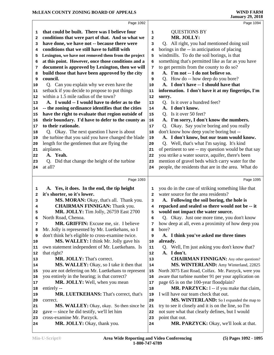|          | Page 1092                                                 |          | Page 1094                                                 |
|----------|-----------------------------------------------------------|----------|-----------------------------------------------------------|
| 1        | that could be built. There was I believe four             | 1        | <b>QUESTIONS BY</b>                                       |
| 2        | conditions that were part of that. And so what we         | 2        | MR. JOLLY:                                                |
| 3        | have done, we have not -- because there were              | 3        | Q. All right, you had mentioned doing soil                |
| 4        | conditions that we still have to fulfill with             | 4        | borings in the -- in anticipation of placing              |
| 5        | Lexington, we have not removed them from the project      | 5        | windmills. To do the soil borings, is that                |
| 6        | at this point. However, once those conditions and a       | 6        | something that's permitted like as far as you have        |
| 7        | document is approved by Lexington, then we will           | 7        | to get permits from the county to do so?                  |
| 8        | build those that have been approved by the city           | 8        | A. I'm not -- I do not believe so.                        |
| 9        | council.                                                  | 9        | Q. How do -- how deep do you bore?                        |
| 10       | Q. Can you explain why we even have the                   | 10       | A. I don't have -- I should have that                     |
| 11       | setback if you decide to propose to put things            | 11       | information. I don't have it at my fingertips, I'm        |
| 12       | within a 1.5 mile radius of the town?                     | 12       | sorry.                                                    |
| 13       | A. I would -- I would have to defer as to the             | 13       | Q. Is it over a hundred feet?                             |
| 14       | -- the zoning ordinance identifies that the cities        | 14       | A. I don't know.                                          |
| 15       | have the right to evaluate that region outside of         | 15       | Q. Is it over 50 feet?                                    |
| 16       | their boundary. I'd have to defer to the county as        | 16       | A. I'm sorry, I don't know the numbers.                   |
| 17       | to their rationale.                                       | 17       | Q. Okay. Say you're boring and you really                 |
| 18       | Q. Okay. The next question I have is about                | 18       | don't know how deep you're boring but --                  |
| 19       | the turbine that you said you have changed the blade      | 19       | A. I don't know, but our team would know.                 |
| 20       | length for the gentlemen that are flying the              | 20       | Q. Well, that's what I'm saying. It's kind                |
| 21       | airplanes.                                                | 21       | of pertinent to see -- my question would be that say      |
| 22       | A. Yeah.                                                  | 22       | you strike a water source, aquifer, there's been          |
| 23       | Q. Did that change the height of the turbine              | 23       | mention of gravel beds which carry water for the          |
| 24       | at all?                                                   | 24       | people, the residents that are in the area. What do       |
|          |                                                           |          |                                                           |
|          | Page 1093                                                 |          | Page 1095                                                 |
| 1        | A. Yes, it does. In the end, the tip height               | 1        | you do in the case of striking something like that        |
| 2        | it's shorter, so it's lower.                              | 2        | water source for the area residents?                      |
| 3        | MS. MORAN: Okay, that's all. Thank you.                   | 3        | A. Following the soil boring, the hole is                 |
| 4        | <b>CHAIRMAN FINNIGAN:</b> Thank you.                      | 4        | repacked and sealed so there would not be -- it           |
| 5        | MR. JOLLY: Tim Jolly, 26759 East 2700                     |          |                                                           |
| 6        |                                                           | 5        | would not impact the water source.                        |
|          | North Road, Chenoa.                                       | 6        | Q. Okay. Just one more time, you don't know               |
| 7        | MR. GRIFFIN: Excuse me, sir. I believe                    | 7        | how deep at all, even a proximity of how deep you         |
| 8        | Mr. Jolly is represented by Mr. Luetkehans, so I          | 8        | bore?                                                     |
| 9        | don't think he's eligible to cross-examine twice.         | 9        | A. I think you've asked me three times                    |
| 10       | MS. WALLEY: I think Mr. Jolly gave his                    | 10       | already.                                                  |
| 11       | own statement independent of Mr. Luetkehans. Is           | 11       | Q. Well, I'm just asking you don't know that?             |
| 12       | that right?                                               | 12       | A. I don't.                                               |
| 13       | MR. JOLLY: That's correct.                                | $13$     | <b>CHAIRMAN FINNIGAN:</b> Any other questions?            |
| 14       | MS. WALLEY: Okay, so I take it then that                  | 14       | MS. WINTERLAND: Amy Winterland, 22825                     |
| 15       | you are not deferring on Mr. Luetkehans to represent      | 15       | North 3075 East Road, Colfax. Mr. Parzyck, were you       |
| 16       | you entirely in the hearing; is that correct?             | 16       | aware that turbine number 91 per your application on      |
| 17       | MR. JOLLY: Well, when you mean                            | 17       | page 65 is on the 100-year floodplain?                    |
| 18       | entirely --                                               | 18       | MR. PARZYCK: I -- if you make that claim,                 |
| 19       | MR. LUETKEHANS: That's correct, that's                    | 19       | I will have our team check that out.                      |
| 20       | correct.                                                  | 20       | MS. WINTERLAND: So I expanded the map to                  |
| 21       | MS. WALLEY: Okay, okay. So then since he                  | 21       | try to see it closely and it is on the line, so I'm       |
| 22       | gave -- since he did testify, we'll let him               | 22       | not sure what that clearly defines, but I would           |
| 23<br>24 | cross-examine Mr. Parzyck.<br>MR. JOLLY: Okay, thank you. | 23<br>24 | point that out.<br>MR. PARZYCK: Okay, we'll look at that. |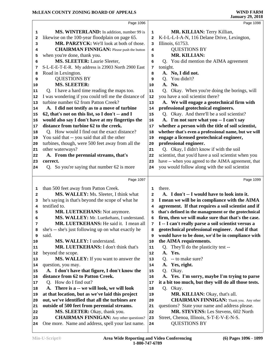|                                                                | Page 1096                                            |                         | Page 1098                                            |
|----------------------------------------------------------------|------------------------------------------------------|-------------------------|------------------------------------------------------|
| 1                                                              | <b>MS. WINTERLAND:</b> In addition, number 99 is     | 1                       | MR. KILLIAN: Terry Killian,                          |
| 2                                                              | likewise on the 100-year floodplain on page 65.      | $\overline{\mathbf{2}}$ | K-I-L-L-I-A-N, 116 Delane Drive, Lexington,          |
| з                                                              | MR. PARZYCK: We'll look at both of those.            | 3                       | Illinois, 61753.                                     |
| 4                                                              | <b>CHAIRMAN FINNIGAN:</b> Please push the button     | 4                       | <b>QUESTIONS BY</b>                                  |
| 5                                                              | when you're done, thank you.                         | 5                       | MR. KILLIAN:                                         |
| 6                                                              | MS. SLEETER: Laurie Sleeter,                         | 6                       | Q. You did mention the AIMA agreement                |
| 7                                                              | S-L-E-E-T-E-R. My address is 23903 North 2900 East   | 7                       | tonight.                                             |
| 8                                                              | Road in Lexington.                                   | 8                       | A. No, I did not.                                    |
| 9                                                              | <b>QUESTIONS BY</b>                                  | 9                       | You didn't?<br>Q <sub>1</sub>                        |
| 10                                                             | <b>MS. SLEETER:</b>                                  | 10                      | A. No.                                               |
| 11                                                             | Q. I have a hard time reading the maps too.          | 11                      | Q. Okay. When you're doing the borings, will         |
| 12                                                             | I was wondering if you could tell me the distance of | 12                      | you have a soil scientist there?                     |
| 13                                                             | turbine number 62 from Patton Creek?                 | 13                      | A. We will engage a geotechnical firm with           |
| 14                                                             | A. I did not testify as to a move of turbine         | 14                      | professional geotechnical engineers.                 |
| 15                                                             | 62, that's not on this list, so I don't -- and I     | 15                      | Q. Okay. And there'll be a soil scientist?           |
| 16                                                             | would also say I don't have at my fingertips the     | 16                      | A. I'm not sure what you -- I can't say              |
| 17                                                             | distance from turbine 62 to the creek.               | 17                      | whether a person with the title of soil scientist,   |
| 18                                                             | Q. How would I find out the exact distance?          | 18                      | whether that's even a professional name, but we will |
| 19                                                             | You said that -- you said that all the other         | 19                      | engage a licensed geotechnical engineer,             |
| 20                                                             | turbines, though, were 500 feet away from all the    | 20                      | professional engineer.                               |
| 21                                                             | other waterways?                                     | 21                      | Q. Okay, I didn't know if with the soil              |
| 22                                                             | A. From the perennial streams, that's                | 22                      | scientist, that you'd have a soil scientist when you |
| 23                                                             | correct.                                             | 23                      | have -- when you agreed to the AIMA agreement, that  |
| 24                                                             | So you're saying that number 62 is more<br>O.        | 24                      | you would follow along with the soil scientist       |
|                                                                |                                                      |                         |                                                      |
|                                                                | Page 1097                                            |                         | Page 1099                                            |
| 1                                                              | than 500 feet away from Patton Creek.                | 1                       | there.                                               |
| 2                                                              | MS. WALLEY: Ms. Sleeter, I think what                | $\overline{a}$          | A. I don't -- I would have to look into it.          |
| 3                                                              | he's saying is that's beyond the scope of what he    | 3                       | I mean we will be in compliance with the AIMA        |
|                                                                | testified to.                                        |                         | agreement. If that requires a soil scientist and if  |
| 4                                                              |                                                      | 4                       |                                                      |
| 5                                                              | <b>MR. LUETKEHANS: Not anymore.</b>                  | 5                       | that's defined in the management or the geotechnical |
| 6                                                              | MS. WALLEY: Mr. Luetkehans, I understand.            | 6                       | firm, then we will make sure that that's the case.   |
| 7                                                              | MR. LUETKEHANS: He said it. I mean all               | 7                       | I -- I can't really parse a soil scientist versus a  |
| 8                                                              | she's -- she's just following up on what exactly he  | 8                       | geotechnical professional engineer. And if that      |
| 9                                                              | said.                                                | 9                       | would have to be done, we'd be in compliance with    |
|                                                                | MS. WALLEY: I understand.                            | 10                      | the AIMA requirements.                               |
|                                                                | MR. LUETKEHANS: I don't think that's                 | 11                      | Q. They'll do the plasticity test --                 |
| 10<br>11<br>12                                                 | beyond the scope.                                    | 12                      | A. Yes.                                              |
|                                                                | MS. WALLEY: If you want to answer the                | 13                      | -- to make sure?<br>Q <sub>r</sub>                   |
|                                                                | question, you may.                                   | 14                      | Yes, right.<br>A.                                    |
|                                                                | A. I don't have that figure, I don't know the        | 15                      | Okay.<br>Q.                                          |
|                                                                | distance from 62 to Patton Creek.                    | 16                      | A. Yes. I'm sorry, maybe I'm trying to parse         |
|                                                                | Q. How do I find out?                                | 17                      | it a bit too much, but they will do all those tests. |
|                                                                | A. There is a -- we will look, we will look          | 18                      | Q. Okay.                                             |
|                                                                | at that location, but as we've laid this project     | 19                      | MR. KILLIAN: Okay, that's all.                       |
|                                                                | out, we've identified that all the turbines are      | 20                      | <b>CHAIRMAN FINNIGAN:</b> Thank you. Any other       |
|                                                                | outside of 500 feet from perennial streams.          | 21                      | questions? State your name and address please.       |
|                                                                | MS. SLEETER: Okay, thank you.                        | 22                      | MR. STEVENS: Les Stevens, 602 North                  |
| 13<br>14<br>15<br>16<br>17<br>18<br>19<br>20<br>21<br>22<br>23 | <b>CHAIRMAN FINNIGAN:</b> Any other questions?       | 23                      | Street, Chenoa, Illinois, S-T-E-V-E-N-S.             |
| 24                                                             | One more. Name and address, spell your last name.    | 24                      | <b>QUESTIONS BY</b>                                  |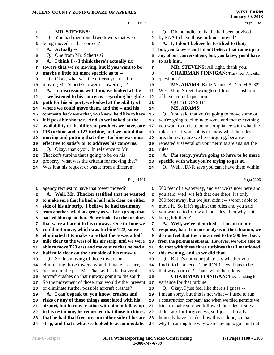|    | Page 1100                                                                                                   |        | Page 1102                                                               |
|----|-------------------------------------------------------------------------------------------------------------|--------|-------------------------------------------------------------------------|
| 1  | <b>MR. STEVENS:</b>                                                                                         | 1      | Q. Did he indicate that he had been advised                             |
| 2  | Q. You had mentioned two towers that were                                                                   | 2      | by FAA to have those turbines moved?                                    |
| 3  | being moved; is that correct?                                                                               | 3      | A. I, I don't believe he testified to that,                             |
| 4  | A. Actually --                                                                                              | 4      | but, you know -- and I don't believe that came up in                    |
| 5  | Q. One from Mr. Schertz's?                                                                                  | 5      | any of our conversations, but, you know, you'd have                     |
| 6  | A. I think I -- I think there's actually six                                                                | 6      | to ask him.                                                             |
| 7  | towers that we're moving, but if you want to be                                                             | 7      | MR. STEVENS: All right, thank you.                                      |
| 8  | maybe a little bit more specific as to --                                                                   | 8      | <b>CHAIRMAN FINNIGAN:</b> Thank you. Any other                          |
| 9  | Q. Okay, what was the criteria you used for                                                                 | 9      | questions?                                                              |
| 10 | moving Mr. Schertz's tower or lowering it?                                                                  | 10     | MS. ADAMS: Katie Adams, A-D-A-M-S, 322                                  |
| 11 | A. In discussions with him, we looked at the                                                                | 11     | West Main Street, Lexington, Illinois. I just kind                      |
| 12 | -- we listened to his concerns regarding his glide                                                          | 12     | of have a quick question.                                               |
| 13 | path for his airport, we looked at the ability of                                                           | 13     | <b>QUESTIONS BY</b>                                                     |
| 14 | where we could move them, and the -- and his                                                                | 14     | <b>MS. ADAMS:</b>                                                       |
| 15 | comments back were that, you know, he'd like to have                                                        | 15     | Q. You said that you're going to move some or                           |
| 16 | it if possible shorter. And so we looked at the                                                             | 16     | you're going to eliminate some and that everything                      |
| 17 | availability of the different products we have, our                                                         | $17\,$ | you want to do is to be in compliance with what the                     |
| 18 | 116 turbine and a 127 turbine, and we found that                                                            | 18     | rules are. If your job is to know what the rules                        |
| 19 | moving and putting that other turbine was most                                                              | 19     | are, then why are we here arguing, because                              |
| 20 | effective to satisfy or to address his concerns.                                                            | 20     | repeatedly several on your permits are against the                      |
| 21 | Q. Okay, thank you. In reference to Mr.                                                                     | 21     | rules.                                                                  |
| 22 | Thacker's turbine that's going to be on his                                                                 | 22     | A. I'm sorry, you're going to have to be more                           |
| 23 | property, what was the criteria for moving that?                                                            | 23     | specific with what you're trying to get at.                             |
| 24 | Was it at his request or was it from a different                                                            | 24     | Q. Well, IDNR says you can't have them within                           |
|    |                                                                                                             |        |                                                                         |
|    |                                                                                                             |        |                                                                         |
|    | Page 1101                                                                                                   |        | Page 1103                                                               |
| 1  |                                                                                                             | 1      |                                                                         |
| 2  | agency request to have that tower moved?                                                                    |        | 500 feet of a waterway, and yet we're now here and                      |
| 3  | A. Well, Mr. Thacker testified that he wanted                                                               | 2<br>3 | you said, well, we left that one there, it's only                       |
| 4  | to make sure that he had a half mile clear on either                                                        | 4      | 300 feet away, but we just didn't -- weren't able to                    |
| 5  | side of his air strip. I believe he had testimony                                                           |        | move it. So if it's against the rules and you said                      |
| 6  | from another aviation agency as well or a group that<br>backed him up on that. So we looked at the turbines | 5<br>6 | you wanted to follow all the rules, then why is it<br>being left there? |
| 7  | that were adjacent to his runway. One turbine we                                                            | 7      | A. Well, we've identified -- I mean in our                              |
| 8  | could not move, which was turbine T22, so we                                                                | 8      | response, based on our analysis of the situation, we                    |
| 9  | eliminated it to make sure that there was a half                                                            | 9      | do not feel that there is a need to be 500 feet back                    |
| 10 | mile clear to the west of his air strip, and we were                                                        | 10     | from the perennial stream. However, we were able to                     |
| 11 | able to move T23 east and make sure that he had a                                                           | 11     | do that with these three turbines that I mentioned                      |
| 12 | half mile clear on the east side of his runway.                                                             | 12     | this evening, and so we did that.                                       |
| 13 | Q. So this moving of those towers or                                                                        | 13     | Q. But it's not your job to say whether you                             |
| 14 | eliminating those towers, would it make it easier,                                                          | 14     | find it to be a need. The IDNR says it has to be                        |
| 15 | because in the past Mr. Thacker has had several                                                             | 15     | that way, correct? That's what the rule is.                             |
| 16 | aircraft crashes on that runway going to the south.                                                         | 16     | <b>CHAIRMAN FINNIGAN:</b> They're asking for a                          |
| 17 | So the movement of those, that would either prevent                                                         | $17\,$ | variance for that turbine.                                              |
| 18 | or eliminate further possible aircraft crashes?                                                             | 18     | Q. Okay, I just feel like there's I guess --                            |
| 19 | A. I can't speak to, you know, crashes and                                                                  | 19     | I mean sorry, but this is not what -- I used to run                     |
| 20 | risks or any of those things associated with his                                                            | 20     | a construction company and when we filed permits we                     |
| 21 | airport, but in conversation with him in follow-up                                                          | 21     | tried to make sure we followed the rules first, we                      |
| 22 | to his testimony, he requested that those turbines,                                                         | 22     | didn't ask for forgiveness, so I just -- I really                       |
| 23 | that he had that free area on either side of his air<br>strip, and that's what we looked to accommodate.    | 23     | honestly have no idea how this is done, so that's                       |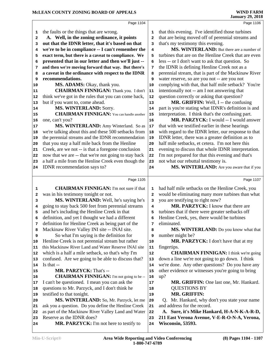|                         | Page 1104                                                                                         |                | Page 1106                                                                |
|-------------------------|---------------------------------------------------------------------------------------------------|----------------|--------------------------------------------------------------------------|
| 1                       | the faults or the things that are wrong.                                                          | 1              | that this evening. I've identified those turbines                        |
| $\mathbf{2}$            | A. Well, in the zoning ordinance, it points                                                       | $\overline{a}$ | that are being moved off of perennial streams and                        |
| 3                       | out that the IDNR letter, that it's based on that                                                 | 3              | that's my testimony this evening.                                        |
| 4                       | we're to be in compliance -- I can't remember the                                                 | 4              | MS. WINTERLAND: But there are a number of                                |
| 5                       | exact term, but there is a caveat to compliance. We                                               | 5              | turbines that are on the Henline Creek that are even                     |
| 6                       | presented that in our letter and then we'll just --                                               | 6              | less -- or I don't want to ask that question. So                         |
| 7                       | and then we're moving forward that way. But there's                                               | 7              | the IDNR is defining Henline Creek not as a                              |
| 8                       | a caveat in the ordinance with respect to the IDNR                                                | 8              | perennial stream, that is part of the Mackinaw River                     |
| 9                       | recommendations.                                                                                  | 9              | water reserve, so are you not -- are you not                             |
| 10                      | MS. ADAMS: Okay, thank you.                                                                       | 10             | complying with that, that half mile setback? You're                      |
| 11                      | <b>CHAIRMAN FINNIGAN:</b> Thank you. I don't                                                      | 11             | intentionally not -- am I not answering that                             |
| 12                      | think we've got in the rules that you can come back,                                              | 12             | question correctly or asking that question?                              |
| 13                      | but if you want to, come ahead.                                                                   | 13             | MR. GRIFFIN: Well, I -- the confusing                                    |
| 14                      | MS. WINTERLAND: Sorry.                                                                            | 14             | part is you're stating what IDNR's definition is and                     |
| 15                      | <b>CHAIRMAN FINNIGAN:</b> You can handle another                                                  | 15             | interpretation. I think that's the confusing part.                       |
| 16                      | one, can't you?                                                                                   | 16             | MR. PARZYCK: I would -- I would answer                                   |
| 17                      | MS. WINTERLAND: Amy Winterland. So as                                                             | $17\,$         | that with we testified earlier in these hearings                         |
| 18                      | we're talking about this and these 500 setbacks from                                              | 18             | with regard to the IDNR letter, our response to that                     |
| 19                      | the perennial streams and the IDNR recommendation                                                 | 19             | IDNR letter, there was a greater definition as to                        |
| 20                      | that you stay a half mile back from the Henline                                                   | 20             | half mile setbacks, et cetera. I'm not here this                         |
| 21                      | Creek, are we not -- is that a foregone conclusion                                                | 21             | evening to discuss that whole IDNR interpretation.                       |
| 22                      | now that we are -- that we're not going to stay back                                              | 22             | I'm not prepared for that this evening and that's                        |
| 23                      | a half a mile from the Henline Creek even though the                                              | 23             | not what our rebuttal testimony is.                                      |
| 24                      | IDNR recommendation says to?                                                                      | 24             | MS. WINTERLAND: Are you aware that if you                                |
|                         |                                                                                                   |                |                                                                          |
|                         |                                                                                                   |                |                                                                          |
|                         | Page 1105                                                                                         |                | Page 1107                                                                |
| 1                       | <b>CHAIRMAN FINNIGAN:</b> I'm not sure if that                                                    | 1              | had half mile setbacks on the Henline Creek, you                         |
| $\overline{\mathbf{2}}$ | was in his testimony tonight or not.                                                              | 2              | would be eliminating many more turbines than what                        |
| 3                       | MS. WINTERLAND: Well, he's saying he's                                                            | 3              | you are testifying to right now?                                         |
| 4                       | going to stay back 500 feet from perennial streams                                                | 4              | MR. PARZYCK: I know that there are                                       |
| 5                       | and he's including the Henline Creek in that                                                      | 5              | turbines that if there were greater setbacks off                         |
| 6                       | definition, and yet I thought we had a different                                                  | 6              | Henline Creek, yes, there would be turbines                              |
| 7                       | definition for Henline Creek as being part of the                                                 | 7              | eliminated.                                                              |
| 8                       | Mackinaw River Valley INI site -- INAI site.                                                      | 8              | MS. WINTERLAND: Do you know what that                                    |
| 9                       | So what I'm saying is the definition for                                                          | 9              | number might be?                                                         |
| 10                      | Henline Creek is not perennial stream but rather                                                  | 10             | <b>MR. PARZYCK:</b> I don't have that at my                              |
| 11                      | this Mackinaw River Land and Water Reserve INAI site                                              | 11             | fingertips.                                                              |
| 12                      | which is a half a mile setback, so that's why I'm                                                 | ${\bf 12}$     | <b>CHAIRMAN FINNIGAN:</b> I think we're going                            |
| 13                      | confused. Are we going to be able to discuss that?                                                | 13<br>14       | down a line we're not going to go down. I think                          |
| 14                      | Is that --                                                                                        | 15             | we're done. Any other questions? Do you have any                         |
| 15<br>16                | MR. PARZYCK: That's --                                                                            | 16             | other evidence or witnesses you're going to bring                        |
| 17                      | <b>CHAIRMAN FINNIGAN:</b> I'm not going to be --<br>I can't be questioned. I mean you can ask the | 17             | up?<br>MR. GRIFFIN: One last one, Mr. Hankard.                           |
| 18                      |                                                                                                   | 18             | <b>QUESTIONS BY</b>                                                      |
| 19                      | questions to Mr. Parzyck, and I don't think he<br>testified to that tonight.                      | 19             | <b>MR. GRIFFIN:</b>                                                      |
| 20                      | MS. WINTERLAND: So, Mr. Parzyck, let me                                                           | 20             | Q. Mr. Hankard, why don't you state your name                            |
| 21                      | ask you a question. Do you define the Henline Creek                                               | 21             | and address for the record.                                              |
| 22                      | as part of the Mackinaw River Valley Land and Water                                               | 22             | A. Sure, it's Mike Hankard, H-A-N-K-A-R-D,                               |
| 23                      | Reserve as the IDNR does?<br>MR. PARZYCK: I'm not here to testify to                              | 23             | 211 East Verona Avenue, V-E-R-O-N-A, Verona,<br><b>Wisconsin, 53593.</b> |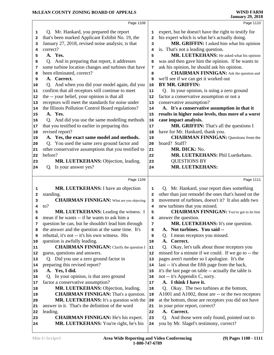|          | Page 1108                                                                            |          | Page 1110                                                                                                  |
|----------|--------------------------------------------------------------------------------------|----------|------------------------------------------------------------------------------------------------------------|
| 1        | Q. Mr. Hankard, you prepared the report                                              | 1        | expert, but he doesn't have the right to testify for                                                       |
| 2        | that's been marked Applicant Exhibit No. 19, the                                     | 2        | his expert which is what he's actually doing.                                                              |
| 3        | January 27, 2018, revised noise analysis; is that                                    | 3        | MR. GRIFFIN: I asked him what his opinion                                                                  |
| 4        | correct?                                                                             | 4        | is. That's not a leading question.                                                                         |
| 5        | A. Yes.                                                                              | 5        | MR. LUETKEHANS: He asked what his opinion                                                                  |
| 6        | Q. And in preparing that report, it addresses                                        | 6        | was and then gave him the opinion. If he wants to                                                          |
| 7        | some turbine location changes and turbines that have                                 | 7        | ask his opinion, he should ask his opinion.                                                                |
| 8        | been eliminated, correct?                                                            | 8        | <b>CHAIRMAN FINNIGAN:</b> Ask the question and                                                             |
| 9        | A. Correct.                                                                          | 9        | we'll see if we can get it worked out                                                                      |
| 10       | Q. And when you did your model again, did you                                        | 10       | <b>BY MR. GRIFFIN:</b>                                                                                     |
| 11       | confirm that all receptors still continue to meet                                    | 11       | Q. In your opinion, is using a zero ground                                                                 |
| 12       | the -- your belief, your opinion is that all                                         | 12       | factor a conservative assumption or not a                                                                  |
| 13       | receptors will meet the standards for noise under                                    | 13       | conservative assumption?                                                                                   |
| 14       | the Illinois Pollution Control Board regulations?                                    | 14       | A. It's a conservative assumption in that it                                                               |
| 15       | A. Yes.                                                                              | 15       | results in higher noise levels, thus more of a worst                                                       |
| 16       | Q. And did you use the same modelling methods                                        | 16       | case impact analysis.                                                                                      |
| 17       | that you testified to earlier in preparing this                                      | 17       | MR. GRIFFIN: That's all the questions I                                                                    |
| 18       | revised report?                                                                      | 18       | have for Mr. Hankard, thank you.                                                                           |
| 19       | A. Yes, the exact same model and methods.                                            | 19       | <b>CHAIRMAN FINNIGAN: Questions from the</b>                                                               |
| 20       | Q. You used the same zero ground factor and                                          | 20       | board? Staff?                                                                                              |
| 21       | other conservative assumptions that you testified to                                 | 21       | MR. DICK: No.                                                                                              |
| 22       | before?                                                                              | 22       | MR. LUETKEHANS: Phil Luetkehans.                                                                           |
| 23       | MR. LUETKEHANS: Objection, leading.                                                  | 23       | <b>QUESTIONS BY</b><br>MR. LUETKEHANS:                                                                     |
| 24       | Q. Is your answer yes?                                                               | 24       |                                                                                                            |
|          | Page 1109                                                                            |          | Page 1111                                                                                                  |
|          | MR. LUETKEHANS: I have an objection                                                  |          | Q. Mr. Hankard, your report does something                                                                 |
|          |                                                                                      |          |                                                                                                            |
| 1<br>2   |                                                                                      | 1<br>2   |                                                                                                            |
| 3        | standing.<br><b>CHAIRMAN FINNIGAN:</b> What are you objecting                        | 3        | other than just remodel the ones that's based on the<br>movement of turbines, doesn't it? It also adds two |
| 4        | $\mathsf{to?}$                                                                       | 4        | new turbines that you missed.                                                                              |
| 5        | MR. LUETKEHANS: Leading the witness. I                                               | 5        | <b>CHAIRMAN FINNIGAN:</b> You've got to let him                                                            |
| 6        | mean if he wants -- if he wants to ask him a                                         | 6        | answer the question.                                                                                       |
| 7        | question he can, but he shouldn't lead him through                                   | 7        | MR. LUETKEHANS: It's one question.                                                                         |
| 8        | the answer and the question at the same time. It's                                   | 8        | A. Not turbines. You said --                                                                               |
| 9        | rebuttal, it's not -- it's his own witness. His                                      | 9        | Q. I mean receptors you missed.                                                                            |
| 10       | question is awfully leading.                                                         | 10       | A.<br>Correct.                                                                                             |
| 11       | <b>CHAIRMAN FINNIGAN:</b> Clarify the question I                                     | 11       | Q. Okay, let's talk about those receptors you                                                              |
| 12       | guess, questions and answers.                                                        | 12       | missed for a minute if we could. If we go to -- the                                                        |
| 13       | Q. Did you use a zero ground factor in                                               | 13       | pages aren't number so I apologize. It's the                                                               |
| 14       | preparing this revised report?                                                       | 14       | last -- it's about the fifth page from the back,                                                           |
| 15       | A. Yes, I did.                                                                       | 15       | it's the last page on table -- actually the table is                                                       |
| 16       | Q. In your opinion, is that zero ground                                              | 16       | not -- it's Appendix C, sorry.                                                                             |
| 17       | factor a conservative assumption?                                                    | 17       | A. I think I have it.                                                                                      |
| 18       | MR. LUETKEHANS: Objection, leading.                                                  | 18       | Q. Okay. The two turbines at the bottom,                                                                   |
| 19       | <b>CHAIRMAN FINNIGAN:</b> That's a question.                                         | 19       | A1001 and A1002, those are -- or the two receptors                                                         |
| 20       | MR. LUETKEHANS: It's a question with the                                             | 20       | at the bottom, those are receptors you did not have                                                        |
| 21       | answer in it. That's the definition of the word                                      | 21       | in your prior report, correct?                                                                             |
| 22       | leading.                                                                             | 22       | A. Correct.                                                                                                |
| 23<br>24 | <b>CHAIRMAN FINNIGAN:</b> He's his expert.<br>MR. LUETKEHANS: You're right, he's his | 23<br>24 | Q. And those were only found, pointed out to<br>you by Mr. Slagel's testimony, correct?                    |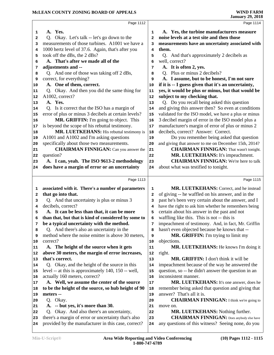|              | Page 1112                                            |                | Page 1114                                            |
|--------------|------------------------------------------------------|----------------|------------------------------------------------------|
|              |                                                      |                |                                                      |
| 1            | A. Yes.                                              | 1              | A. Yes, the turbine manufacturers measure            |
| $\mathbf{2}$ | Q. Okay. Let's talk -- let's go down to the          | $\overline{a}$ | noise levels at a test site and then those           |
| 3            | measurements of those turbines. A1001 we have a      | 3              | measurements have an uncertainty associated with     |
| 4            | 1000 hertz level of 37.6. Again, that's after you    | 4              | them.                                                |
| 5            | took off the dBs, the 2 dBs?                         | 5              | Q. And that's approximately 2 decibels as            |
| 6            | A. That's after we made all of the                   | 6              | well, correct?                                       |
| 7            | adjustments and --                                   | 7              | A. It is often 2, yes.                               |
| 8            | Q. And one of those was taking off 2 dBs,            | 8              | Q. Plus or minus 2 decibels?                         |
| 9            | correct, for everything?                             | 9              | A. I assume, but to be honest, I'm not sure          |
| 10           | A. One of them, correct.                             | 10             | if it is -- I guess given that it's an uncertainty,  |
| 11           | Q. Okay. And then you did the same thing for         | 11             | yes, it would be plus or minus, but that would be    |
| 12           | A1002, correct?                                      | 12             | subject to my checking that.                         |
| 13           | A. Yes.                                              | 13             | Q. Do you recall being asked this question           |
| 14           | Q. Is it correct that the ISO has a margin of        | 14             | and giving this answer then? So even at conditions   |
| 15           | error of plus or minus 3 decibels at certain levels? | 15             | validated for the ISO model, we have a plus or minus |
| 16           | MR. GRIFFIN: I'm going to object. This               | 16             | 3 decibel margin of error in the ISO model plus a    |
| 17           | is beyond the scope of his rebuttal testimony.       | 17             | manufacturer's margin of error of plus or minus 2    |
| 18           | MR. LUETKEHANS: His rebuttal testimony is            | 18             | decibels, correct? Answer: Correct.                  |
| 19           | A1001 and A1002 and I'm asking questions             | 19             | Do you remember being asked that question            |
| 20           | specifically about those two measurements.           | 20             | and giving that answer to me on December 15th, 2014? |
| 21           | <b>CHAIRMAN FINNIGAN:</b> Can you answer the         | 21             | <b>CHAIRMAN FINNIGAN:</b> That wasn't tonight.       |
| 22           | question?                                            | 22             | MR. LUETKEHANS: It's impeachment.                    |
| 23           | A. I can, yeah. The ISO 9613-2 methodology           | 23             | <b>CHAIRMAN FINNIGAN:</b> We're here to talk         |
| 24           | does have a margin of error or an uncertainty        | 24             | about what was testified to tonight.                 |
|              |                                                      |                |                                                      |
|              |                                                      |                |                                                      |
|              | Page 1113                                            |                | Page 1115                                            |
| 1            | associated with it. There's a number of parameters   | 1              | MR. LUETKEHANS: Correct, and he instead              |
| $\mathbf{2}$ | that go into that.                                   | 2              | of giving -- he waffled on his answer, and in the    |
| 3            | Q. And that uncertainty is plus or minus 3           | 3              | past he's been very certain about the answer, and I  |
| 4            | decibels, correct?                                   | 4              | have the right to ask him whether he remembers being |
| 5            | A. It can be less than that, it can be more          | 5              | certain about his answer in the past and not         |
| 6            | than that, but that is kind of considered by some to | 6              | waffling like this. This is not -- this is           |
| 7            | be a typical uncertainty with the method.            | 7              | impeachment of testimony. And, in fact, Mr. Griffin  |
| 8            | Q. And there's also an uncertainty in the            | 8              | hasn't even objected because he knows that --        |
| 9            | method where the noise emitter is above 30 meters,   | 9              | MR. GRIFFIN: I'm trying to limit my                  |
| 10           | correct?                                             | 10             | objections.                                          |
| 11           | A. The height of the source when it gets             | 11             | MR. LUETKEHANS: He knows I'm doing it                |
| 12           | above 30 meters, the margin of error increases,      | 12             | right.                                               |
| 13           | that's correct.                                      | 13             | MR. GRIFFIN: I don't think it will be                |
| 14           | Q. Okay, and the height of the source in this        | 14             | impeachment because of the way he answered the       |
| 15           | level -- at this is approximately 140, 150 -- well,  | 15             | question, so -- he didn't answer the question in an  |
| 16           | actually 160 meters, correct?                        | 16             | inconsistent manner.                                 |
| 17           | A. Well, we assume the center of the source          | 17             | MR. LUETKEHANS: It's one answer, does he             |
| 18           | to be the height of the source, so hub height of 90  | 18             | remember being asked that question and giving that   |
| 19           | meters --                                            | 19             | answer? That's all it is.                            |
| 20           | Q. Okay.                                             | 20             | <b>CHAIRMAN FINNIGAN:</b> I think we're going to     |
| 21           | -- but yes, it's more than 30.<br><b>A.</b>          | 21             | move on.                                             |
| 22           | Okay. And also there's an uncertainty,<br>Q.         | 22             | <b>MR. LUETKEHANS: Nothing further.</b>              |
| 23           | there's a margin of error or uncertainty that's also | 23             | <b>CHAIRMAN FINNIGAN:</b> Does anybody else have     |
| 24           | provided by the manufacturer in this case, correct?  | 24             | any questions of this witness? Seeing none, do you   |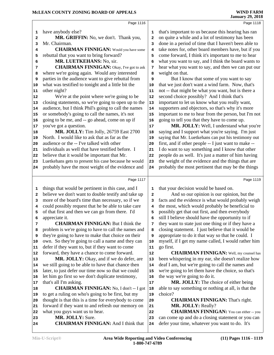|              | Page 1116                                                      |    | Page 1118                                                                                           |
|--------------|----------------------------------------------------------------|----|-----------------------------------------------------------------------------------------------------|
| 1            | have anybody else?                                             | 1  | that's important to us because this hearing has ran                                                 |
| $\mathbf{2}$ | MR. GRIFFIN: No, we don't. Thank you,                          | 2  | on quite a while and a lot of testimony has been                                                    |
| 3            | Mr. Chairman.                                                  | 3  | done in a period of time that I haven't been able to                                                |
| 4            | <b>CHAIRMAN FINNIGAN:</b> Would you have some                  | 4  | take notes for, other board members have, but if you                                                |
| 5            | rebuttal that you want to bring forward?                       | 5  | come forward, I think it's important to me to hear                                                  |
| 6            | MR. LUETKEHANS: No, sir.                                       | 6  | what you want to say, and I think the board wants to                                                |
| 7            | <b>CHAIRMAN FINNIGAN:</b> Okay, I've got to ask                | 7  | hear what you want to say, and then we can put our                                                  |
| 8            | where we're going again. Would any interested                  | 8  | weight on that.                                                                                     |
| 9            | parties in the audience want to give rebuttal from             | 9  | But I know that some of you want to say                                                             |
| 10           | what was testified to tonight and a little bit the             | 10 | that we just don't want a wind farm. Now, that's                                                    |
| 11           | other night?                                                   | 11 | not -- that might be what you want, but is there a                                                  |
| 12           | We're at the point where we're going to be                     | 12 | second choice possibly? And I think that's                                                          |
| 13           | closing statements, so we're going to open up to the           | 13 | important to let us know what you really want,                                                      |
| 14           | audience, but I think Phil's going to call the names           | 14 | supporters and objectors, so that's why it's more                                                   |
| 15           | or somebody's going to call the names, it's not                | 15 | important to me to hear from the person, but I'm not                                                |
| 16           | going to be me, and -- go ahead, come on up if                 | 16 | going to tell you that they have to come up.                                                        |
| 17           | you've got a question.                                         | 17 | MR. JOLLY: Well, I understand what you're                                                           |
| 18           | MR. JOLLY: Tim Jolly, 26759 East 2700                          | 18 | saying and I support what you're saying. I'm just                                                   |
| 19           | North. I would like to ask that as far as the                  | 19 | saying that Mr. Luetkehans can put his testimony out                                                |
| 20           | audience or the -- I've talked with other                      | 20 | first, and if other people -- I just want to make --                                                |
| 21           | individuals as well that have testified before. I              | 21 | I do want to say something and I know that other                                                    |
| 22           | believe that it would be important that Mr.                    | 22 | people do as well. It's just a matter of him having                                                 |
| 23           | Luetkehans gets to present his case because he would           | 23 | the weight of the evidence and the things that are                                                  |
| 24           | probably have the most weight of the evidence and              | 24 | probably the most pertinent that may be the things                                                  |
|              |                                                                |    |                                                                                                     |
|              | Page 1117                                                      |    | Page 1119                                                                                           |
| 1            | things that would be pertinent in this case, and I             | 1  | that your decision would be based on.                                                               |
| 2            | believe we don't want to double testify and take up            | 2  | And so our opinion is our opinion, but the                                                          |
| 3            | more of the board's time than necessary, so if we              | 3  | facts and the evidence is what would probably weigh                                                 |
| 4            | could possibly request that he be able to take care            | 4  | the most, which would probably be beneficial to                                                     |
| 5            | of that first and then we can go from there. I'd               | 5  | possibly get that out first, and then everybody                                                     |
| 6            | appreciate it.                                                 | 6  | still I believe should have the opportunity to if                                                   |
| 7            | <b>CHAIRMAN FINNIGAN: But I think the</b>                      | 7  | they want to state just one thing or if they have a                                                 |
| 8            | problem is we're going to have to call the names and           | 8  | closing statement. I just believe that it would be                                                  |
| 9            | they're going to have to make that choice on their             | 9  | appropriate to do it that way so that he could. I                                                   |
| 10           | own. So they're going to call a name and they can              | 10 | myself, if I get my name called, I would rather him                                                 |
| 11           | defer if they want to, but if they want to come                | 11 | go first.                                                                                           |
| 12           | forward, they have a chance to come forward.                   | 12 | <b>CHAIRMAN FINNIGAN:</b> Well, my counsel has                                                      |
| 13           | MR. JOLLY: Okay, and if we do defer, are                       | 13 | been whispering in my ear, she doesn't realize how                                                  |
| 14           | we still going to be able to have that chance then             | 14 | deaf I am, but we're going to call the names and                                                    |
| 15           | later, to just defer our time now so that we could             | 15 | we're going to let them have the choice, so that's                                                  |
| 16           | let him go first so we don't duplicate testimony,              | 16 | the way we're going to do it.                                                                       |
| 17           | that's all I'm asking.                                         | 17 | MR. JOLLY: The choice of either being                                                               |
| 18           | <b>CHAIRMAN FINNIGAN:</b> No, I don't -- I got                 | 18 | able to say something or nothing at all, is that the                                                |
| 19           | to get a ruling on who's going to be first, but my             | 19 | choice?                                                                                             |
| 20           | thought is that this is a time for everybody to come           | 20 | <b>CHAIRMAN FINNIGAN:</b> That's right.                                                             |
| 21           | forward if they want to and refresh our memory on              | 21 | <b>MR. JOLLY: Really?</b>                                                                           |
| 22           | what you guys want us to hear.                                 | 22 | <b>CHAIRMAN FINNIGAN:</b> You can either -- you                                                     |
|              |                                                                |    |                                                                                                     |
| 23           | MR. JOLLY: Sure.<br><b>CHAIRMAN FINNIGAN: And I think that</b> | 23 | can come up and do a closing statement or you can<br>defer your time, whatever you want to do. It's |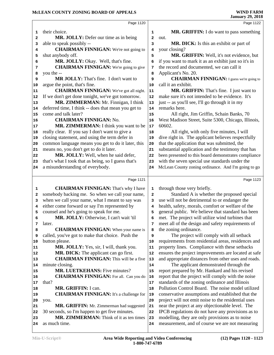|                                                          | Page 1120                                              |              | Page 1122                                                                                                |  |
|----------------------------------------------------------|--------------------------------------------------------|--------------|----------------------------------------------------------------------------------------------------------|--|
| 1                                                        | their choice.                                          | 1            | MR. GRIFFIN: I do want to pass something                                                                 |  |
| 2                                                        | MR. JOLLY: Defer our time as in being                  | $\mathbf{2}$ | out.                                                                                                     |  |
| з                                                        | able to speak possibly --                              | 3            | MR. DICK: Is this an exhibit or part of                                                                  |  |
| 4                                                        | <b>CHAIRMAN FINNIGAN:</b> We're not going to           | 4            | your closing?                                                                                            |  |
| 5                                                        | shut anybody off.                                      | 5            | MR. GRIFFIN: Well, it's not evidence, but                                                                |  |
| 6                                                        | MR. JOLLY: Okay. Well, that's fine.                    | 6            | if you want to mark it as an exhibit just so it's in                                                     |  |
| 7                                                        | <b>CHAIRMAN FINNIGAN:</b> We're going to give          | 7            | the record and documented, we can call it                                                                |  |
| 8                                                        | you the --                                             | 8            | Applicant's No. 20.                                                                                      |  |
| 9                                                        | MR JOLLY: That's fine. I don't want to                 | 9            | <b>CHAIRMAN FINNIGAN:</b> I guess we're going to                                                         |  |
| 10                                                       | argue the point, that's fine.                          | 10           | call it an exhibit.                                                                                      |  |
| 11                                                       | <b>CHAIRMAN FINNIGAN:</b> We've got all night.         | 11           | MR. GRIFFIN: That's fine. I just want to                                                                 |  |
| 12                                                       | If we don't get done tonight, we've got tomorrow.      | 12           | make sure it's not intended to be evidence. It's                                                         |  |
| 13                                                       | MR. ZIMMERMAN: Mr. Finnigan, I think                   | 13           | just -- as you'll see, I'll go through it in my                                                          |  |
| 14                                                       | deferred time, I think -- does that mean you get to    | 14           | remarks here.                                                                                            |  |
| 15                                                       | come and talk later?                                   | 15           | All right, Jim Griffin, Schain Banks, 70                                                                 |  |
| 16                                                       | <b>CHAIRMAN FINNIGAN: No.</b>                          | 16           | West Madison Street, Suite 5300, Chicago, Illinois,                                                      |  |
| 17                                                       | MR. ZIMMERMAN: I think you want to be                  | 17           | 60602.                                                                                                   |  |
| 18                                                       | really clear. If you say I don't want to give a        | 18           | All right, with only five minutes, I will                                                                |  |
| 19                                                       | closing statement, and using the term defer in         | 19           | dive right in. The applicant believes respectfully                                                       |  |
| 20                                                       | common language means you get to do it later, this     | 20           | that the application that was submitted, the                                                             |  |
| ${\bf 21}$                                               | means no, you don't get to do it later.                | 21           | substantial application and the testimony that has                                                       |  |
| 22                                                       | MR. JOLLY: Well, when he said defer,                   | 22           | been presented to this board demonstrates compliance                                                     |  |
| 23                                                       | that's what I took that as being, so I guess that's    | 23           | with the seven special use standards under the                                                           |  |
| 24                                                       | a misunderstanding of everybody.                       | 24           | McLean County zoning ordinance. And I'm going to go                                                      |  |
|                                                          |                                                        |              |                                                                                                          |  |
|                                                          |                                                        |              |                                                                                                          |  |
|                                                          | Page 1121                                              |              | Page 1123                                                                                                |  |
| 1                                                        | <b>CHAIRMAN FINNIGAN:</b> That's why I have            | 1            | through those very briefly.                                                                              |  |
| 2                                                        | somebody backing me. So when we call your name,        | 2            | Standard A is whether the proposed special                                                               |  |
| з                                                        | when we call your name, what I meant to say was        | 3            | use will not be detrimental to or endanger the                                                           |  |
| 4                                                        | either come forward or say I'm represented by          | 4            | health, safety, morals, comfort or welfare of the                                                        |  |
| 5                                                        | counsel and he's going to speak for me.                | 5            | general public. We believe that standard has been                                                        |  |
| 6                                                        | MR. JOLLY: Otherwise, I can't wait 'til                | 6            | met. The project will utilize wind turbines that                                                         |  |
| 7                                                        | later.                                                 | 7            | meet all of the design and safety requirements of                                                        |  |
| 8                                                        | <b>CHAIRMAN FINNIGAN:</b> When your name is            | 8            | the zoning ordinance.                                                                                    |  |
| 9                                                        | called, you've got to make that choice. Push the       | 9            | The project will comply with all setback                                                                 |  |
|                                                          | button please.                                         | 10           | requirements from residential areas, residences and                                                      |  |
|                                                          | MR. JOLLY: Yes, sir, I will, thank you.                | 11           | property lines. Compliance with these setbacks                                                           |  |
|                                                          | <b>MR. DICK:</b> The applicant can go first.           | 12           | ensures the project improvements are located at safe                                                     |  |
|                                                          | <b>CHAIRMAN FINNIGAN:</b> This will be a five          | 13           | and appropriate distances from other uses and roads.                                                     |  |
|                                                          | minute closing.                                        | 14           | The applicant demonstrated through the                                                                   |  |
|                                                          | <b>MR. LUETKEHANS:</b> Five minutes?                   | 15           | report prepared by Mr. Hankard and his revised                                                           |  |
|                                                          | <b>CHAIRMAN FINNIGAN:</b> For all. Can you do          | 16<br>17     | report that the project will comply with the noise                                                       |  |
|                                                          | that?<br>MR. GRIFFIN: I can.                           | 18           | standards of the zoning ordinance and Illinois<br>Pollution Control Board. The noise model utilized      |  |
| 10<br>11<br>12<br>13<br>14<br>15<br>16<br>17<br>18<br>19 |                                                        | 19           |                                                                                                          |  |
| 20                                                       | <b>CHAIRMAN FINNIGAN:</b> It's a challenge for<br>you. | 20           | conservative assumptions and established that the<br>project will not emit noise to the residential uses |  |
|                                                          | MR. GRIFFIN: Mr. Zimmerman had suggested               | 21           | near the project at any objectionable level. The                                                         |  |
|                                                          | 30 seconds, so I'm happen to get five minutes.         | 22           | IPCB regulations do not have any provisions as to                                                        |  |
| 21<br>22<br>23                                           | MR. ZIMMERMAN: Think of it as ten times                | 23           | modelling, they are only provisions as to noise                                                          |  |
| 24                                                       | as much time.                                          | 24           | measurement, and of course we are not measuring                                                          |  |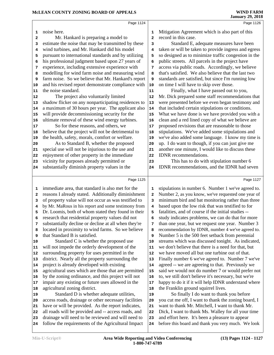|          | Page 1124                                                                                                |            | Page 1126                                                                                             |  |
|----------|----------------------------------------------------------------------------------------------------------|------------|-------------------------------------------------------------------------------------------------------|--|
| 1        | noise here.                                                                                              | 1          | Mitigation Agreement which is also part of this                                                       |  |
|          | Mr. Hankard is preparing a model to                                                                      | 2          | record in this case.                                                                                  |  |
| 2<br>3   | estimate the noise that may be transmitted by these                                                      | 3          | Standard E, adequate measures have been                                                               |  |
| 4        | wind turbines, and Mr. Hankard did his model                                                             | 4          | taken or will be taken to provide ingress and egress                                                  |  |
| 5        | pursuant to international standards and by utilizing                                                     | 5          | so designed as to minimize traffic congestion in the                                                  |  |
| 6        | his professional judgment based upon 27 years of                                                         | 6          | public streets. All parcels in the project have                                                       |  |
| 7        | experience, including extensive experience with                                                          | 7          | access via public roads. Accordingly, we believe                                                      |  |
| 8        | modelling for wind farm noise and measuring wind                                                         | 8          | that's satisfied. We also believe that the last two                                                   |  |
| 9        | farm noise. So we believe that Mr. Hankard's report                                                      | 9          | standards are satisfied, but since I'm running low                                                    |  |
| 10       | and his revised report demonstrate compliance with                                                       | ${\bf 10}$ | on time I will have to skip over those.                                                               |  |
| 11       | the noise standard.                                                                                      | ${\bf 11}$ | Finally, what I have passed out to you,                                                               |  |
| 12       | The project also voluntarily limited                                                                     | 12         | Mr. Dick prepared some staff recommendations that                                                     |  |
| 13       | shadow flicker on any nonparticipating residences to                                                     | 13         | were presented before we even began testimony and                                                     |  |
| 14       | a maximum of 30 hours per year. The applicant also                                                       | 14         | that included certain stipulations or conditions.                                                     |  |
| 15       | will provide decommissioning security for the                                                            | 15         | What we have done is we have provided you with a                                                      |  |
| 16       | ultimate removal of these wind energy turbines.                                                          | 16         | clean and a red lined copy of what we believe are                                                     |  |
| 17       | So for these reasons, and others, we                                                                     | 17         | proposed revisions that are reasonable to those                                                       |  |
| 18       | believe that the project will not be detrimental to                                                      | 18         | stipulations. We've added some stipulations and                                                       |  |
| 19       | the health, safety, morals, comfort or welfare.                                                          | 19         | we've also added some language. I know my time is                                                     |  |
| 20       | As to Standard B, whether the proposed                                                                   | 20         | up. I do want to though, if you can just give me                                                      |  |
| 21       | special use will not be injurious to the use and                                                         | 21         | another one minute, I would like to discuss these                                                     |  |
| 22       | enjoyment of other property in the immediate                                                             | 22         | IDNR recommendations.                                                                                 |  |
| 23       | vicinity for purposes already permitted or                                                               | 23         | This has to do with stipulation number 6                                                              |  |
| 24       | substantially diminish property values in the                                                            | 24         | IDNR recommendations, and the IDNR had seven                                                          |  |
|          |                                                                                                          |            |                                                                                                       |  |
|          | Page 1125                                                                                                |            | Page 1127                                                                                             |  |
| 1        | immediate area, that standard is also met for the                                                        | 1          | stipulations in number 6. Number 1 we've agreed to.                                                   |  |
| 2        | reasons I already stated. Additionally diminishment                                                      | 2          | Number 2, as you know, we've requested one year of                                                    |  |
| 3        | of property value will not occur as was testified to                                                     | 3          | minimum bird and bat monitoring rather than three                                                     |  |
| 4        | by Mr. MaRous in his report and some testimony from                                                      | 4          | based upon the low risk that was testified to for                                                     |  |
| 5        | Dr. Loomis, both of whom stated they found in their                                                      | 5          | fatalities, and of course if the initial studies --                                                   |  |
| 6        | research that residential property values did not                                                        | 6          | study indicates problems, we can do that for more                                                     |  |
| 7        | substantially decline or decline at all when they're                                                     | 7          | than one year, but we request one year. Number 3                                                      |  |
| 8        | located in proximity to wind farms. So we believe                                                        | 8          | recommendation by IDNR, number 4 we've agreed to.                                                     |  |
| 9        | that Standard B is satisfied.                                                                            | 9          | Number 5 is the 500 feet setback from perennial                                                       |  |
| 10       | Standard C is whether the proposed use                                                                   | 10         | streams which was discussed tonight. As indicated,                                                    |  |
| 11       | will not impede the orderly development of the                                                           | 11         | we don't believe that there is a need for that, but                                                   |  |
| 12       | surrounding property for uses permitted in the                                                           | 12         | we have moved all but one turbine out of that.                                                        |  |
| 13       | district. Nearly all the property surrounding the<br>project is already developed with existing          | 13         | Finally number 6 we've agreed to. Number 7 we've                                                      |  |
| 14       | agricultural uses which are those that are permitted                                                     | 14         | agreed -- we are agreeing to that. Previously we<br>said we would not do number 7 or would prefer not |  |
| 15<br>16 | by the zoning ordinance, and this project will not                                                       | 15<br>16   | to, we still don't believe it's necessary, but we're                                                  |  |
| 17       | impair any existing or future uses allowed in the                                                        | 17         | happy to do it if it will help IDNR understand where                                                  |  |
| 18       | agricultural zoning district.                                                                            | 18         | the Franklin ground squirrel lives.                                                                   |  |
| 19       | Standard D is whether adequate utilities,                                                                | 19         | So finally I do want to thank you before                                                              |  |
| 20       | access roads, drainage or other necessary facilities                                                     | 20         | you cut me off, I want to thank the zoning board, I                                                   |  |
| 21       | have or will be provided. As the report indicates,                                                       | 21         | want to thank Mr. Mitchell, I want to thank Mr.                                                       |  |
| 22       | all roads will be provided and -- access roads, and                                                      | 22         | Dick, I want to thank Ms. Walley for all your time                                                    |  |
|          |                                                                                                          |            |                                                                                                       |  |
|          |                                                                                                          |            |                                                                                                       |  |
| 23<br>24 | drainage will need to be reviewed and will need to<br>follow the requirements of the Agricultural Impact | 23<br>24   | and effort here. It's been a pleasure to appear<br>before this board and thank you very much. We look |  |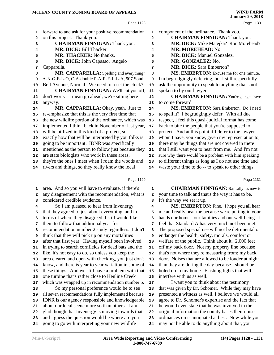|      | Page 1128                                            |                         | Page 1130                                            |  |
|------|------------------------------------------------------|-------------------------|------------------------------------------------------|--|
| 1    | forward to and ask for your positive recommendation  | 1                       | component of the ordinance. Thank you.               |  |
| 2    | on this project. Thank you.                          | $\overline{\mathbf{2}}$ | <b>CHAIRMAN FINNIGAN: Thank you.</b>                 |  |
| 3    | <b>CHAIRMAN FINNIGAN: Thank you.</b>                 | 3                       | MR. DICK: Mike Matejka? Ron Morehead?                |  |
| 4    | MR. DICK: Bill Thacker.                              | 4                       | MR. MOREHEAD: No.                                    |  |
| 5    | MR. THACKER: No thanks.                              | 5                       | MR. DICK: Manuel Gonzalez.                           |  |
| 6    | MR. DICK: John Capasso. Angelo                       | 6                       | MR. GONZALEZ: No.                                    |  |
| 7    | Capparella.                                          | 7                       | <b>MR. DICK: Sara Emberton?</b>                      |  |
| 8    | MR. CAPPARELLA: Spelling and everything?             | 8                       | MS. EMBERTON: Excuse me for one minute.              |  |
| 9    | A-N-G-E-L-O, C-A-double P-A-R-E-L-L-A, 907 South     | 9                       | I'm begrudgingly deferring, but I still respectfully |  |
| 10   | Bell Avenue, Normal. We need to reset the clock?     | 10                      | ask the opportunity to speak to anything that's not  |  |
| 11   | <b>CHAIRMAN FINNIGAN:</b> We'll cut you off,         | ${\bf 11}$              | spoken to by our lawyer.                             |  |
| 12   | don't worry. I mean go ahead, we're sitting here     | 12                      | <b>CHAIRMAN FINNIGAN:</b> You're going to have       |  |
| 13   | anyway.                                              | 13                      | to come forward.                                     |  |
| 14   | MR. CAPPARELLA: Okay, yeah. Just to                  | 14                      | MS. EMBERTON: Sara Emberton. Do I need               |  |
| 15   | re-emphasize that this is the very first time that   | 15                      | to spell it? I begrudgingly defer. With all due      |  |
| 16   | the new wildlife portion of the ordinance, which was | 16                      | respect, I feel this quasi-judicial format has come  |  |
| $17$ | implemented I think back in November of last year,   | 17                      | back to bite the people that you're supposed to      |  |
| 18   | will be utilized in this kind of a project, so       | 18                      | protect. And at this point if I defer to the lawyer  |  |
| 19   | exactly how that will be interpreted by you folks is | 19                      | whom I have, you know, given my representation to,   |  |
| 20   | going to be important. IDNR was specifically         | 20                      | there may be things that are not covered in there    |  |
| 21   | mentioned as the person to follow just because they  | 21                      | that I still want you to hear from me. And I'm not   |  |
| 22   | are state biologists who work in these areas,        | 22                      | sure why there would be a problem with him speaking  |  |
| 23   | they're the ones I meet when I roam the woods and    | 23                      | to different things as long as I do not use time and |  |
| 24   | rivers and things, so they really know the local     | 24                      | waste your time to do -- to speak to other things.   |  |
|      |                                                      |                         |                                                      |  |
|      | Page 1129                                            |                         | Page 1131                                            |  |
| 1    | area. And so you will have to evaluate, if there's   | 1                       | <b>CHAIRMAN FINNIGAN:</b> Basically it's now is      |  |
| 2    | any disagreement with the recommendation, what is    | 2                       | your time to talk and that's the way it has to be.   |  |
| 3    | considered credible evidence.                        | 3                       | It's the way we set it up.                           |  |
| 4    | So I am pleased to hear from Invenergy               | 4                       | MS. EMBERTON: Fine. I hope you all hear              |  |
| 5    | that they agreed to just about everything, and in    | 5                       | me and really hear me because we're putting in your  |  |
| 6    | terms of where they disagreed, I still would like    | 6                       | hands our homes, our families and our well-being. I  |  |
| 7    | them to follow that additional year for              | 7                       | feel that Standard A has very much not been met.     |  |
| 8    | recommendation number 2 study regardless. I don't    | 8                       | The proposed special use will not be detrimental or  |  |
| 9    | think that they will pick up on any mortalities      | 9                       | endanger the health, safety, morals, comfort or      |  |
| 10   | after that first year. Having myself been involved   | 10                      | welfare of the public. Think about it. 2,000 feet    |  |
| 11   | in trying to search cornfields for dead bats and the | 11                      | off my back door. Not my property line because       |  |
| 12   | like, it's not easy to do, so unless you keep the    | 12                      | that's not where they're measuring from; my back     |  |
| 13   | area cleared and open with checking, you just don't  | 13                      | door. Noises that are allowed to be louder at night  |  |
| 14   | know, and there is year to year variation in some of | 14                      | than they are during the day because I should be     |  |
| 15   | these things. And we still have a problem with that  | 15                      | holed up in my home. Flashing lights that will       |  |
| 16   | one turbine that's rather close to Henline Creek     | 16                      | interfere with us as well.                           |  |
| 17   | which was wrapped up in recommendation number 5.     | 17                      | I want you to think about the testimony              |  |
| 18   | So my personal preference would be to see            | 18                      | that was given by Dr. Schomer. While they may have   |  |
| 19   |                                                      |                         |                                                      |  |
|      | all seven recommendations fully implemented because  | 19                      | presented a witness as well, I believe we would all  |  |
| 20   | IDNR is our agency responsible and knowledgeable     | 20                      | agree to Dr. Schomer's expertise and the fact that   |  |
| 21   | about our local scene more so than others. I am      | 21                      | he would even state that he was involved in the      |  |
| 22   | glad though that Invenergy is moving towards that,   | 22                      | original information the county bases their noise    |  |
| 23   | and I guess the question would be where are you      | 23                      | ordinances on is antiquated at best. Now while you   |  |
| 24   | going to go with interpreting your new wildlife      | 24                      | may not be able to do anything about that, you       |  |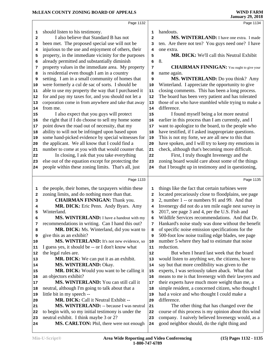|              |                                                      |                | oanuary 27, 2010                                     |
|--------------|------------------------------------------------------|----------------|------------------------------------------------------|
|              | Page 1132                                            |                | Page 1134                                            |
| 1            | should listen to his testimony.                      | 1              | handouts.                                            |
| $\mathbf{2}$ | I also believe that Standard B has not               | $\overline{a}$ | MS. WINTERLAND: I have one extra. I made             |
| з            | been met. The proposed special use will not be       | з              | ten. Are there not ten? You guys need one? I have    |
| 4            | injurious to the use and enjoyment of others, their  | 4              | one extra.                                           |
| 5            | property, in the immediate vicinity for the purposes | 5              | MR. DICK: We'll call this Neutral Exhibit            |
| 6            | already permitted and substantially diminish         | 6              | 8.                                                   |
| 7            | property values in the immediate area. My property   | 7              | <b>CHAIRMAN FINNIGAN:</b> You ought to give your     |
| 8            | is residential even though I am in a country         | 8              | name again.                                          |
| 9            | setting. I am in a small community of homes that     | 9              | MS. WINTERLAND: Do you think? Amy                    |
| 10           | were formerly a cul de sac of sorts. I should be     | 10             | Winterland. I appreciate the opportunity to give     |
| 11           | able to use my property the way that I purchased it  | 11             | closing comments. This has been a long process.      |
| 12           | for and pay my taxes for, and you should not let a   | 12             | The board has been very patient and has tolerated    |
| 13           | corporation come in from anywhere and take that away | 13             | those of us who have stumbled while trying to make a |
| 14           | from me.                                             | 14             | difference.                                          |
| 15           | I also expect that you guys will protect             | 15             | I found myself being a lot more neutral              |
| 16           | the right that if I do choose to sell my home some   | 16             | earlier in this process than I am currently, and I   |
| 17           | point down the road out of necessity, that my        | 17             | want to apologize to the board, to the people who    |
| 18           | ability to will not be infringed upon based upon     | 18             | have testified, if I asked inappropriate questions.  |
| 19           | some hand-picked evidence by special witnesses for   | 19             | This is not my forte, we are all new to this that    |
| 20           | the applicant. We all know that I could find a       | 20             | have spoken, and I will try to keep my emotions in   |
| 21           | number to come at you with that would counter that.  | 21             | check, although that's becoming more difficult.      |
| 22           | In closing, I ask that you take everything           | 22             | First, I truly thought Invenergy and the             |
| 23           | else out of the equation except for protecting the   | 23             | zoning board would care about some of the things     |
| 24           | people within these zoning limits. That's all, just  | 24             | that I brought up in testimony and in questioning,   |
|              |                                                      |                |                                                      |
|              | Page 1133                                            |                | Page 1135                                            |
| 1            | the people, their homes, the taxpayers within these  | 1              | things like the fact that certain turbines were      |
| 2            | zoning limits, and do nothing more than that.        | $\overline{a}$ | located precariously close to floodplains, see page  |
| з            | <b>CHAIRMAN FINNIGAN: Thank you.</b>                 | 3              | 2, number 1 -- or numbers 91 and 99. And that        |
| 4            | MR. DICK: Eric Penn. Andy Byars. Amy                 | $\overline{4}$ | Invenergy did not do a ten mile eagle nest survey in |
| 5            | Winterland.                                          | 5              | 2017, see page 3 and 4, per the U.S. Fish and        |
| 6            | MS. WINTERLAND: I have a handout with my             | 6              | Wildlife Services recommendations. And that Dr.      |
| 7            | recommendations in writing. Can I hand this out?     | 7              | Hankard's noise study was done without the benefit   |
| 8            | MR. DICK: Ms. Winterland, did you want to            | 8              | of specific noise emission specifications for the    |
| 9            | give this as an exhibit?                             | 9              | 500-foot low noise trailing edge blades, see page    |
| 10           | <b>MS. WINTERLAND:</b> It's not new evidence, so     | 10             | number 5 where they had to estimate that noise       |
| 11           | I guess yes, it should be -- or I don't know what    | 11             | reduction.                                           |
| 12           | the legal rules are.                                 | 12             | But when I heard last week that the board            |
| 13           | <b>MR. DICK:</b> We can put it as an exhibit.        | 13             | would listen to anything we, the citizens, have to   |
| 14           | MS. WINTERLAND: Okay.                                | 14             | say but that more credibility was given to the       |
| 15           | MR. DICK: Would you want to be calling it            | 15             | experts, I was seriously taken aback. What that      |
| 16           | an objectors exhibit?                                | 16             | means to me is that Invenergy with their lawyers and |
| 17           | MS. WINTERLAND: You can still call it                | 17             | their experts have much more weight than me, a       |
| 18           | neutral, although I'm going to talk about that a     | 18             | simple resident, a concerned citizen, who thought I  |
| 19           | little bit in my speech --                           | 19             | had a voice and who thought I could make a           |
| 20           | <b>MR. DICK:</b> Call it Neutral Exhibit --          | 20             | difference.                                          |
| 21           | MS. WINTERLAND: -- because I was neutral             | 21             | The other thing that has changed over the            |
| 22           | to begin with, so my initial testimony is under the  | 22             | course of this process is my opinion about this wind |
| 23           | neutral exhibit. I think maybe 3 or 2?               | 23             | company. I naively believed Invenergy would, as a    |
| 24           | MS. CARLTON: Phil, there were not enough             | 24             | good neighbor should, do the right thing and         |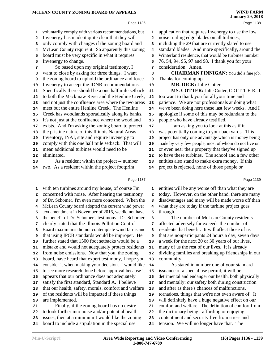### McLEAN COUNTY ZONING BOARD OF APPEALS WIND FARM<br>January 29, 2018

|              | MCLEAN COUNTY ZONING BOARD OF APPEALS                |              | <b>WIND FARM</b><br><b>January 29, 2018</b>          |
|--------------|------------------------------------------------------|--------------|------------------------------------------------------|
|              | Page 1136                                            |              | Page 1138                                            |
| 1            | voluntarily comply with various recommendations, but | 1            | application that requires Invenergy to use the low   |
| $\mathbf{2}$ | Invenergy has made it quite clear that they will     | 2            | noise trailing edge blades on all turbines,          |
| 3            | only comply with changes if the zoning board and     | 3            | including the 29 that are currently slated to use    |
| 4            | McLean County require it. So apparently this zoning  | 4            | standard blades. And more specifically, around the   |
| 5            | board must be very specific in what it requires      | 5            | Winterland residence, that would be turbines number  |
| 6            | Invenergy to change.                                 | 6            | 76, 54, 94, 95, 97 and 98. I thank you for your      |
| 7            | So based upon my original testimony, I               | 7            | consideration. Amen.                                 |
| 8            | want to close by asking for three things. I want     | 8            | <b>CHAIRMAN FINNIGAN:</b> You did a fine job.        |
| 9            | the zoning board to uphold the ordinance and force   | 9            | Thanks for coming up.                                |
| 10           | Invenergy to accept the IDNR recommendations.        | 10           | MR. DICK: Julie Cotter.                              |
| 11           | Specifically there should be a one half mile setback | 11           | MS. COTTER: Julie Cotter, C-O-T-T-E-R. I             |
| 12           | to both the Mackinaw River and the Henline Creek,    | 12           | too want to thank you for all your time and          |
| 13           | and not just the confluence area where the two areas | 13           | patience. We are not professionals at doing what     |
| 14           | meet but the entire Henline Creek. The Henline       | 14           | we've been doing here these last few weeks. And I    |
| 15           | Creek has woodlands sporadically along its banks.    | 15           | apologize if some of this may be redundant to the    |
| 16           | It's not just at the confluence where the woodland   | 16           | people who have already testified.                   |
| 17           | exists. And I'm asking the zoning board to protect   | 17           | I am asking you to look at this as if it             |
| 18           | the pristine nature of this Illinois Natural Areas   | 18           | was potentially coming to your backyards. This       |
| 19           | Inventory, INAI, site and require Invenergy to       | 19           | project has only one advantage which is money being  |
| 20           | comply with this one half mile setback. That will    | 20           | made by very few people, most of whom do not live on |
| 21           | mean additional turbines would need to be            | 21           | or even near their property that they've signed up   |
| 22           | eliminated.                                          | 22           | to have these turbines. The school and a few other   |
| 23           | As a resident within the project -- number           | 23           | entities also stand to make extra money. If this     |
| 24           | two. As a resident within the project footprint      | 24           | project is rejected, none of those people or         |
|              | Page 1137                                            |              | Page 1139                                            |
| 1            | with ten turbines around my house, of course I'm     | 1            | entities will be any worse off than what they are    |
| 2            | concerned with noise. After hearing the testimony    | $\mathbf{2}$ | today. However, on the other hand, there are many    |
| 3            | of Dr. Schomer, I'm even more concerned. When the    | 3            | disadvantages and many will be made worse off than   |
| 4            | McLean County board adopted the current wind power   | 4            | what they are today if the turbine project goes      |
| 5            | text amendment in November of 2016, we did not have  | 5            | through.                                             |
| 6            | the benefit of Dr. Schomer's testimony. Dr. Schomer  | 6            | The number of McLean County residents                |
| 7            | clearly stated that the Illinois Pollution Control   | 7            | affected adversely far exceeds the number of         |
| 8            | Board maximums did not contemplate wind farms and    | 8            | residents that benefit. It will affect those of us   |
| 9            | that using IPCB standards would be improper. He      | 9            | that are nonparticipants 24 hours a day, seven days  |
| 10           | further stated that 1500 foot setbacks would be a    | 10           | a week for the next 20 or 30 years of our lives,     |
| 11           | mistake and would not adequately protect residents   | 11           | many of us the rest of our lives. It is already      |
| 12           | from noise emissions. Now that you, the zoning       | 12           | dividing families and breaking up friendships in our |
| 13           | board, have heard that expert testimony, I hope you  | 13           | community.                                           |
| 14           | consider it when making your decision. I would like  | 14           | As stated in number one of your standard             |
| 15           | to see more research done before approval because it | 15           | issuance of a special use permit, it will be         |
| 16           | appears that our ordinance does not adequately       | 16           | detrimental and endanger our health, both physically |
| 17           | satisfy the first standard, Standard A. I believe    | 17           | and mentally; our safety both during construction    |
| 18           | that our health, safety, morals, comfort and welfare | 18           | and after as there's chances of malfunctions,        |
| 19           | of the residents will be impacted if these things    | 19           | tornadoes, things that we're not even aware of. It   |
| 20           | are implemented.                                     | 20           | will definitely have a huge negative effect on our   |
| 21           | Finally, if the zoning board has no desire           | 21           | comfort and welfare. The definition of comfort from  |
| 22           | to look further into noise and/or potential health   | 22           | the dictionary being: affording or enjoying          |
| 23           | issues, then at a minimum I would like the zoning    | 23           | contentment and security free from stress and        |

 board to include a stipulation in the special use tension. We will no longer have that. The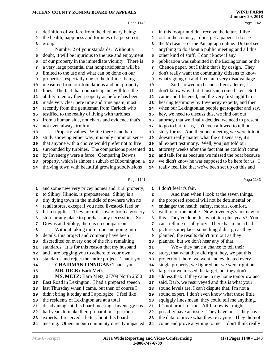|                                      | Page 1140                                                                                                                                                                                                                                                                                                                                                                        |                                      | Page 1142                                                                                                                                                                                                                                                                                                                                                                                                                         |  |
|--------------------------------------|----------------------------------------------------------------------------------------------------------------------------------------------------------------------------------------------------------------------------------------------------------------------------------------------------------------------------------------------------------------------------------|--------------------------------------|-----------------------------------------------------------------------------------------------------------------------------------------------------------------------------------------------------------------------------------------------------------------------------------------------------------------------------------------------------------------------------------------------------------------------------------|--|
| 1<br>2<br>з<br>4<br>5<br>6<br>7<br>8 | definition of welfare from the dictionary being:<br>the health, happiness and fortunes of a person or<br>group.<br>Number 2 of your standards. Without a<br>doubt, it will be injurious to the use and enjoyment<br>of our property in the immediate vicinity. There is<br>a very large potential that nonparticipants will be<br>limited to the use and what can be done on our | 1<br>2<br>3<br>4<br>5<br>6<br>7<br>8 | in this footprint didn't receive the letter. I live<br>out in the country, I don't get a paper. I do see<br>the McLean -- or the Pantagraph online. Did not see<br>anything to do about a public meeting and all this<br>other kind of stuff. I don't know if any<br>publication was submitted in the Lexingtonian or the<br>Chenoa paper, but I think that's by design. They<br>don't really want the community citizens to know |  |
| 9                                    | properties, especially due to the turbines being                                                                                                                                                                                                                                                                                                                                 | 9                                    | what's going on and I feel at a very disadvantage.                                                                                                                                                                                                                                                                                                                                                                                |  |
| 10                                   | measured from our foundations and not property                                                                                                                                                                                                                                                                                                                                   | 10                                   | So I showed up because I got a letter, I                                                                                                                                                                                                                                                                                                                                                                                          |  |
| 11                                   | lines. The fact that nonparticipants will lose the                                                                                                                                                                                                                                                                                                                               | 11                                   | don't know why, but it just said come listen. So I                                                                                                                                                                                                                                                                                                                                                                                |  |
| 12                                   | ability to enjoy their property as before has been<br>made very clear here time and time again, most                                                                                                                                                                                                                                                                             | 12<br>13                             | came and I listened, and the very first night I'm<br>hearing testimony by Invenergy experts, and then                                                                                                                                                                                                                                                                                                                             |  |
| 13<br>14                             | recently from the gentleman from Carlock who                                                                                                                                                                                                                                                                                                                                     | 14                                   | when our Lexingtonian people get together and say,                                                                                                                                                                                                                                                                                                                                                                                |  |
| 15                                   | testified to the reality of living with turbines                                                                                                                                                                                                                                                                                                                                 | 15                                   | hey, we need to discuss this, we find out our                                                                                                                                                                                                                                                                                                                                                                                     |  |
| 16                                   | from a human side, not charts and evidence that's                                                                                                                                                                                                                                                                                                                                | 16                                   | attorney that we finally decided we need to present,                                                                                                                                                                                                                                                                                                                                                                              |  |
| 17                                   | not even always truthful.                                                                                                                                                                                                                                                                                                                                                        | 17                                   | to go to bat for us, isn't even allowed to tell our                                                                                                                                                                                                                                                                                                                                                                               |  |
| 18                                   | Property values. While there is no hard                                                                                                                                                                                                                                                                                                                                          | 18                                   | story for us. And then one meeting we were told it                                                                                                                                                                                                                                                                                                                                                                                |  |
| 19                                   | study showing either way, it is only common sense                                                                                                                                                                                                                                                                                                                                | 19                                   | doesn't really matter what the citizens say, it's                                                                                                                                                                                                                                                                                                                                                                                 |  |
| 20                                   | that anyone with a choice would prefer not to live                                                                                                                                                                                                                                                                                                                               | 20                                   | all expert testimony. Well, you just told our                                                                                                                                                                                                                                                                                                                                                                                     |  |
| 21                                   | surrounded by turbines. The comparisons presented                                                                                                                                                                                                                                                                                                                                | 21                                   | attorney weeks after the fact that he couldn't come                                                                                                                                                                                                                                                                                                                                                                               |  |
| 22                                   | by Invenergy were a farce. Comparing Downs                                                                                                                                                                                                                                                                                                                                       | 22                                   | and talk for us because we missed the boat because                                                                                                                                                                                                                                                                                                                                                                                |  |
| 23                                   | property, which is almost a suburb of Bloomington, a                                                                                                                                                                                                                                                                                                                             | 23                                   | we didn't know he was supposed to be here for us. I                                                                                                                                                                                                                                                                                                                                                                               |  |
| 24                                   | thriving town with beautiful growing subdivisions                                                                                                                                                                                                                                                                                                                                | 24                                   | really feel like that we've been set up on this and                                                                                                                                                                                                                                                                                                                                                                               |  |
|                                      | Page 1141                                                                                                                                                                                                                                                                                                                                                                        |                                      | Page 1143                                                                                                                                                                                                                                                                                                                                                                                                                         |  |
|                                      |                                                                                                                                                                                                                                                                                                                                                                                  |                                      |                                                                                                                                                                                                                                                                                                                                                                                                                                   |  |
| 1                                    | and some new very pricey homes and rural property,<br>to Sibley, Illinois, is preposterous. Sibley is a                                                                                                                                                                                                                                                                          | 1                                    | I don't feel it's fair.<br>And then when I look at the seven things,                                                                                                                                                                                                                                                                                                                                                              |  |
| $\mathbf{2}$<br>з                    | tiny dying town in the middle of nowhere with no                                                                                                                                                                                                                                                                                                                                 | $\mathbf{2}$<br>3                    | the proposed special will not be detrimental or                                                                                                                                                                                                                                                                                                                                                                                   |  |
| 4                                    | retail stores, except if you need livestock feed or                                                                                                                                                                                                                                                                                                                              | 4                                    | endanger the health, safety, morals, comfort,                                                                                                                                                                                                                                                                                                                                                                                     |  |
| 5                                    | farm supplies. They are miles away from a grocery                                                                                                                                                                                                                                                                                                                                | 5                                    | welfare of the public. Now Invenergy's not new to                                                                                                                                                                                                                                                                                                                                                                                 |  |
| 6                                    | store or any place to purchase any necessities. So                                                                                                                                                                                                                                                                                                                               | 6                                    | this. They've done this what, ten plus years? You                                                                                                                                                                                                                                                                                                                                                                                 |  |
| 7                                    | Downs and Sibley, there is no comparison.                                                                                                                                                                                                                                                                                                                                        | 7                                    | can't tell me it's all glory. There has to be a bad                                                                                                                                                                                                                                                                                                                                                                               |  |
| 8                                    | Without taking more time and going into                                                                                                                                                                                                                                                                                                                                          | 8                                    | picture someplace, something didn't go as they                                                                                                                                                                                                                                                                                                                                                                                    |  |
| 9                                    | details, this project and company have been                                                                                                                                                                                                                                                                                                                                      | 9                                    | planned, the results didn't turn out as they                                                                                                                                                                                                                                                                                                                                                                                      |  |
| 10                                   | discredited on every one of the five remaining                                                                                                                                                                                                                                                                                                                                   | 10                                   | planned, but we don't hear any of that.                                                                                                                                                                                                                                                                                                                                                                                           |  |
| 11                                   | standards. It is for this reason that my husband                                                                                                                                                                                                                                                                                                                                 | 11                                   | We -- they have a chance to tell their                                                                                                                                                                                                                                                                                                                                                                                            |  |
| 12                                   | and I are begging you to adhere to your own                                                                                                                                                                                                                                                                                                                                      | 12                                   | story, that what they did right, hey, we put this                                                                                                                                                                                                                                                                                                                                                                                 |  |
| 13                                   | standards and reject the entire project. Thank you.                                                                                                                                                                                                                                                                                                                              | 13                                   | project out there, we went and evaluated every                                                                                                                                                                                                                                                                                                                                                                                    |  |
| 14                                   | <b>CHAIRMAN FINNIGAN:</b> Thank you.                                                                                                                                                                                                                                                                                                                                             | 14                                   | single property, we figured out we were right on                                                                                                                                                                                                                                                                                                                                                                                  |  |
| 15                                   | MR. DICK: Barb Metz.                                                                                                                                                                                                                                                                                                                                                             | 15                                   | target or we missed the target, but they don't                                                                                                                                                                                                                                                                                                                                                                                    |  |
| 16                                   | MS. METZ: Barb Metz, 27709 North 2550                                                                                                                                                                                                                                                                                                                                            | 16                                   | address that. If they came to my home tomorrow and                                                                                                                                                                                                                                                                                                                                                                                |  |
| 17                                   | East Road in Lexington. I had a prepared speech                                                                                                                                                                                                                                                                                                                                  | 17                                   | said, Barb, we resurveyed and this is what your                                                                                                                                                                                                                                                                                                                                                                                   |  |
| 18                                   | last Thursday when I came, but then of course I                                                                                                                                                                                                                                                                                                                                  | 18                                   | sound levels are, I can't dispute that, I'm not a                                                                                                                                                                                                                                                                                                                                                                                 |  |
| 19                                   | didn't bring it today and I apologize. I feel like                                                                                                                                                                                                                                                                                                                               | 19                                   | sound expert, I don't even know what those little                                                                                                                                                                                                                                                                                                                                                                                 |  |
| 20                                   | the residents of Lexington are at a total                                                                                                                                                                                                                                                                                                                                        | 20                                   | squiggly lines mean, they could tell me anything.                                                                                                                                                                                                                                                                                                                                                                                 |  |
| 21                                   | disadvantage at this board meeting. Invenergy has<br>had years to make their preparations, get their                                                                                                                                                                                                                                                                             | 21                                   | It's not proof for me. All I know is I might<br>possibly have an issue. They have not -- they have                                                                                                                                                                                                                                                                                                                                |  |
| 22                                   | experts. I received a letter about this board                                                                                                                                                                                                                                                                                                                                    | 22<br>23                             | the data to prove what they're saying. They did not                                                                                                                                                                                                                                                                                                                                                                               |  |
| 23                                   |                                                                                                                                                                                                                                                                                                                                                                                  |                                      |                                                                                                                                                                                                                                                                                                                                                                                                                                   |  |

meeting. Others in our community directly impacted

come and prove anything to me. I don't think really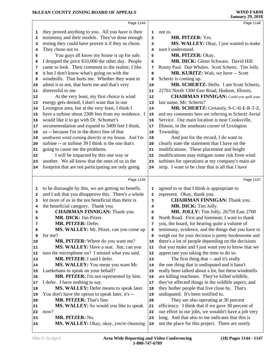|                                                | Page 1144                                                            |              | Page 1146                                                                                            |
|------------------------------------------------|----------------------------------------------------------------------|--------------|------------------------------------------------------------------------------------------------------|
| 1                                              | they proved anything to you. All you have is their                   | 1            | not to.                                                                                              |
| 2                                              | testimony and their models. They've done enough                      | $\mathbf{2}$ | MR. PITZER: Yes.                                                                                     |
| 3                                              | testing they could have proven it if they so chose.                  | 3            | MS. WALLEY: Okay, I just wanted to make                                                              |
| 4                                              | They chose not to.                                                   | 4            | sure I understood.                                                                                   |
| 5                                              | You guys all know my house is up for sale.                           | 5            | MR. PITZER: Okay.                                                                                    |
| 6                                              | I dropped the price \$10,000 the other day. People                   | 6            | MR. DICK: Glenn Schwass. David Hill.                                                                 |
| 7                                              | came to look. Their comment to the realtor, I like                   | 7            | Ronny Paul. Dan Whalen. Scott Schertz. Tim Jolly.                                                    |
|                                                | it but I don't know what's going on with the                         |              | <b>MR. KURITZ:</b> Wait, we have -- Scott                                                            |
| 8                                              | windmills. That hurts me. Whether they want to                       | 8            | Schertz is coming up.                                                                                |
| 9                                              |                                                                      | 9            | MR. SCHERTZ: Hello. I am Scott Schertz,                                                              |
| 10                                             | admit it or not, that hurts me and that's very<br>distressful to me. | 10           |                                                                                                      |
| 11                                             |                                                                      | 11           | 22761 North 1300 East Road, Hudson, Illinois.                                                        |
| 12                                             | At the very least, my first choice is wind                           | 12           | <b>CHAIRMAN FINNIGAN:</b> Could you spell your                                                       |
| 13                                             | energy gets denied, I don't want that in our                         | 13           | last name, Mr. Schertz?                                                                              |
| 14                                             | Lexington area, but at the very least, I think I                     | 14           | MR. SCHERTZ: Certainly, S-C-H-E-R-T-Z,                                                               |
| 15                                             | have a turbine about 2300 feet from my residence. I                  | 15           | and my comments here are referring to Schertz Aerial                                                 |
| 16                                             | would like it to go with Dr. Schomer's                               | 16           | Service. Our main location is near Cooksville,                                                       |
| 17                                             | recommendation and expand to 3400 feet I think,                      | 17           | Illinois, in the southeast corner of Lexington                                                       |
| 18                                             | so -- because I'm in the direct line of that                         | 18           | Township.                                                                                            |
| 19                                             | southwest wind coming directly at my house. And I'm                  | 19           | And just for the record, I do want to                                                                |
| 20                                             | turbine -- or turbine 39 I think is the one that's                   | 20           | clearly state the statement that I have on the                                                       |
| 21                                             | going to cause me the problems.                                      | 21           | modifications. These placement and height                                                            |
| 22                                             | I will be impacted by this one way or                                | 22           | modifications may mitigate some risk from wind                                                       |
| 23                                             | another. We all know that the ones of us in the                      | 23           | turbines for operations at my company's main air                                                     |
| 24                                             | footprint that are not participating are only going                  | 24           | strip. I want to be clear that is all that I have                                                    |
|                                                |                                                                      |              |                                                                                                      |
|                                                |                                                                      |              |                                                                                                      |
|                                                | Page 1145                                                            |              | Page 1147                                                                                            |
| 1                                              | to be distraught by this, we are getting no benefit,                 | 1            | agreed to or that I think is appropriate to                                                          |
| 2                                              | and I ask that you disapprove this. There's a whole                  | 2            | represent. Okay, thank you.                                                                          |
| 3                                              | lot more of us in the not beneficial than there is                   | 3            | <b>CHAIRMAN FINNIGAN:</b> Thank you.                                                                 |
| 4                                              |                                                                      | 4            | MR. DICK: Tim Jolly.                                                                                 |
| 5                                              | the beneficial category. Thank you.                                  | 5            |                                                                                                      |
|                                                | <b>CHAIRMAN FINNIGAN:</b> Thank you.<br><b>MR. DICK: Jim Pitzer.</b> | 6            | MR. JOLLY: Tim Jolly, 26759 East 2700                                                                |
| 7                                              |                                                                      | 7            | North Road. First and foremost, I want to thank                                                      |
| 8                                              | MR. PITZER: Defer.                                                   | 8            | you, the board, for hearing quite a volume of                                                        |
| 9                                              | MS. WALLEY: Mr. Pitzer, can you come up<br>for me?                   | 9            | testimony, evidence, and the things that you have to                                                 |
|                                                |                                                                      | 10           | weigh out for your decision is pretty burdensome and                                                 |
|                                                | <b>MR. PITZER:</b> Where do you want me?                             | 11           | there's a lot of people depending on the decisions                                                   |
|                                                | MS. WALLEY: Have a seat. Jim, can you                                | 12           | that you make and I just want you to know that we                                                    |
|                                                | turn the microphone on? I missed what you said.                      |              | appreciate you taking the time to do so.                                                             |
|                                                | MR. PITZER: I said I defer.                                          | 13           | The first thing that -- and it's really                                                              |
|                                                | <b>MS. WALLEY:</b> You mean you want Mr.                             | 14           | the one thing that is undisputed and it hasn't                                                       |
|                                                | Luetkehans to speak on your behalf?                                  | 15           | really been talked about a lot, but these windmills                                                  |
|                                                | MR. PITZER: I'm not represented by him.                              | 16           | are killing machines. They've killed wildlife,                                                       |
|                                                | I defer. I have nothing to say.                                      | 17           | they've affected things in the wildlife aspect, and                                                  |
|                                                | MS. WALLEY: Defer means to speak later.                              | 18           | they bother people that live close by. That's                                                        |
|                                                | You don't have the option to speak later, it's --                    | 19           | undisputed. It's been testified to.                                                                  |
| 10                                             | MR. PITZER: That's fine.                                             | 20           | They are also operating at 30 percent                                                                |
| 11<br>17<br>20<br>21                           | MS. WALLEY: So would you like to speak                               | 21           | efficiency. I think that if we gave 30 percent of                                                    |
| 12<br>13<br>14<br> 15<br>16<br>18<br> 19<br>22 | now?                                                                 | 22           | our effort in our jobs, we wouldn't have a job very                                                  |
| 23<br>24                                       | MR. PITZER: No.<br>MS. WALLEY: Okay, okay, you're choosing           | 23<br>24     | long. And that also to me indicates that this is<br>not the place for this project. There are surely |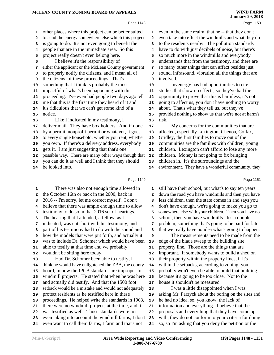|              | Page 1148                                                                                                   |                         | Page 1150                                                                                                   |
|--------------|-------------------------------------------------------------------------------------------------------------|-------------------------|-------------------------------------------------------------------------------------------------------------|
| 1            | other places where this project can be better suited                                                        | 1                       | even in the same realm, that he -- that they don't                                                          |
| $\mathbf{2}$ | to send the energy somewhere else which this project                                                        | 2                       | even take into effect the windmills and what they do                                                        |
| 3            | is going to do. It's not even going to benefit the                                                          | 3                       | to the residents nearby. The pollution standards                                                            |
| 4            | people that are in the immediate area. So this                                                              | 4                       | have to do with just decibels of noise, but there's                                                         |
| 5            | project really doesn't even belong here.                                                                    | 5                       | so much more in the windmills and everybody                                                                 |
| 6            | I believe it's the responsibility of                                                                        | 6                       | understands that from the testimony, and there are                                                          |
| 7            | either the applicant or the McLean County government                                                        | 7                       | so many other things that can affect besides just                                                           |
| 8            | to properly notify the citizens, and I mean all of                                                          | 8                       | sound, infrasound, vibration all the things that are                                                        |
| 9            | the citizens, of these proceedings. That's                                                                  | 9                       | involved.                                                                                                   |
| 10           | something that I think is probably the most                                                                 | 10                      | Invenergy has had opportunities to cite                                                                     |
| 11           | impactful of what's been happening with this                                                                | 11                      | studies that show no effects, so they've had the                                                            |
| 12           | proceeding. I've even had people two days ago tell                                                          | 12                      | opportunity to prove that this is harmless, it's not                                                        |
| 13           | me that this is the first time they heard of it and                                                         | 13                      | going to affect us, you don't have nothing to worry                                                         |
| 14           | it's ridiculous that we can't get some kind of a                                                            | 14                      | about. That's what they tell us, but they've                                                                |
| 15           | notice.                                                                                                     | 15                      | provided nothing to show us that we're not at harm's                                                        |
| 16           | Like I indicated in my testimony, I                                                                         | 16                      | risk.                                                                                                       |
| 17           | deliver mail. They have box holders. And if done                                                            | 17                      | My concerns for the communities that are                                                                    |
| 18           | by a permit, nonprofit permit or whatever, it goes                                                          | 18                      | affected, especially Lexington, Chenoa, Colfax,                                                             |
| 19           | to every single household, whether you rent, whether<br>you own. If there's a delivery address, everybody   | 19<br>20                | Gridley, the first families to move out of the<br>communities are the families with children, young         |
| 20           | gets it. I am just suggesting that that's one                                                               |                         | children. Lexington can't afford to lose any more                                                           |
| 21<br>22     | possible way. There are many other ways though that                                                         | 21<br>${\bf 22}$        | children. Money is not going to fix bringing                                                                |
| 23           | you can do it as well and I think that they should                                                          | 23                      | children in. It's the surroundings and the                                                                  |
| 24           | be looked into.                                                                                             | 24                      | environment. They have a wonderful community, they                                                          |
|              |                                                                                                             |                         |                                                                                                             |
|              | Page 1149                                                                                                   |                         | Page 1151                                                                                                   |
| 1            | There was also not enough time allowed in                                                                   | 1                       | still have their school, but what's to say ten years                                                        |
| $\mathbf{2}$ | the October 16th or back in the 2000, back in                                                               | $\overline{\mathbf{2}}$ | down the road you have windmills and then you have                                                          |
| 3            | 2016 -- I'm sorry, let me correct myself. I don't                                                           | 3                       | less children, then the state comes in and says you                                                         |
| 4            | believe that there was ample enough time to allow                                                           | 4                       | don't have enough, we're going to make you go to                                                            |
| 5            | testimony to do so in that 2016 set of hearings.                                                            | 5                       | somewhere else with your children. Then you have no                                                         |
| 6            | The hearing that I attended, a fellow, as I                                                                 | 6                       | school, then you have windmills. It's a double                                                              |
| 7            | indicated, was cut short with his testimony, and                                                            | 7                       | problem, something that's going to be paid for later                                                        |
| 8            | part of his testimony had to do with the sound and                                                          | 8                       | that we really have no idea what's going to happen.                                                         |
| 9            | how the models that were put forth, and actually it                                                         | 9                       | The measurements need to be made from the                                                                   |
| 10           | was to include Dr. Schomer which would have been                                                            | 10                      | edge of the blade sweep to the building site                                                                |
| 11           | able to testify at that time and we probably                                                                | 11                      | property line. Those are the things that are                                                                |
| 12           | wouldn't be sitting here today.                                                                             | 12                      | important. If somebody wants to build a shed on                                                             |
| 13           | Had Dr. Schomer been able to testify, I                                                                     | 13                      | their property within the property lines, if it's                                                           |
| 14           | think he would have enlightened the ZBA, the county                                                         | 14                      | within the setbacks, according to zoning, you                                                               |
| 15           | board, in how the IPCB standards are improper for                                                           | 15                      | probably won't even be able to build that building                                                          |
| 16           | windmill projects. He stated that when he was here                                                          | 16                      | because it's going to be too close. Not to the<br>house it shouldn't be measured.                           |
| 17           | and actually did testify. And that the 1500 foot<br>setback would be a mistake and would not adequately     | 17                      | I was a little disappointed when I was                                                                      |
| 18<br>19     | protect residents as he testified here in these                                                             | 18<br>19                | asking Mr. Parzyck about the boring on the sites and                                                        |
| 20           | proceedings. He helped write the standards in 1968,                                                         | 20                      | he had no idea, so, you know, the lack of                                                                   |
| 21           | there were no windmill projects at the time, and it                                                         | 21                      | information and everything. I believe that the                                                              |
|              |                                                                                                             |                         |                                                                                                             |
|              |                                                                                                             |                         |                                                                                                             |
| 22           | was testified as well. Those standards were not                                                             | 22                      | proposals and everything that they have come up                                                             |
| 23<br>24     | even taking into account the windmill farms, I don't<br>even want to call them farms, I farm and that's not | 23<br>24                | with, they do not conform to your criteria for doing<br>so, so I'm asking that you deny the petition or the |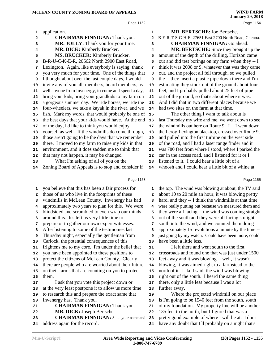|              | Page 1152                                            |                         | Page 1154                                                                                                |
|--------------|------------------------------------------------------|-------------------------|----------------------------------------------------------------------------------------------------------|
| 1            | application.                                         | 1                       | MR. BERTSCHE: Joe Bertsche,                                                                              |
| $\mathbf{2}$ | <b>CHAIRMAN FINNIGAN: Thank you.</b>                 | $\overline{\mathbf{2}}$ | B-E-R-T-S-C-H-E, 27651 East 2700 North Road, Chenoa.                                                     |
| 3            | MR. JOLLY: Thank you for your time.                  | 3                       | <b>CHAIRMAN FINNIGAN: Go ahead.</b>                                                                      |
| 4            | MR. DICK: Kimberly Brucker.                          | 4                       | MR. BERTSCHE: Since they brought up the                                                                  |
| 5            | MS. BRUCKER: Kimberly Brucker,                       | 5                       | amount of the depth of the drilling, Horizon came                                                        |
| 6            | B-R-U-C-K-E-R, 20662 North 2900 East Road,           | 6                       | out and did test borings on my farm when they -- I                                                       |
| 7            | Lexington. Again, like everybody is saying, thank    | 7                       | think it was 2008 or 9, whatever that was they came                                                      |
| 8            | you very much for your time. One of the things that  | 8                       | out, and the project all fell through, so we pulled                                                      |
| 9            | I thought about over the last couple days, I would   | 9                       | the -- they insert a plastic pipe down there and I'm                                                     |
| 10           | invite any of you all, members, board members, as    | 10                      | estimating they stuck out of the ground about four                                                       |
| 11           | well anyone from Invenergy, to come and spend a day, | ${\bf 11}$              | feet, and I probably pulled about 25 feet of pipe                                                        |
| 12           | bring your kids, bring your grandkids to my farm on  | 12                      | out of the ground, so that's about where it was.                                                         |
| 13           | a gorgeous summer day. We ride horses, we ride the   | 13                      | And I did that in two different places because we                                                        |
|              | four-wheelers, we take a kayak in the river, and we  | 14                      | had two sites on the farm at that time.                                                                  |
| 14           | fish. Mark my words, that would probably be one of   | 15                      | The other thing I want to talk about is                                                                  |
| 15           | the best days that your kids would have. At the end  |                         |                                                                                                          |
| 16           |                                                      | 16                      | last Thursday my wife and me, we went down to see<br>the windmills out here on Route 9. I -- I went down |
| 17           | of the day, I'd like to think you would enjoy        | 17                      |                                                                                                          |
| 18           | yourself as well. If the windmills do come through,  | 18                      | the Leroy-Lexington blacktop, crossed over Route 9,                                                      |
| 19           | those aren't going to be the days that we remember   | 19                      | and pulled into the first turbine on the west side                                                       |
| 20           | there. I moved to my farm to raise my kids in that   | 20                      | of the road, and I had a laser range finder and it                                                       |
| 21           | environment, and it does sadden me to think that     | 21                      | was 780 feet from where I stood, where I parked the                                                      |
| 22           | that may not happen, it may be changed.              | 22                      | car in the access road, and I listened for it or I                                                       |
| 23           | What I'm asking of all of you on the                 | 23                      | listened to it. I could hear a little bit of a                                                           |
| 24           | Zoning Board of Appeals is to stop and consider if   | 24                      | whoosh and I could hear a little bit of a whine at                                                       |
|              | Page 1153                                            |                         | Page 1155                                                                                                |
|              |                                                      |                         |                                                                                                          |
| 1            | you believe that this has been a fair process for    | 1                       | the top. The wind was blowing at about, the TV said                                                      |
| $\mathbf{2}$ | those of us who live in the footprints of these      | $\mathbf{2}$            | about 10 to 20 mile an hour, it was blowing pretty                                                       |
| 3            | windmills in McLean County. Invenergy has had        | 3                       | hard, and they -- I think the windmills at that time                                                     |
| 4            | approximately two years to plan for this. We were    | 4                       | were really putting out because we measured them and                                                     |
| 5            | blindsided and scrambled to even wrap our minds      | 5                       | they were all facing -- the wind was coming straight                                                     |
| 6            | around this. It's left us very little time to        | 6                       | out of the south and they were all facing straight                                                       |
| 7            | prepare or to gather our own expert witnesses.       | 7                       | south into the wind, and we counted them doing                                                           |
| 8            | After listening to some of the testimonies last      | 8                       | approximately 15 revolutions a minute by the time --                                                     |
| 9            | Thursday night, especially the gentleman from        | 9                       | just going by my watch. Could have been more, could                                                      |
| 10           | Carlock, the potential consequences of this          | 10                      | have been a little less.                                                                                 |
| 11           | frightens me to my core. I'm under the belief that   | 11                      | I left there and went south to the first                                                                 |
| 12           | you have been appointed to these positions to        | 12                      | crossroads and found one that was just under 1500                                                        |
| 13           | protect the citizens of McLean County. Clearly       | 13                      | feet away and it was blowing -- well, it wasn't                                                          |
| 14           | there are people who are worried about their future  | 14                      | blowing, it was aimed right to a farmstead to the                                                        |
| 15           | on their farms that are counting on you to protect   | 15                      | north of it. Like I said, the wind was blowing                                                           |
| 16           | them.                                                | 16                      | right out of the south. I heard the same thing                                                           |
| 17           | I ask that you vote this project down or             | 17                      | there, only a little less because I was a lot                                                            |
| 18           | at the very least postpone it to allow us more time  | 18                      | further away.                                                                                            |
| 19           | to research this and prepare the exact same that     | 19                      | Where the projected windmill on our place                                                                |
| 20           | Invenergy has. Thank you.                            | 20                      | is I'm going to be 1540 feet from the south, south                                                       |
| 21           | <b>CHAIRMAN FINNIGAN:</b> Thank you.                 | 21                      | of my foundation. My property line will be another                                                       |
| 22           | MR. DICK: Joseph Bertsche.                           | 22                      | 135 feet to the north, but I figured that was a                                                          |
| 23           | <b>CHAIRMAN FINNIGAN:</b> State your name and        | 23                      | pretty good example of where I will be at. I don't                                                       |
| 24           | address again for the record.                        | 24                      | have any doubt that I'll probably on a night that's                                                      |
|              |                                                      |                         |                                                                                                          |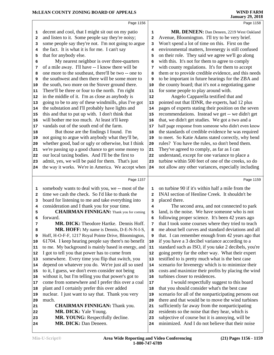|                                    | Page 1156                                                 |                | Page 1158                                                                                            |
|------------------------------------|-----------------------------------------------------------|----------------|------------------------------------------------------------------------------------------------------|
| 1                                  | decent and cool, that I might sit out on my patio         | 1              | MR. DENEEN: Dan Deneen, 2219 West Oakland                                                            |
| $\mathbf{2}$                       | and listen to it. Some people say they're noisy;          | 2              | Avenue, Bloomington. I'll try to be very brief.                                                      |
| 3                                  | some people say they're not. I'm not going to argue       | 3              | Won't spend a lot of time on this. First on the                                                      |
| 4                                  | the fact. It is what it is for me. I can't say            | 4              | environmental matters, Invenergy is still confused                                                   |
| 5                                  | that for anybody else.                                    | 5              | on their role. They said we agree we'll go along                                                     |
| 6                                  | My nearest neighbor is over three-quarters                | 6              | with this. It's not for them to agree to comply                                                      |
| 7                                  | of a mile away. I'll have -- I know there will be         | 7              | with county regulations. It's for them to accept                                                     |
| 8                                  | one more to the southeast, there'll be two -- one to      | 8              | them or to provide credible evidence, and this needs                                                 |
| 9                                  | the southwest and then there will be some more to         | 9              | to be important in future hearings for the ZBA and                                                   |
| 10                                 | the south, two more on the Stover ground there.           | 10             | the county board; that it's not a negotiating game                                                   |
| 11                                 | There'll be three or four to the north. I'm right         | 11             | for some people to play around with.                                                                 |
| 12                                 | in the middle of it. I'm as close as anybody is           | 12             | Angelo Capparella testified that and                                                                 |
| 13                                 | going to be to any of these windmills, plus I've got      | 13             | pointed out that IDNR, the experts, had 12 plus                                                      |
| 14                                 | the substation and I'll probably have lights and          | 14             | pages of experts stating their position on the seven                                                 |
| 15                                 | this and that to put up with. I don't think that          | 15             | recommendations. Instead we get -- we didn't get                                                     |
| 16                                 | will bother me too much. At least it'll keep              | 16             | that, we didn't get studies. We got a two and a                                                      |
| 17                                 | vandals out of the south end of the farm.                 | 17             | half page response from someone who didn't even know                                                 |
| 18                                 | But those are the findings I found. I'm                   | 18             | the standards of credible evidence he was required                                                   |
| 19                                 | not going to argue with anybody what they'll be,          | 19             | to meet. So Katie Adams stated correctly, why bend                                                   |
| 20                                 | whether good, bad or ugly or otherwise, but I think       | 20             | rules? You have the rules, so don't bend them.                                                       |
| 21                                 | we're passing up a good chance to get some money to       | 21             | They've agreed to comply, as far as I can                                                            |
| 22                                 | our local taxing bodies. And I'll be the first to         | 22             | understand, except for one variance to place a                                                       |
| 23                                 | admit, yes, we will be paid for them. That's just         | 23             | turbine within 500 feet of one of the creeks, so do                                                  |
| 24                                 | the way it works. We're in America. We accept when        | 24             | not allow any other variances, especially including                                                  |
|                                    |                                                           |                |                                                                                                      |
|                                    | Page 1157                                                 |                | Page 1159                                                                                            |
| 1                                  | somebody wants to deal with you, we -- most of the        | 1              | on turbine 90 if it's within half a mile from the                                                    |
| $\mathbf{2}$                       | time we cash the check. So I'd like to thank the          | $\overline{a}$ | INAI section of Henline Creek. It shouldn't be                                                       |
| 3                                  | board for listening to me and take everything into        | 3              | placed there.                                                                                        |
| 4                                  | consideration and I thank you for your time.              | 4              | The second area, and not connected to park                                                           |
| 5                                  | <b>CHAIRMAN FINNIGAN:</b> Thank you for coming            | 5              | land, is the noise. We have someone who is not                                                       |
| 6                                  | forward.                                                  | 6              | following proper science. It's been 42 years ago                                                     |
| 7                                  | MR. DICK: Theodore Hartke. Dennis Hoff.                   | 7              | that I took some courses where they tried to teach                                                   |
| 8                                  | MR. HOFF: My name is Dennis, D-E-N-N-I-S,                 | 8              | me about bell curves and standard deviations and all                                                 |
| 9                                  | Hoff, H-O-F-F, 1217 Royal Pointe Drive, Bloomington,      | 9              | that. I can remember enough from 42 years ago that                                                   |
| 10                                 | 61704. I keep hearing people say there's no benefit       | 10             | if you have a 3 decibel variance according to a                                                      |
| 11                                 | to me. My background is mainly based in energy, and       | 11             | standard such as ISO, if you take 2 decibels, you're                                                 |
| 12                                 | I got to tell you that power has to come from             | 12             | going pretty far the other way. What their expert                                                    |
| 13                                 | somewhere. Every time you flip that switch, you           | 13             | testified to is pretty much what is the best case                                                    |
| 14                                 | depend on whatever you do. We're just all so used         | 14             | scenario for Invenergy which is to minimize their                                                    |
| 15                                 | to it, I guess, we don't even consider not being          | 15             | costs and maximize their profits by placing the wind                                                 |
| 16                                 | without it, but I'm telling you that power's got to       | 16             | turbines closer to residences.                                                                       |
| 17                                 | come from somewhere and I prefer this over a coal         | 17             | I would respectfully suggest to this board                                                           |
| 18                                 | plant and I certainly prefer this over added              | 18             | that you should consider what's the best case                                                        |
|                                    | nuclear. I just want to say that. Thank you very          | 19             | scenario for all of the nonparticipating persons out                                                 |
|                                    |                                                           |                |                                                                                                      |
|                                    | much.                                                     | 20             | there and that would be to move the wind turbines                                                    |
|                                    |                                                           | 21             |                                                                                                      |
| 21                                 | <b>CHAIRMAN FINNIGAN:</b> Thank you.                      | 22             | sufficiently far away from the nonparticipating                                                      |
|                                    | MR. DICK: Yale Young.                                     | 23             | residents so the noise that they hear, which is                                                      |
| 19<br>20<br>22<br>23<br>${\bf 24}$ | MR. YOUNG: Respectfully decline.<br>MR. DICK: Dan Deneen. | 24             | subjective of course but it is annoying, will be<br>minimized. And I do not believe that their noise |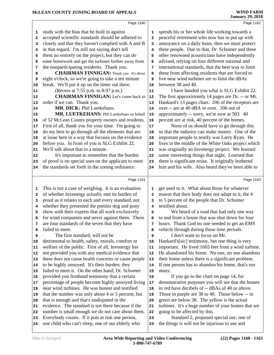one child who can't sleep, one of our elderly who 24

the things is will not be injurious to use and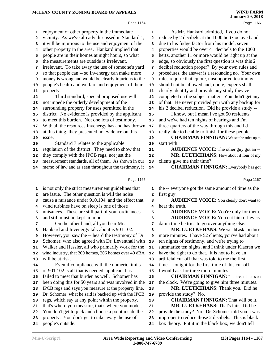|              | Page 1164                                                                                                |                         | Page 1166                                                                                                |
|--------------|----------------------------------------------------------------------------------------------------------|-------------------------|----------------------------------------------------------------------------------------------------------|
|              |                                                                                                          |                         |                                                                                                          |
| 1            | enjoyment of other property in the immediate                                                             | ${\bf 1}$               | As Mr. Hankard admitted, if you do not                                                                   |
| $\mathbf{2}$ | vicinity. As we've already discussed in Standard 1,                                                      | $\overline{\mathbf{2}}$ | reduce by 2 decibels at the 1000 hertz octave band<br>due to his fudge factor from his model, seven      |
| 3            | it will be injurious to the use and enjoyment of the<br>other property in the area. Hankard implied that | 3                       |                                                                                                          |
| 4            |                                                                                                          | 4                       | properties would be over 41 decibels to the 1000                                                         |
| 5            | people are in their homes at night hours, so what<br>the measurements are outside is irrelevant,         | 5                       | hertz, another 11 or more would be right up at the                                                       |
| 6            |                                                                                                          | 6                       | edge, so obviously the first question is was this 2                                                      |
| 7            | irrelevant. To take away the use of someone's yard<br>so that people can -- so Invenergy can make more   | 7                       | decibel reduction proper? By your own rules and                                                          |
| 8            | money is wrong and would be clearly injurious to the                                                     | 8                       | procedures, the answer is a resounding no. Your own<br>rules require that, quote, unsupported testimony  |
| 9<br>10      | people's health and welfare and enjoyment of their                                                       | 9<br>10                 | should not be allowed and, quote, experts shall                                                          |
| 11           | property.                                                                                                | 11                      | clearly identify and provide any study they've                                                           |
| 12           | Third standard, special proposed use will                                                                | 12                      | completed on the subject matter. You didn't get any                                                      |
|              | not impede the orderly development of the                                                                | 13                      | of that. He never provided you with any backup for                                                       |
| 13           | surrounding property for uses permitted in the                                                           |                         | his 2 decibel reduction. Did he provide a study --                                                       |
| 14<br>15     | district. No evidence is provided by the applicant                                                       | 14<br>15                | I know, but I mean I've got 50 residents                                                                 |
| 16           | to meet this burden. Not one iota of testimony.                                                          | 16                      | and we've had ten nights of hearings and I'm                                                             |
| 17           | With all the resources Invenergy has and has thrown                                                      | 17                      | three-quarters of the way through this and I'd                                                           |
| 18           | at this thing, they presented no evidence on this                                                        | 18                      | really like to be able to finish for these people.                                                       |
| 19           | issue.                                                                                                   | 19                      | <b>CHAIRMAN FINNIGAN:</b> We set the rules up to                                                         |
| 20           | Standard 7 relates to the applicable                                                                     | 20                      | start with.                                                                                              |
| 21           | regulation of the district. They need to show that                                                       | 21                      | <b>AUDIENCE VOICE:</b> The other guy got an --                                                           |
| 22           | they comply with the IPCB regs, not just the                                                             | 22                      | MR. LUETKEHANS: How about if four of my                                                                  |
| 23           | measurement standards, all of them. As shown in our                                                      | 23                      | clients give me their time?                                                                              |
| 24           | memo of law and as seen throughout the testimony, it                                                     | 24                      | <b>CHAIRMAN FINNIGAN:</b> Everybody has got                                                              |
|              |                                                                                                          |                         |                                                                                                          |
|              |                                                                                                          |                         |                                                                                                          |
|              | Page 1165                                                                                                |                         | Page 1167                                                                                                |
| 1            |                                                                                                          | 1                       |                                                                                                          |
| 2            | is not only the strict measurement guidelines that<br>are issue. The other question is will the noise    | $\overline{\mathbf{2}}$ | the -- everyone got the same amount of time as the                                                       |
| 3            | cause a nuisance under 910.104, and the effect that                                                      | 3                       | first guy.<br><b>AUDIENCE VOICE:</b> You clearly don't want to                                           |
| 4            | wind turbines have on sleep is one of those                                                              | 4                       | hear the truth.                                                                                          |
| 5            | nuisances. These are still part of your ordinances                                                       | 5                       | <b>AUDIENCE VOICE:</b> You're only for them.                                                             |
| 6            | and still must be kept in mind.                                                                          | 6                       | <b>AUDIENCE VOICE:</b> You cut him off every                                                             |
| 7            | On the other hand, all you hear Mr.                                                                      | 7                       | damn time he tries to go over anything else.                                                             |
| 8            | Hankard and Invenergy talk about is 901.102.                                                             | 8                       | MR. LUETKEHANS: We would ask for three                                                                   |
| 9            | However, you saw the -- heard the testimony of Dr.                                                       | 9                       | more minutes. I have 52 clients, you've had about                                                        |
| 10           | Schomer, who also agreed with Dr. Leventhall with                                                        | ${\bf 10}$              | ten nights of testimony, and we're trying to                                                             |
| 11           | Walker and Hessler, all who primarily work for the                                                       | 11                      | summarize ten nights, and I think under Klaeren we                                                       |
| 12           | wind industry, that 200 homes, 206 homes over 40 dBA                                                     | 12                      | have the right to do that. It is not to have an                                                          |
| 13           | will be at risk.                                                                                         | 13                      | artificial cut-off that was told to me the first                                                         |
| 14           | Even if compliance with the numeric limits                                                               | 14                      | time -- tonight for the first time of this cut-off.                                                      |
| 15           | of 901.102 is all that is needed, applicant has                                                          | 15                      | I would ask for three more minutes.                                                                      |
| 16           | failed to meet that burden as well. Schomer has                                                          | 16                      | <b>CHAIRMAN FINNIGAN:</b> Put three minutes on                                                           |
| 17           | been doing this for 50 years and was involved in the                                                     | $17\,$                  | the clock. We're going to give him three minutes.                                                        |
| 18           | IPCB regs and says you measure at the property line.                                                     | 18                      | MR. LUETKEHANS: Thank you. Did he                                                                        |
| 19           | Dr. Schomer, what he said is backed up with the IPCB                                                     | 19                      | provide the study? No.                                                                                   |
| 20           | regs, which say at any point within the property,                                                        | 20                      | <b>CHAIRMAN FINNIGAN:</b> That will be it.                                                               |
| 21           | that's where you measure, that's where you model.                                                        | 21                      | MR. LUETKEHANS: That's fair. Did he                                                                      |
| 22           | You don't get to pick and choose a point inside the                                                      | 22                      | provide the study? No. Dr. Schomer told you it was                                                       |
| 23           | property. You don't get to take away the use of<br>people's outside.                                     | 23                      | improper to reduce those 2 decibels. This is black<br>box theory. Put it in the black box, we don't tell |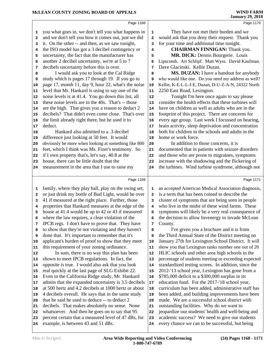| They have not met their burden and we<br>would ask that you deny their request. Thank you<br>for your time and additional time tonight. |
|-----------------------------------------------------------------------------------------------------------------------------------------|
|                                                                                                                                         |
|                                                                                                                                         |
|                                                                                                                                         |
| <b>CHAIRMAN FINNIGAN:</b> Thank you.                                                                                                    |
| MR. DICK: Dennis Bourgerie. Louis                                                                                                       |
| Lipscomb. Art Schlipf. Matt Wyss. David Kaufman.                                                                                        |
|                                                                                                                                         |
| MS. DUZAN: I have a handout for anybody                                                                                                 |
| who would like one. Do you need my address as well?                                                                                     |
| Kellie, K-E-L-L-I-E, Duzan, D-U-Z-A-N, 24322 North                                                                                      |
|                                                                                                                                         |
| Tonight I'm here once again to say please                                                                                               |
| consider the health effects that these turbines will                                                                                    |
| have on children as well as adults who are in the                                                                                       |
| footprint of this project. There are concerns for                                                                                       |
| every age group. Last week I focussed on hearing,                                                                                       |
| brain activity, sleep deprivation and concentration                                                                                     |
| both for children in the schools and adults in the                                                                                      |
|                                                                                                                                         |
| In addition to those concerns, it is                                                                                                    |
| documented that in patients with seizure disorders                                                                                      |
| and those who are prone to migraines, symptoms                                                                                          |
| increase with the shadowing and the flickering of                                                                                       |
| the turbines. Wind turbine syndrome, although not                                                                                       |
|                                                                                                                                         |
|                                                                                                                                         |
| Page 1171                                                                                                                               |
| an accepted American Medical Association diagnosis,                                                                                     |
| is a term that has been coined to describe the                                                                                          |
| cluster of symptoms that are being seen in people                                                                                       |
| who live in the midst of these wind farms. These                                                                                        |
| symptoms will likely be a very real consequence of                                                                                      |
| the decision to allow Invenergy to invade McLean                                                                                        |
|                                                                                                                                         |
| I've given you a brochure and it is from                                                                                                |
| the Third Annual State of the District meeting on                                                                                       |
| January 27th for Lexington School District. It will                                                                                     |
| show you that Lexington ranks number one out of 20                                                                                      |
| HLIC schools and other area high schools in the                                                                                         |
| percentage of students meeting or exceeding expected                                                                                    |
| standardized testing scores. In addition, since the                                                                                     |
| 2012-'13 school year, Lexington has gone from a                                                                                         |
| \$785,000 deficit to a \$300,000 surplus in its                                                                                         |
| education fund. For the 2017-'18 school year,                                                                                           |
| curriculum has been added, administrative staff has                                                                                     |
| been added, and building improvements have been                                                                                         |
| made. We are a successful school district with                                                                                          |
| outstanding facilities. Why do we want to                                                                                               |
| jeopardize our students' health and well-being and<br>academic success? We need to give our students                                    |
| Dave Glacinski. Kellie Duzan.                                                                                                           |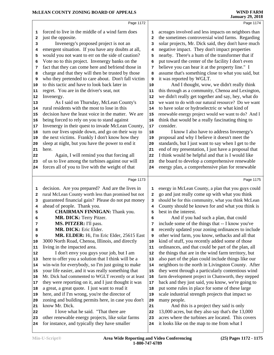|              | Page 1172                                                                                          |              | Page 1174                                                                                       |  |
|--------------|----------------------------------------------------------------------------------------------------|--------------|-------------------------------------------------------------------------------------------------|--|
| 1            | forced to live in the middle of a wind farm does                                                   | 1            | acreages involved and less impacts on neighbors than                                            |  |
| $\mathbf{2}$ | just the opposite.                                                                                 | $\mathbf{2}$ | the sometimes controversial wind farms. Regarding                                               |  |
| 3            | Invenergy's proposed project is not an                                                             | 3            | solar projects, Mr. Dick said, they don't have much                                             |  |
| 4            | emergent situation. If you have any doubts at all,                                                 | 4            | negative impact. They don't impact properties                                                   |  |
| 5            | would you not want to err on the side of caution?                                                  | 5            | nearby. There's a hum of the transformer that if                                                |  |
| 6            | Vote no to this project. Invenergy banks on the                                                    | 6            | put toward the center of the facility I don't even                                              |  |
| 7            | fact that they can come here and befriend those in                                                 | 7            | believe you can hear it at the property line." I                                                |  |
| 8            | charge and that they will then be trusted by those                                                 | 8            | assume that's something close to what you said, but                                             |  |
| 9            | who they pretended to care about. Don't fall victim                                                | 9            | it was reported by WGLT.                                                                        |  |
| 10           | to this tactic and have to look back later in                                                      | 10           | And I thought, wow, we didn't really think                                                      |  |
| 11           | regret. You are in the driver's seat, not                                                          | 11           | this through as a community, Chenoa and Lexington,                                              |  |
| 12           | Invenergy.                                                                                         | 12           | we didn't really get together and say, hey, what do                                             |  |
| 13           | As I said on Thursday, McLean County's                                                             | 13           | we want to do with our natural resource? Do we want                                             |  |
| 14           | rural residents with the most to lose in this                                                      | 14           | to have solar or hydroelectric or what kind of                                                  |  |
| 15           | decision have the least voice in the matter. We are                                                | 15           | renewable energy project would we want to do? And I                                             |  |
| 16           | being forced to rely on you to stand against                                                       | 16           | think that would be a really fascinating thing to                                               |  |
| 17           | Invenergy in their quest to invade McLean County,                                                  | 17           | consider.                                                                                       |  |
| 18           | turn our lives upside down, and go on their way to                                                 | 18           | I know I also have to address Invenergy's                                                       |  |
| 19           | the next victims. Frankly I don't know how they                                                    | 19           | proposal and why I believe it doesn't meet the                                                  |  |
| 20           | sleep at night, but you have the power to end it                                                   | 20           | standards, but I just want to say when I get to the                                             |  |
| 21           | here.                                                                                              | 21           | end of my presentation, I just have a proposal that                                             |  |
| 22           | Again, I will remind you that forcing all                                                          | 22           | I think would be helpful and that is I would like                                               |  |
| 23           | of us to live among the turbines against our will                                                  | 23           | the board to develop a comprehensive renewable                                                  |  |
| 24           | forces all of you to live with the weight of that                                                  | 24           | energy plan, a comprehensive plan for renewable                                                 |  |
|              |                                                                                                    |              |                                                                                                 |  |
|              |                                                                                                    |              |                                                                                                 |  |
|              | Page 1173                                                                                          |              | Page 1175                                                                                       |  |
| 1            |                                                                                                    | 1            |                                                                                                 |  |
| $\mathbf{2}$ | decision. Are you prepared? And are the lives in                                                   | $\mathbf{2}$ | energy in McLean County, a plan that you guys could                                             |  |
| 3            | rural McLean County worth less than promised but not                                               | 3            | go and just really come up with what you think                                                  |  |
| 4            | guaranteed financial gain? Please do not put money                                                 | 4            | should be for this community, what you think McLean                                             |  |
| 5            | ahead of people. Thank you.<br><b>CHAIRMAN FINNIGAN: Thank you.</b>                                | 5            | County should be known for and what you think is<br>best in the interest.                       |  |
| 6            | MR. DICK: Terry Pitzer.                                                                            | 6            | And if you had such a plan, that could                                                          |  |
| 7            | MS. PITZER: I'll pass.                                                                             | 7            | include some of the things that -- I know you've                                                |  |
| 8            | MR. DICK: Eric Elder.                                                                              | 8            | recently updated your zoning ordinances to include                                              |  |
| 9            | MR. ELDER: Hi, I'm Eric Elder, 25615 East                                                          | 9            | other wind farm, you know, setbacks and all that                                                |  |
| 10           | 3000 North Road, Chenoa, Illinois, and directly                                                    | 10           | kind of stuff, you recently added some of those                                                 |  |
| 11           | living in the impacted area.                                                                       | 11           | ordinances, and that could be part of the plan, all                                             |  |
| 12           | I don't envy you guys your job, but I am                                                           | 12           | the things that are in the wind farm territory, but                                             |  |
| 13           | here to offer you a solution that I think will be a                                                | 13           | also part of the plan could include things like our                                             |  |
| 14           | win-win for everybody, so I'm just going to make                                                   | 14           | neighbors to the north in Livingston County. After                                              |  |
| 15           | your life easier, and it was really something that                                                 | 15           | they went through a particularly contentious wind                                               |  |
| 16           | Mr. Dick had commented to WGLT recently or at least                                                | 16           | farm development project in Chatsworth, they stepped                                            |  |
| 17           | they were reporting on it, and I just thought it was                                               | 17           | back and they just said, you know, we're going to                                               |  |
| 18           | a great, a great quote. I just want to read it                                                     | 18           | put some rules in place for some of these large                                                 |  |
| 19           | here, and if I'm wrong, you're the director of                                                     | 19           | scale industrial strength projects that impact so                                               |  |
| 20           | zoning and building permits here, in case you don't                                                | 20           | many people.                                                                                    |  |
| 21           | know Mr. Dick.                                                                                     | 21           | And this is a project they said is only                                                         |  |
| 22           | I love what he said. "That there are                                                               | 22           | 13,000 acres, but they also say that's the 13,000                                               |  |
| 23           | other renewable energy projects, like solar farms<br>for instance, and typically they have smaller | 23<br>24     | acres where the turbines are located. This covers<br>it looks like on the map to me from what I |  |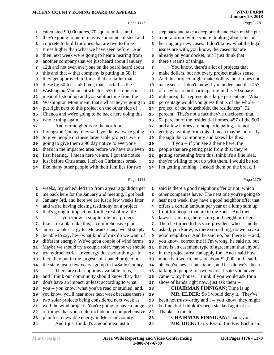|    | MCLEAN COUNTY ZONING BOARD OF APPEALS                |              | <b>WIND FARM</b><br><b>January 29, 2018</b>          |
|----|------------------------------------------------------|--------------|------------------------------------------------------|
|    | Page 1176                                            |              | Page 1178                                            |
| 1  | calculated 90,000 acres, 70 square miles, and        | 1            | step back and take a deep breath and even maybe put  |
| 2  | they're going to put in massive amounts of steel and | $\mathbf{2}$ | a moratorium while you're thinking about this on     |
| 3  | concrete to build turbines that are two to three     | 3            | hearing any new cases. I don't know what the legal   |
| 4  | times higher than what we have seen before. And      | 4            | issues are with, you know, the cases that are        |
| 5  | then next week we're going to hear a hearing from    | 5            | already on your docket, but I just think that        |
| 6  | another company that we just heard about January     | 6            | there's reams of things.                             |
| 7  | 12th and not even everyone on the board heard about  | 7            | You know, there's a lot of projects that             |
| 8  | this and that -- that company is putting in 58, if   | 8            | make dollars, but not every project makes sense.     |
| 9  | they get approved, turbines that are taller than     | 9            | And this project might make dollars, but it does not |
| 10 | these by 50 feet. 550 feet, that's as tall as the    | 10           | make sense. I don't know if you understand that 457  |
| 11 | Washington Monument which is 555 feet minus me. I    | 11           | of us who are not participating in this 70 square    |
| 12 | mean if I stood up and you subtract me from the      | 12           | mile area, that represents a large percentage. What  |
| 13 | Washington Monument, that's what they're going to    | 13           | percentage would you guess that is of the whole      |
| 14 | put right next to this project on the other side of  | 14           | project, of the households, the residences? 92       |
| 15 | Chenoa and we're going to be back here doing this    | 15           | percent. That's not a fact they've disclosed, that   |
| 16 | whole thing again.                                   | 16           | 92 percent of the residential homes, 457 of the 500  |
| 17 | And our neighbors to the north in                    | 17           | and a few homes are nonparticipating, are not        |
| 18 | Livingston County, they said, you know, we're going  | 18           | getting anything from this. I mean maybe indirectly  |
| 19 | to give people on these large scale projects, we're  | 19           | through the community and taxes like this.           |
| 20 | going to give them a 90 day notice to everyone       | 20           | If you -- if you see a theme here, the               |
| 21 | that's in the impacted area before we have our even  | 21           | people that are getting paid from this, they're      |
| 22 | first hearing. I mean here we are, I got the notice  | 22           | getting something from this, think it's a fine idea, |
| 23 | just before Christmas, I left on Christmas break     | 23           | they're willing to put up with them, I would be too. |
| 24 | like many other people with their families for two   | 24           | I'm getting nothing. I asked them on the break, I    |
|    | Page 1177                                            |              | Page 1179                                            |
| 1  | weeks, my scheduled trip from a year ago didn't get  | 1            | said is there a good neighbor offer or not, which    |
| 2  | me back here for the January 2nd meeting, I got back | $\mathbf{2}$ | other companies have. The next one you're going to   |
| 3  | January 3rd, and here we are just a few weeks later  | 3            | hear next week, they have a good neighbor offer that |
| 4  | and we're having closing testimony on a project      | 4            | offers a certain amount per year or a lump sum up    |
| 5  | that's going to impact me for the rest of my life.   | 5            | front for people that are in the zone. And their     |
| 6  | I -- you know, a simple rule in a project            | 6            | lawyer said, no, there is no good neighbor offer.    |
| 7  | like -- in a plan like this, a comprehensive plan    | 7            | Then he turned to his vice-president who -- and he   |
| 8  | for renewable energy for McLean County, would simply | 8            | asked, you know, is there something, do we have a    |
| 9  | be able to say, hey, what kind of mix do we want of  | 9            | good neighbor? And he said no, but there is -- and,  |
| 10 | different energy? We've got a couple of wind farms.  | $10$         | you know, correct me if I'm wrong, he said no, but   |
| 11 | Maybe we should try a couple solar, maybe we should  | ${\bf 11}$   | there is an easement type of agreement that anyone   |
| 12 | try hydroelectric. Invenergy does solar things. In   | 12           | in the project area can apply for. And I said how    |
| 13 | fact, they put in the largest solar panel project in | 13           | much is it worth, he said about \$2,000, and I said, |
| 14 | the state just a few years ago up in LaSalle County. | 14           | oh, you've never come to me, and he said we've been  |
| 15 | There are other options available to us,             | 15           | talking to people for two years. I said you never    |
| 16 | and I think our community should know that, that     | 16           | came to my house. I think if you would ask for a     |
| 17 | don't have an impact, at least according to what     | 17           | show of hands right now, just ask them --            |
| 18 | you -- you know, what you've read or studied, and,   | 18           | <b>CHAIRMAN FINNIGAN:</b> Time is up.                |
| 19 | you know, you'll hear more next week because there's | 19           | MR. ELDER: So I would deny it. They've               |
| 20 | two solar projects being considered next week as     | 20           | been not trustworthy and I -- you know, they might   |
| 21 | well the wind project. You're going to have a range  | 21           | be fine, but I think it's been stacked against us.   |
| 22 | of things that you could include in a comprehensive  | 22           | Thanks so much.                                      |
| 23 | plan for renewable energy in McLean County.          | 23           | <b>CHAIRMAN FINNIGAN: Thank you.</b>                 |

- plan for renewable energy in McLean County. And I just think it's a good idea just to 24
- **MR. DICK:** Larry Ryan. Lindsay Bachman.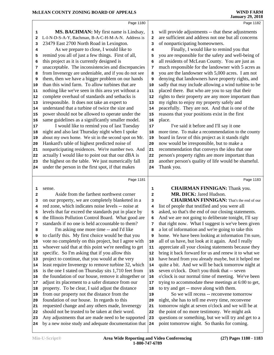|          | Page 1180                                                                                                |                         | Page 1182                                                         |
|----------|----------------------------------------------------------------------------------------------------------|-------------------------|-------------------------------------------------------------------|
| 1        | MS. BACHMAN: My first name is Lindsay,                                                                   | 1                       | will provide adjustments -- that these adjustments                |
| 2        | L-I-N-D-S-A-Y, Bachman, B-A-C-H-M-A-N. Address is                                                        | $\overline{a}$          | are sufficient and address not one but all concerns               |
| 3        | 23479 East 2700 North Road in Lexington.                                                                 | 3                       | of nonparticipating homeowners.                                   |
| 4        | As we prepare to close, I would like to                                                                  | 4                       | Finally, I would like to remind you that                          |
| 5        | remind you all of just a few things. First of all,                                                       | 5                       | you are responsible for the safety and well-being of              |
| 6        | this project as it is currently designed is                                                              | 6                       | all residents of McLean County. You are just as                   |
| 7        | unacceptable. The inconsistencies and discrepancies                                                      | 7                       | much responsible for the landowner with 5 acres as                |
| 8        | from Invenergy are undeniable, and if you do not see                                                     | 8                       | you are the landowner with 5,000 acres. I am not                  |
| 9        | them, then we have a bigger problem on our hands                                                         | 9                       | denying that landowners have property rights, and                 |
| 10       | than this wind farm. To allow turbines that are                                                          | 10                      | sadly that may include allowing a wind turbine to be              |
| 11       | nothing like we've seen in this area yet without a                                                       | 11                      | placed there. But who are you to say that their                   |
| 12       | complete overhaul of standards and setbacks is                                                           | 12                      | rights to their property are any more important than              |
| 13       | irresponsible. It does not take an expert to                                                             | 13                      | my rights to enjoy my property safely and                         |
| 14       | understand that a turbine of twice the size and                                                          | 14                      | peacefully. They are not. And that is one of the                  |
|          | power should not be allowed to operate under the                                                         |                         | reasons that your positions exist in the first                    |
| 15<br>16 | same guidelines as a significantly smaller model.                                                        | 15<br>16                | place.                                                            |
|          | I would like to remind you of last Tuesday                                                               | 17                      | I've said it before and I'll say it one                           |
| 17       | night and also last Thursday night when I spoke                                                          |                         | more time. To make a recommendation to the county                 |
| 18       | about my own home. We sit in the second spot on Mr.                                                      | 18                      | board in favor of this project as it stands right                 |
| 19       | Hankard's table of highest predicted noise of                                                            | 19                      | now would be irresponsible, but to make a                         |
| 20       |                                                                                                          | 20                      | recommendation that conveys the idea that one                     |
| 21       | nonparticipating residences. We're number two. And<br>actually I would like to point out that our dBA is | 21                      |                                                                   |
| 22       |                                                                                                          | 22                      | person's property rights are more important than                  |
| 23       | the highest on the table. We just numerically fall                                                       | 23                      | another person's quality of life would be shameful.<br>Thank you. |
| 24       | under the person in the first spot, if that makes                                                        | 24                      |                                                                   |
|          | Page 1181                                                                                                |                         | Page 1183                                                         |
|          |                                                                                                          |                         |                                                                   |
| 1        | sense.                                                                                                   | $\mathbf{1}$            | <b>CHAIRMAN FINNIGAN: Thank you.</b>                              |
| 2        | Aside from the farthest northwest corner                                                                 | $\overline{\mathbf{2}}$ | MR. DICK: Jared Hudson.                                           |
| 3        | on our property, we are completely blanketed in a                                                        | 3                       | <b>CHAIRMAN FINNIGAN:</b> That's the end of our                   |
| 4        | red zone, which indicates noise levels -- noise at                                                       | 4                       | list of people that testified and you were all                    |
| 5        | levels that far exceed the standards put in place by                                                     | 5                       | asked, so that's the end of our closing statements.               |
| 6        | the Illinois Pollution Control Board. What good are                                                      | 6                       | And we are not going to deliberate tonight, I'll say              |
| 7        | standards if no one is held accountable to them?                                                         | 7                       | that right now. What I suggest is we've been given                |
| 8        | I'm asking one more time -- and I'd like                                                                 | 8                       | a lot of information and we're going to take this                 |
| 9        | to clarify this. My first choice would be that you                                                       | 9                       | home. We have been looking at information I'm sure,               |
| 10       | vote no completely on this project, but I agree with                                                     | 10                      | all of us have, but look at it again. And I really                |
| 11       | whoever said that at this point we're needing to get                                                     | 11                      | appreciate all your closing statements because they               |
| 12       | specific. So I'm asking that if you allow this                                                           | 12                      | bring it back forward for us and renew it to what we              |
| 13       | project to continue, that you would at the very                                                          | 13                      | have heard from you already maybe, but it helped me               |
| 14       | least require Invenergy to remove turbine 32, which                                                      | 14                      | quite a bit. And we will be back tomorrow night at                |
| 15       | is the one I stated on Thursday sits 1,710 feet from                                                     | 15                      | seven o'clock. Don't you think that -- seven                      |
| 16       | the foundation of our house, remove it altogether or                                                     | 16                      | o'clock is our normal time of meeting. We've been                 |
| 17       | adjust its placement to a safer distance from our                                                        | 17                      | trying to accommodate these meetings at 6:00 to get,              |
| 18       | property. To be clear, I said adjust the distance                                                        | 18                      | to try and get -- move along with them.                           |
| 19       | from our property not the distance from the                                                              | 19                      | So we will recess -- reconvene tomorrow                           |
| 20       | foundation of our house. In regards to this                                                              | 20                      | night, she has to tell me every time, reconvene                   |
| 21       | requested change and any others made, Invenergy                                                          | 21                      | tomorrow night at seven o'clock and we will be at                 |
| 22       | should not be trusted to be taken at their word.                                                         | 22                      | the point of no more testimony. We might ask                      |

- Any adjustments that are made need to be supported
- by a new noise study and adequate documentation that 24

point tomorrow night. So thanks for coming.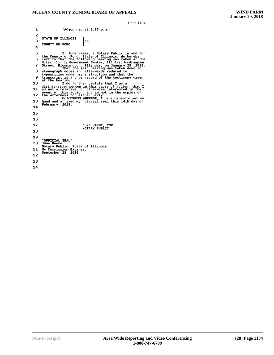```
Page 1184
 1 (Adjourned at 8:37 p.m.) 
  2
  STATE OF ILLINOIS )
 3 COUNTY OF FORD \overrightarrow{3} 4

5 I, June Haeme, a Notary Public in and for the County of Ford, State of Illinois, do hereby
6 certify that the following hearing was taken at the McLean County Government Center, 115 East Washington
7 Street, Bloomington, Illinois, on January 29, 2018. That the said hearing was taken down in
8 stenograph notes and afterwards reduced to typewriting under my instruction and that the
9 transcript is a true record of the testimony given at the hearing.
10 I do further certify that I am a disinterested person in this cause of action; that I
11 am not a relative, or otherwise interested in the<br>event of this action, and am not in the employ of<br>12 the attorneys for either party.<br>IN WITNESS WHEREOF, I have hereunto set my
13 hand and affixed my notarial seal this 14th day of February, 2018.
14

15

16

                                   17 JUNE HAEME, CSR NOTARY PUBLIC
18

19
 "OFFICIAL SEAL"
20 June Haeme Notary Public, State of Illinois
21 My Commission Expires: September 28, 2020 22

23

24
```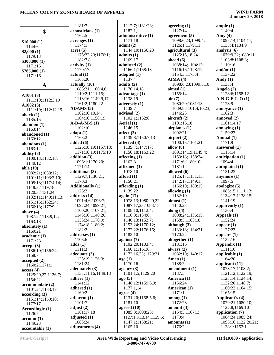|                           | 1181:7                     | 1112:7;1181:23;                     |
|---------------------------|----------------------------|-------------------------------------|
| \$                        | acousticians (1)<br>1162:5 | 1182:1,1<br>administrative (1)      |
|                           |                            | 1171:18                             |
| \$10,000(1)               | acreages(1)<br>1174:1      | admit(2)                            |
| 1144:6                    | acres(5)                   | 1144:10;1156:23                     |
| \$2,000(1)                | 1175:22,23;1176:1;         | admits (1)                          |
| 1179:13                   | 1182:7,8                   | 1169:17                             |
| \$300,000(1)              | $\text{activity} (1)$      | admitted (2)                        |
| 1171:16                   | 1170:17                    | 1166:1;1168:18                      |
| \$785,000(1)              | actual(1)                  | adopted (1)                         |
| 1171:16                   | 1163:20                    | 1137:4                              |
| A                         | actually (10)              | adults $(2)$                        |
|                           | 1083:21;1100:4,6;          | 1170:14,18                          |
| A $1001(3)$               | 1110:2;1111:15;            | advantage $(1)$                     |
| 1111:19;1112:3,19         | 1113:16;1149:9,17;         | 1138:19                             |
| A $1002(3)$               | 1161:2;1180:22             | adversely (1)                       |
| 1111:19;1112:12,19        | ADAMS (5)                  | 1139:7                              |
| aback $(1)$               | 1102:10,10,14;             | advised (2)                         |
| 1135:15                   | 1104:10;1158:19            | 1102:1;1162:6                       |
| abandon (1)               | $A-D-A-M-S(1)$             | Aerial (1)                          |
| 1163:14                   | 1102:10                    | 1146:15                             |
| abandoned (1)             | adapt $(1)$                | affect $(3)$                        |
| 1163:12                   | 1163:2                     | 1139:8;1150:7,13                    |
| abandons (1)              | added $(6)$                | affected (4)                        |
| 1163:12                   | 1126:18,19;1157:18;        | 1139:7;1147:17;                     |
| ability $(3)$             | 1171:18,19;1175:10         | 1150:18;1163:22                     |
| 1100:13;1132:18;          | addition (3)               | affecting $(1)$                     |
| 1140:12                   | 1096:1;1170:20;            | 1162:8                              |
| able (19)                 | 1171:14                    | affirmed (1)                        |
| 1082:21;1083:12;          | additional (3)             | 1078:10                             |
| 1101:11;1103:3,10;        | 1129:7;1136:21;            | afford $(1)$                        |
| 1105:13;1117:4,14;        | 1170:3                     | 1150:21                             |
| 1118:3;1119:18;           | <b>Additionally (1)</b>    | affording $(1)$                     |
| 1120:3;1131:24;           | 1125:2<br>address (14)     | 1139:22                             |
| 1132:11;1149:11,13;       | 1091:4,6;1096:7;           | again $(17)$<br>1078:13;1080:20,22; |
| 1151:15;1162:24;          | 1097:24;1099:21;           | 1087:17,23;1088:15;                 |
| 1166:18;1177:9            | 1100:20;1107:21;           | 1108:10;1112:4;                     |
| above $(4)$               | 1143:16;1148:20;           | 1116:8;1134:8;                      |
| 1087:2;1113:9,12;         | 1153:24;1170:9;            | 1140:13;1152:7;                     |
| 1163:18                   | 1174:18;1180:2;            | 1153:24;1170:12;                    |
| absolutely (1)<br>1169:21 | 1182:2                     | 1172:22;1176:16;                    |
| academic (1)              | addresses (1)              | 1183:10                             |
| 1171:23                   | 1108:6                     | against $(7)$                       |
| accept (3)                | adds(1)                    | 1102:20;1103:4;                     |
| 1136:10;1156:24;          | 1111:3                     | 1160:1;1161:6;                      |
| 1158:7                    | adequate $(3)$             | 1172:16,23;1179:21                  |
| accepted(2)               | 1125:19;1126:3;            | age(1)                              |
| 1160:2;1171:1             | 1181:24                    | 1170:16                             |
| access(4)                 | adequately $(3)$           | agency (3)                          |
| 1125:20,22;1126:7;        | 1137:11,16;1149:18         | 1101:1,5;1129:20                    |
| 1154:22                   | adhere $(1)$               | ago(5)                              |
| accommodate (2)           | 1141:12                    | 1148:12;1159:6,9;                   |
| 1101:24;1183:17           | adhered $(1)$              | 1177:1,14                           |
| according (3)             | 1160:2                     | agree $(4)$                         |
| 1151:14;1159:10;          | adjacent $(1)$             | 1131:20;1158:5,6;                   |
| 1177:17                   | 1101:7                     | 1181:10                             |
| <b>Accordingly</b> (1)    | adjust $(2)$               | agreed $(10)$                       |
| 1126:7                    | 1181:17,18                 | 1085:3;1098:23;                     |
| account(1)                | adjusted $(1)$<br>1083:24  | 1127:1,8,13,14;1129:                |
| 1149:23                   |                            | 1147:1;1158:21;<br>1165:10          |
| accountable (1)           | adjustments (4)            |                                     |

3.14:1129:5: **agreeing (1)** 1127:14 **agreement (5)** 1098:6,23;1099:4; 1126:1;1179:11 **agricultural (3)** 1125:15,18,24 **ahead (6)** 1088:14;1104:13; 1116:16;1128:12; 1154:3;1173:4 **AIMA (4)** 1098:6,23;1099:3,10 **aimed (1)** 1155:14 **air (7)** 1080:20;1081:18; 1089:8;1101:4,10,23; 1146:23 **aircraft (2)** 1101:16,18 **airplanes (1)** 1092:21 **airport (2)** 1100:13;1101:21 **allow (8)** 1091:14,19;1149:4; 1153:18;1158:24; 1171:6;1180:10; 1181:12 **allowed (6)** 1125:17;1131:13; 1142:17;1149:1; 1166:10;1180:15 **allowing (1)** 1182:10 **almost (1)** 1140:23 **along (4)** 1098:24;1136:15; 1158:5;1183:18 **although (3)** 1133:18;1134:21; 1170:24 **altogether (1)** 1181:16 **always (2)** 1082:10;1140:17 **Amen (1)** 1138:7 **amendment (1)** 1137:5 **America (1)** 1156:24 **American (1)** 1171:1 **among (1)** 1172:23 **amount (3)** 1154:5;1167:1; 1179:4 **amounts (1)** 1176:2

**ample (1)** 1149:4 **Amy (4)** 1095:14;1104:17; 1133:4;1134:9 **analysis (6)** 1079:9,22;1080:11; 1103:8;1108:3; 1110:16 **and/or (1)** 1137:22 **Andy (1)** 1133:4 **Angelo (2)** 1128:6;1158:12 **A-N-G-E-L-O (1)** 1128:9 **annoyance (1)** 1162:3 **annoyed (2)** 1161:14,17 **annoying (1)** 1159:23 **Annual (1)** 1171:9 **answered (1)** 1115:14 **anticipation (1)** 1094:4 **antiquated (1)** 1131:23 **anymore (1)** 1097:5 **apologize (5)** 1085:15;1111:13; 1134:17;1138:15; 1141:19 **apparently (1)** 1136:4 **Appeals (1)** 1152:24 **appear (1)** 1127:23 **appears (1)** 1137:16 **Appendix (1)** 1111:16 **applicable (1)** 1164:20 **applicant (11)** 1078:17;1108:2; 1121:12;1122:19; 1123:14;1124:14; 1132:20;1148:7; 1160:23;1164:15; 1165:15 **Applicant's (4)** 1079:21;1080:10; 1122:8;1169:10 **application (7)** 1084:24;1085:24; 1095:16;1122:20,21; 1138:1;1152:1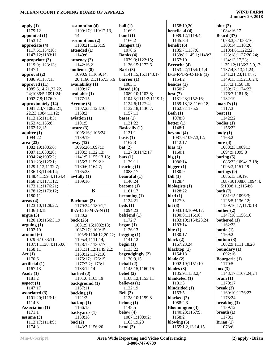|                                       |                                         | ball(1)                  | 1158:19,20                         | blue $(2)$                            |
|---------------------------------------|-----------------------------------------|--------------------------|------------------------------------|---------------------------------------|
| apply $(1)$<br>1179:12                | assumption $(4)$<br>1109:17;1110:12,13, | 1169:1                   | beneficial (4)                     | 1084:16,17                            |
|                                       | 14                                      |                          | 1089:12:1119:4:                    |                                       |
| appointed $(1)$<br>1153:12            |                                         | band $(1)$<br>1166:2     |                                    | <b>Board</b> (37)                     |
| appreciate (4)                        | assumptions $(2)$<br>1108:21;1123:19    | <b>Bangert</b> (1)       | 1145:3,4<br>benefit (6)            | 1078:3,5;1083:16;<br>1108:14;1110:20; |
| 1117:6;1134:10;                       | attended (1)                            | 1078:6                   | 1135:7;1137:6;                     | 1118:4,6;1122:22;                     |
| 1147:12;1183:11                       | 1149:6                                  | Banks $(4)$              | 1139:8;1145:1;1148:3;              | 1123:18;1127:20,24;                   |
| appropriate $(3)$                     | attorney $(2)$                          | 1079:3;1122:15;          | 1157:10                            | 1134:12,17,23;                        |
| 1119:9;1123:13;                       | 1142:16,21                              | 1136:15;1172:6           | Bertsche (4)                       | 1135:12;1136:3,5,9,17;                |
| 1147:1                                | audience (8)                            | Barb $(3)$               | 1153:22;1154:1,1,4                 | 1137:4,8,13,21,24;                    |
| approval $(2)$                        | 1090:9;1116:9,14,                       | 1141:15,16;1143:17       | $B-E-R-T-S-C-H-E(1)$               | 1141:21,23;1147:7;                    |
| 1086:9;1137:15                        | 20;1166:21;1167:3,5,6                   | barrier $(1)$            | 1154:2                             | 1149:15;1152:10,24;                   |
| approved (11)                         | availability (1)                        | 1083:1                   | besides $(1)$                      | 1157:3;1158:10;                       |
| 1085:6,14,21,22,22,                   | 1100:17                                 | <b>Based</b> $(10)$      | 1150:7                             | 1159:17;1174:23;                      |
| 24;1086:5;1091:24;                    | available (1)                           | 1089:10;1103:8;          | best $(7)$                         | 1176:7;1181:6;                        |
| 1092:7,8;1176:9                       | 1177:15                                 | 1104:3;1111:2;1119:1;    | 1131:23;1152:16;                   | 1182:19                               |
| approximately (14)                    | Avenue (3)                              | 1124:6;1127:4;           | 1159:13,18;1160:18;                | board's $(1)$                         |
| 1081:2,3,7;1082:21,                   | 1107:23;1128:10;                        | 1132:18;1136:7;          | 1162:7;1175:5                      | 1117:3                                |
| 22, 23; 1084: 11, 12;                 | 1158:2                                  | 1157:11                  | Beth $(1)$                         | boat $(1)$                            |
| 1113:15;1114:5;                       | $a$ viation $(1)$                       | bases $(1)$              | 1078:8                             | 1142:22                               |
| 1153:4;1155:8;                        | 1101:5                                  | 1131:22                  | better $(1)$                       | bodies $(1)$                          |
| 1162:12,15                            | aware $(3)$                             | <b>Basically</b> (1)     | 1148:1                             | 1156:22                               |
| aquifer $(1)$                         | 1095:16;1106:24;                        | 1131:1                   | beyond $(4)$                       | body(1)                               |
| 1094:22                               | 1139:19                                 | basis $(1)$              | 1087:6;1097:3,12;                  | 1163:2                                |
| area (23)                             | away $(12)$                             | 1162:3                   | 1112:17                            | bore $(4)$                            |
| 1082:19;1085:6;                       | 1096:20;1097:1;                         | bat(2)                   | bias $(1)$                         | 1088:23;1089:1;                       |
| 1087:1;1088:20;                       | 1103:3;1132:13;                         | 1127:3;1142:17           | 1160:1                             | 1094:9;1095:8                         |
| 1094:24;1095:2;                       | 1141:5;1155:13,18;                      | bats(1)                  | big(1)                             | boring $(5)$                          |
| 1101:23;1125:1;                       | 1156:7;1159:21;                         | 1129:11                  | 1086:14                            | 1086:22;1094:17,18;                   |
|                                       | 1160:6;1164:7;                          | bearing $(1)$            | bigger $(1)$                       | 1095:3;1151:19                        |
| 1129:1,13;1132:7;<br>1136:13;1144:14; | 1165:23                                 | 1088:17                  | 1180:9                             | borings (9)                           |
| 1148:4;1159:4;1164:4;                 | awfully $(1)$                           | beautiful $(1)$          | Bill(1)                            | 1086:13,19,19;                        |
|                                       | 1109:10                                 | 1140:24                  | 1128:4                             | 1087:9;1088:6;1094:4,                 |
| 1168:24;1171:12;                      |                                         |                          |                                    |                                       |
|                                       |                                         |                          |                                    |                                       |
| 1173:11;1176:21;                      |                                         | become $(1)$             | biologists $(1)$                   | 5;1098:11;1154:6                      |
| 1178:12;1179:12;                      | B                                       | 1161:17                  | 1128:22                            | both $(7)$                            |
| 1180:11                               |                                         | becoming $(1)$           | bird(1)                            | 1081:15;1096:3;                       |
| area <sub>4</sub>                     | Bachman (3)                             | 1134:21                  | 1127:3                             | 1125:5;1136:12;                       |
| 1123:10;1128:22;                      | 1179:24;1180:1,2                        | beds(1)                  | bit $(8)$                          | 1139:16,17;1170:18                    |
| 1136:13,18                            | <b>B-A-C-H-M-A-N(1)</b>                 | 1094:23                  | 1083:18;1099:17;                   | bother $(2)$                          |
| argue(3)                              | 1180:2                                  | befriend $(1)$           | 1100:8;1116:10;                    | 1147:18;1156:16                       |
| 1120:10;1156:3,19                     | back $(26)$                             | 1172:7                   | 1133:19;1154:23,24;                | bothered (1)                          |
| arguing(1)                            | 1081:9,15;1082:18;                      | began $(1)$              | 1183:14                            | 1162:23                               |
| 1102:19                               | 1087:17;1100:15;                        | 1126:13                  | bite $(1)$                         | bottle $(1)$                          |
| around (6)                            | 1103:9;1104:12,20,22;                   | begging $(1)$            | 1130:17                            | 1169:2                                |
| 1079:6;1083:11;                       | 1105:4;1111:14;                         | 1141:12                  | black $(2)$                        | bottom $(3)$                          |
| 1137:1;1138:4;1153:6;                 | 1128:17;1130:17;                        | begin $(1)$              | 1167:23,24                         | 1082:9;1111:18,20                     |
| 1158:11                               | 1131:11,12;1149:2,2;                    | 1133:22                  | blacktop $(1)$                     | boundary $(1)$                        |
| Art $(1)$                             | 1160:12;1172:10;                        | begrudgingly $(2)$       | 1154:18                            | 1092:16                               |
| 1170:6                                | 1175:17;1176:15;                        | 1130:9,15                | blade $(2)$                        | Bourgerie (1)                         |
| artificial $(1)$                      | 1177:2,2;1178:1;                        | behalf $(2)$             | 1092:19;1151:10                    | 1170:5                                |
| 1167:13                               | 1183:12,14                              | 1145:15;1160:15          | blades $(3)$                       | box (3)                               |
| Aside $(1)$                           | backed $(2)$                            | belief $(2)$             | 1135:9;1138:2,4                    | 1148:17;1167:24,24                    |
| 1181:2                                | 1101:6;1165:19                          | 1108:12;1153:11          | blanketed $(1)$                    | brain(1)                              |
| aspect $(1)$                          | background (1)                          | believes $(1)$           | 1181:3                             | 1170:17                               |
| 1147:17                               | 1157:11                                 | 1122:19                  | blindsided (1)                     | break $(3)$                           |
| associated $(3)$                      | backing $(1)$                           | Bell $(2)$               | 1153:5                             | 1160:10;1176:23;                      |
| 1101:20;1113:1;                       | 1121:2                                  | 1128:10;1159:8           | blocked (2)                        | 1178:24                               |
| 1114:3                                | backup $(1)$                            | belong $(1)$             | 1088:2,3                           | breaking $(1)$                        |
| <b>Association (1)</b>                | 1166:13                                 | 1148:5                   | <b>Bloomington</b> (3)             | 1139:12                               |
| 1171:1                                | backyards (1)                           | below $(4)$              | 1140:23;1157:9;                    | breath $(1)$                          |
| assume $(3)$                          | 1138:18                                 | 1087:1;1089:2;           | 1158:2                             | 1178:1                                |
| 1113:17;1114:9;<br>1174:8             | bad(2)<br>1143:7;1156:20                | 1163:19,20<br>bend $(2)$ | blowing $(5)$<br>1155:1,2,13,14,15 | Brian $(1)$<br>1078:6                 |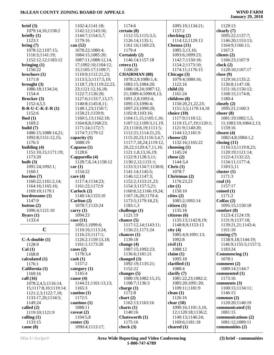| brief (3)             | 1102:4;1141:18;       | 1174:6                      | 1095:19;1134:21;         | 1129:13               |
|-----------------------|-----------------------|-----------------------------|--------------------------|-----------------------|
| 1079:14,16;1158:2     | 1142:12;1143:16;      | certain(8)                  | 1157:2                   | clearly $(7)$         |
| briefly $(1)$         | 1144:7;1154:5,7;      | 1112:15;1115:3,5;           | checking (2)             | 1095:22;1137:7;       |
| 1123:1                | 1179:16               | 1126:14;1135:1;             | 1114:12;1129:13          | 1146:20;1153:13;      |
| bring(7)              | can $(52)$            | 1161:16;1169:23;            | Chenoa (11)              | 1164:9;1166:11;       |
| 1078:12;1107:15;      | 1078:22;1080:4;       | 1179:4                      | 1085:3,13,16;            | 1167:3                |
| 1116:5;1141:19;       | 1084:15;1085:20;      | Certainly (2)               | 1093:6;1099:23;          | clients $(2)$         |
|                       |                       | 1146:14;1157:18             |                          |                       |
| 1152:12,12;1183:12    | 1087:11;1088:12,14,   |                             | 1142:7;1150:18;          | 1166:23;1167:9        |
| bringing $(1)$        | 17;1092:10;1104:12,   | cetera $(1)$                | 1154:2;1173:10;          | clock(2)              |
| 1150:22               | 15;1105:17;1109:7;    | 1106:20                     | 1174:11;1176:15          | 1128:10;1167:17       |
| brochure (1)          | 1110:9;1112:21,23;    | <b>CHAIRMAN (88)</b>        | Chicago (3)              | close $(9)$           |
| 1171:8                | 1113:5,5;1117:5,10;   | 1078:2,9;1080:1,4;          | 1079:4;1080:16;          | 1129:16;1135:2;       |
| brought $(3)$         | 1118:7,19;1119:22,23, | 1083:15;1084:20;            | 1122:16                  | 1136:8;1147:18;       |
| 1086:18;1134:24;      | 23;1121:12,16,18;     | 1086:18,24;1087:12,         | child(1)                 | 1151:16;1156:12;      |
| 1154:4                | 1122:7;1126:20;       | 21;1089:4;1090:8,13;        | 1161:24                  | 1168:15;1174:8;       |
| Brucker (3)           | 1127:6;1133:7,13,17;  | 1091:2,8;1093:4;            | children (8)             | 1180:4                |
| 1152:4,5,5            | 1140:8;1145:8,11;     | 1095:13;1096:4;             | 1150:20,21,22,23;        | closely $(2)$         |
| $B-R-U-C-K-E-R(1)$    | 1148:1,23;1150:7;     | 1097:23;1099:20;            | 1151:3,5;1170:14,18      | 1095:21;1160:3        |
| 1152:6                | 1158:21;1159:9;       | 1102:8;1103:16;             | choice $(10)$            | closer $(8)$          |
| Bud $(1)$             | 1160:5,13;1162:18;    | 1104:11,15;1105:1,16;       | 1117:9;1118:12;          | 1081:19;1082:1,5,     |
| 1169:2                | 1164:8,8;1168:23;     | 1107:12;1109:3,11,19,       | 1119:15,17,19;1120:1;    | 11;1083:19;1084:2,13; |
| build $(7)$           | 1171:24;1172:7;       | 23;1110:8,19;1111:5;        | 1121:9;1140:20;          | 1159:16               |
| 1086:15;1088:14,21;   | 1174:7;1179:12        | 1112:21;1114:21,23;         | 1144:12;1181:9           | closest $(4)$         |
| 1092:8;1151:12,15;    | capacity (1)          | 1115:20,23;1116:3,4,7;      | choose $(2)$             | 1082:4,8;1084:1,2     |
| 1176:3                | 1088:19               | 1117:7,18,24;1119:12,       | 1132:16;1165:22          | closing $(11)$        |
| building $(4)$        | Capasso $(1)$         | 20, 22; 1120: 4, 7, 11, 16; | choosing $(1)$           | 1116:13;1119:8,23;    |
| 1151:10,15;1171:19;   | 1128:6                | 1121:1,8,13,16,19;          | 1145:24                  | 1120:19;1121:14;      |
| 1173:20               | Capparella (4)        | 1122:9;1128:3,11;           | chose $(2)$              | 1122:4;1132:22;       |
|                       |                       |                             |                          |                       |
| built $(3)$           | 1128:7,8,14;1158:12   | 1130:2,12;1131:1;           | 1144:3,4                 | 1134:11;1177:4;       |
| 1091:24;1092:1;       | car(1)                | 1133:3;1134:7;1138:8;       | Christ (1)               | 1183:5,11             |
| 1160:1                | 1154:22               | 1141:14;1145:5;             | 1078:7                   | cluster $(1)$         |
| burden $(7)$          | care $(4)$            | 1146:12;1147:3;             | Christmas (2)            | 1171:3                |
| 1160:22;1161:2,14;    | 1117:4;1134:23;       | 1152:2;1153:21,23;          | 1176:23,23               | $\text{coal}(1)$      |
| 1164:16;1165:16;      | 1161:22;1172:9        | 1154:3;1157:5,21;           | cite (1)                 | 1157:17               |
| 1169:10;1170:1        | Carlock (2)           | 1160:8,12;1166:19,24;       | 1150:10                  | coined(1)             |
| burdensome (1)        | 1140:14;1153:10       | 1167:16,20;1170:4;          | cities(2)                | 1171:2                |
| 1147:9                | Carlton (2)           | 1173:5;1179:18,23;          | 1085:2;1092:14           | Colfax $(2)$          |
| button $(2)$          | 1078:7;1133:24        | 1183:1,3                    | citizen(1)               | 1095:15;1150:18       |
| 1096:4;1121:10        | carry $(1)$           | challenge $(1)$             | 1135:18                  | comfort(8)            |
| Byars $(1)$           | 1094:23               | 1121:19                     | citizens (6)             | 1123:4;1124:19;       |
| 1133:4                | case $(11)$           | chance $(5)$                | 1135:13;1142:8,19;       | 1131:9;1137:18;       |
|                       | 1095:1;1099:6;        | 1117:12,14;1143:11;         | 1148:8,9;1153:13         | 1139:21,21;1143:4;    |
| $\mathbf C$           | 1110:16;1113:24;      | 1156:21;1171:24             | city $(4)$               | 1161:10               |
|                       | 1116:23;1117:1;       | chances (1)                 | 1085:4,9;1091:13;        | coming $(7)$          |
| $C-A$ -double $(1)$   | 1126:2;1159:13,18;    | 1139:18                     | 1092:8                   | 1138:9,18;1144:19;    |
| 1128:9                | 1161:1;1173:20        | change $(4)$                | $\dot{\text{civil}}$ (1) | 1146:9;1155:5;1157:5; |
| Cal(1)                | cases $(2)$           | 1087:15;1092:23;            | 1088:12                  | 1183:24               |
| 1168:8                | 1178:3,4              | 1136:6;1181:21              | claim(1)                 | Commencing (1)        |
| calculated (1)        | $\cosh(1)$            | changed $(3)$               | 1095:18                  | 1078:1                |
| 1176:1                | 1157:2                | 1092:19;1135:21;            | clarified $(1)$          | comment $(2)$         |
| California (1)        | category $(1)$        | 1152:22                     | 1088:4                   | 1089:14;1144:7        |
| 1169:16               | 1145:4                | changes $(5)$               | clarify $(7)$            | commented $(1)$       |
| call $(16)$           | cause $(4)$           | 1080:19;1082:15,15;         | 1081:22,23;1082:2;       | 1173:16               |
| 1078:2,4,5;1116:14,   | 1144:21;1161:13,13;   | 1108:7;1136:3               | 1085:20;1091:20;         | comments $(3)$        |
| 15;1117:8,10;1119:14; | 1165:3                | charge $(1)$                | 1109:11;1181:9           | 1100:15;1134:11;      |
| 1121:2,3;1122:7,10;   | caution $(1)$         | 1172:8                      | clean $(1)$              | 1146:15               |
| 1133:17,20;1134:5;    | 1172:5                | chart(2)                    | 1126:16                  | common $(2)$          |
| 1149:24               | cautious $(1)$        | 1162:13;1163:16             | clear $(10)$             | 1120:20;1140:19       |
| called $(2)$          | 1088:11               | charts $(1)$                | 1090:16;1101:3,10,       | communicated (1)      |
| 1119:10;1121:9        | caveat $(2)$          | 1140:16                     | 12;1120:18;1136:2;       | 1081:15               |
| calling $(1)$         | 1104:5,8              | Chatsworth (1)              | 1140:13;1146:24;         | communications (2)    |
| 1133:15               | center $(3)$          | 1175:16                     | 1169:6;1181:18           | 1081:12;1089:11       |
| came $(8)$            | 1090:4;1113:17;       | check $(3)$                 | cleared $(1)$            | communities (2)       |
|                       |                       |                             |                          |                       |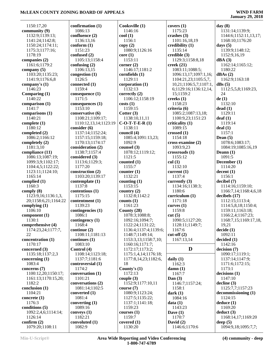$\overline{a}$ 

| 1150:17,20           |                             |                       |                        |                                   |
|----------------------|-----------------------------|-----------------------|------------------------|-----------------------------------|
|                      | confirmation (1)            | Cooksville (1)        | covers(1)              | day $(8)$                         |
| community (9)        | 1086:13                     | 1146:16               | 1175:23                | 1131:14;1139:9;                   |
| 1132:9;1139:13;      | confluence (2)              | $\text{cool}(1)$      | crashes $(3)$          | 1144:6;1152:11,13,17;             |
| 1141:24;1142:8;      | 1136:13,16                  | 1156:1                | 1101:16,18,19          | 1168:10;1176:20                   |
| 1150:24;1174:11;     | conform(1)                  | copy(2)               | credibility (1)        | days $(5)$                        |
| 1175:3;1177:16;      | 1151:23                     | 1080:9;1126:16        | 1135:14                | 1139:9;1148:12;                   |
| 1178:19              | confused (2)                | core(1)               | $\bf{c}$ redible $(3)$ | 1152:9,16,19                      |
| companies (2)        | 1105:13;1158:4              | 1153:11               | 1129:3;1158:8,18       | dBA(3)                            |
| 1161:6;1179:2        | confusing $(2)$             | corner $(2)$          | creek $(21)$           | 1162:14;1165:12;                  |
| company $(5)$        | 1106:13,15                  | 1146:17;1181:2        | 1083:11;1088:5;        | 1180:22                           |
| 1103:20;1135:23;     | congestion (1)              | cornfields (1)        | 1096:13,17;1097:1,16;  | dBAs(2)                           |
| 1141:9;1176:6,8      | 1126:5                      | 1129:11               | 1104:21,23;1105:5,7,   | 1162:9;1163:18                    |
| company's (1)        | connected (1)               | corporation (1)       | 10,21;1106:5,7;1107:1, | dBs(5)                            |
| 1146:23              | 1159:4                      | 1132:13               | 6;1129:16;1136:12,14,  | 1112:5,5,8;1169:23,               |
| Comparing $(1)$      | consequence (1)             | correctly $(2)$       | 15;1159:2              | 24                                |
| 1140:22              | 1171:5                      | 1106:12;1158:19       | creeks (1)             | de(1)                             |
| comparison (1)       | consequences <sub>(1)</sub> | costs(1)              | 1158:23                | 1132:10                           |
| 1141:7               | 1153:10                     | 1159:15               | criteria (6)           | dead(1)                           |
| comparisons (1)      | conservative (6)            | Cotter $(3)$          | 1085:2;1087:13,18;     | 1129:11                           |
| 1140:21              | 1108:21;1109:17;            |                       | 1100:9,23;1151:23      | $\text{deaf}(1)$                  |
|                      |                             | 1138:10,11,11         |                        |                                   |
| complete (1)         | 1110:12,13,14;1123:19       | $C-O-T-T-E-R(1)$      | criticality (1)        | 1119:14                           |
| 1180:12              | consider (6)                | 1138:11               | 1089:15                | deal(1)                           |
| completed (2)        | 1137:14;1152:24;            | council $(4)$         | crossed $(1)$          | 1157:1                            |
| 1086:2;1166:12       | 1157:15;1159:18;            | 1085:4;1091:13,23;    | 1154:18                | Dean $(5)$                        |
| completely (2)       | 1170:13;1174:17             | 1092:9                | cross-examine (2)      | 1078:6;1083:17;                   |
| 1181:3,10            | consideration (2)           | count(3)              | 1093:9,23              | 1084:19;1085:16,19                |
| compliance (11)      | 1138:7;1157:4               | 1078:12;1119:12;      | crossroads(1)          | Deann $(1)$                       |
| 1086:13;1087:19;     | considered (3)              | 1121:5                | 1155:12                | 1091:5                            |
| 1099:3,9;1102:17;    | 1113:6;1129:3;              | counted $(1)$         | $\text{cul}(1)$        | December (1)                      |
| 1104:4,5;1122:22;    | 1177:20                     | 1155:7                | 1132:10                | 1114:20                           |
| 1123:11;1124:10;     | construction (2)            | counter $(1)$         | current $(1)$          | decent(1)                         |
| 1165:14              | 1103:20;1139:17             | 1132:21               | 1137:4                 | 1156:1                            |
| complied (1)         | contemplate (1)             | counting $(1)$        | currently $(3)$        | decibel (7)                       |
| 1160:3               | 1137:8                      | 1153:15               | 1134:16;1138:3;        | 1114:16;1159:10;                  |
| comply (8)           | contentious (1)             | country $(2)$         | 1180:6                 | 1166:7,14;1168:4,6,18             |
| 1123:9,16;1136:1,3,  | 1175:15                     | 1132:8;1142:2         | curriculum (1)         | decibels (17)                     |
| 20;1158:6,21;1164:22 | contentment (1)             | counts $(1)$          | 1171:18                | 1112:15;1113:4;                   |
| complying $(1)$      | 1139:23                     | 1161:23               | curves $(1)$           | 1114:5,8,18;1150:4;               |
| 1106:10              | contingencies (1)           | County $(28)$         | 1159:8                 | 1159:11;1163:18;                  |
| component (1)        | 1086:1                      | 1078:3;1088:8;        | cut(5)                 | 1166:2,4;1167:23;                 |
| 1130:1               | contingency (1)             | 1092:16;1094:7;       | 1090:5;1127:20;        | 1168:7,15;1169:17,18,             |
| comprehensive (4)    | 1168:4                      | 1122:24;1131:22;      | 1128:11;1149:7;        | 19,21                             |
| 1174:23,24;1177:7,   | continue (2)                | 1136:4;1137:4;1139:6; | 1167:6                 | decide(1)                         |
| 22                   | 1108:11;1181:13             | 1148:7;1149:14;       | $cut-off(2)$           | 1092:11                           |
| concentration (1)    | continues (1)               | 1153:3,13;1158:7,10;  | 1167:13,14             | decided (1)                       |
| 1170:17              | 1083:10                     | 1160:16;1171:7;       |                        | 1142:16                           |
| concerned (3)        | Control (4)                 | 1172:17;1173:2;       | D                      | decision (7)                      |
| 1135:18;1137:2,3     | 1108:14;1123:18;            | 1175:1,4,14;1176:18;  |                        | 1090:17;1119:1;                   |
| concerning $(1)$     | 1137:7;1181:6               | 1177:8,14,23;1182:6,  | daily $(1)$            | 1137:14;1147:9;                   |
| 1083:4               | controversial (1)           | 18                    | 1162:3                 | 1171:6;1172:15;                   |
| concerns (7)         | 1174:2                      | County's $(1)$        |                        | 1173:1                            |
|                      | conversation (1)            |                       | damm(1)                |                                   |
| 1100:12,20;1150:17;  |                             | 1172:13               | 1167:7                 | decisions(1)                      |
| 1161:13;1170:15,20;  | 1101:21                     | couple $(3)$          | Dan $(3)$              | 1147:10                           |
| 1182:2               | conversations (2)           | 1152:9;1177:10,11     | 1146:7;1157:24;        | $\text{decline} \left( 3 \right)$ |
| conclusion (1)       | 1081:14;1102:5              | course $(7)$          | 1158:1                 | 1125:7,7;1157:23                  |
| 1104:21              | converted (1)               | 1080:9;1123:24;       | dark $(1)$             | decommissioning (1)               |
| concrete (1)         | 1081:4                      | 1127:5;1135:22;       | 1084:16                | 1124:15                           |
| 1176:3               | converting $(1)$            | 1137:1;1141:18;       | data(1)                | deduce(1)                         |
| conditions (5)       | 1089:16                     | 1159:23               | 1143:23                | 1169:20                           |
| 1092:2,4,6;1114:14;  | conveys $(1)$               | course(1)             | Dave $(1)$             | deduct(3)                         |
| 1126:14              | 1182:21                     | 1159:7                | 1170:7                 | 1168:14,17;1169:20                |
| confirm $(2)$        | convoluted (1)              | covered(1)            | David $(2)$            | deep $(5)$                        |
|                      |                             |                       |                        |                                   |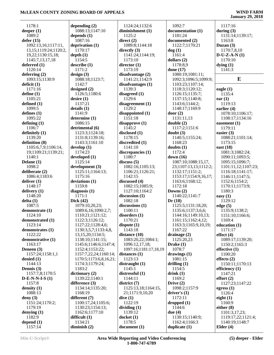| 1178:1                     | depending $(2)$        | 1124:24;1132:6        | 1092:7                | 1117:16             |
|----------------------------|------------------------|-----------------------|-----------------------|---------------------|
| deeper $(1)$               | 1088:13;1147:10        | diminishment (1)      | documentation (1)     | during $(3)$        |
|                            |                        |                       |                       |                     |
| 1089:2                     | depends $(1)$          | 1125:2                | 1181:24               | 1131:14;1139:17;    |
| defer(15)                  | 1087:16                | direct $(2)$          | documented (2)        | 1163:8              |
| 1092:13,16;1117:11,        | deprivation (1)        | 1089:8;1144:18        | 1122:7;1170:21        | Duzan $(3)$         |
| 13, 15; 1119: 24; 1120: 2, | 1170:17                | directly $(3)$        | dog(1)                | 1170:7,8,10         |
| 19,22;1130:15,18;          | depth(1)               | 1141:24;1144:19;      | 1161:4                | $D-U-Z-A-N(1)$      |
|                            |                        |                       |                       |                     |
| 1145:7,13,17,18            | 1154:5                 | 1173:10               | dollars (2)           | 1170:10             |
| deferred $(1)$             | describe(1)            | director $(1)$        | 1178:8,9              | dying $(1)$         |
| 1120:14                    | 1171:2                 | 1173:19               | done (17)             | 1141:3              |
| deferring $(2)$            | design(3)              | disadvantage (2)      | 1080:19;1081:11;      |                     |
| 1093:15;1130:9             | 1088:18;1123:7;        | 1141:21;1142:9        | 1092:3;1096:5;1099:9; | E                   |
|                            |                        |                       |                       |                     |
| deficit (1)                | 1142:7                 | disadvantages (1)     | 1103:23;1107:14;      |                     |
| 1171:16                    | designed $(2)$         | 1139:3                | 1118:3;1120:12;       | eagle $(1)$         |
| define (1)                 | 1126:5;1180:6          | disagreed (1)         | 1126:15;1135:7;       | 1135:4              |
| 1105:21                    | desire(1)              | 1129:6                | 1137:15;1140:8;       | ear $(1)$           |
| defined $(1)$              | 1137:21                | disagreement(1)       | 1143:6;1144:2;        | 1119:13             |
|                            |                        |                       |                       |                     |
| 1099:5                     | details(1)             | 1129:2                | 1148:17;1169:9        | earlier $(4)$       |
| defines $(1)$              | 1141:9                 | disappointed (1)      | door $(2)$            | 1078:10;1106:17;    |
| 1095:22                    | determine (1)          | 1151:18               | 1131:11,13            | 1108:17;1134:16     |
| defining $(1)$             | 1086:15                | disapprove(1)         | double(2)             | easement (1)        |
| 1106:7                     | detrimental (6)        | 1145:2                | 1117:2;1151:6         | 1179:11             |
|                            |                        |                       |                       |                     |
| definitely (1)             | 1123:3;1124:18;        | disclosed (1)         | doubt(3)              | easier $(3)$        |
| 1139:20                    | 1131:8;1139:16;        | 1178:15               | 1140:5;1155:24;       | 1088:21;1101:14;    |
| definition (8)             | 1143:3;1161:10         | discredited (1)       | 1168:23               | 1173:15             |
| 1105:6,7,9;1106:14,        | develop(1)             | 1141:10               | doubts $(1)$          | east $(18)$         |
| 19;1109:21;1139:21;        | 1174:23                | discrepancies (1)     | 1172:4                | 1081:3;1082:24;     |
|                            |                        |                       |                       |                     |
| 1140:1                     | developed (1)          | 1180:7                | down $(16)$           | 1090:11;1093:5;     |
| Delane $(1)$               | 1125:14                | discuss(5)            | 1087:10;1088:15,17,   | 1095:15;1096:7;     |
| 1098:2                     | development (3)        | 1082:16;1105:13;      | 23;1107:13,13;1112:2; | 1101:11,12;1107:23; |
| deliberate (2)             | 1125:11;1164:13;       | 1106:21;1126:21;      | 1132:17;1151:2;       | 1116:18;1141:17;    |
| 1086:4;1183:6              | 1175:16                | 1142:15               |                       |                     |
|                            |                        |                       | 1153:17;1154:9,16,17; | 1146:11;1147:5;     |
| deliver $(1)$              | deviations (1)         | discussed (4)         | 1163:6;1168:12;       | 1152:6;1154:2;      |
| 1148:17                    | 1159:8                 | 1082:15;1085:9;       | 1172:18               | 1170:11;1173:9;     |
| delivery $(1)$             | diagnosis $(1)$        | 1127:10;1164:2        | Downs $(2)$           | 1180:3              |
| 1148:20                    | 1171:1                 | discussion $(1)$      | 1140:22;1141:7        | easy $(1)$          |
|                            | Dick $(42)$            | 1082:18               |                       | 1129:12             |
| delta(1)                   |                        |                       | Dr(18)                |                     |
| 1087:5                     | 1079:10,20,23;         | discussions (1)       | 1125:5;1131:18,20;    | edge(5)             |
| demonstrate (1)            | 1089:6,16;1090:2,7;    | 1100:11               | 1135:6;1137:3,6,6;    | 1135:9;1138:2;      |
| 1124:10                    | 1110:21;1121:12;       | disorders(1)          | 1144:16;1149:10,13;   | 1151:10;1166:6;     |
| demonstrated (1)           | 1122:3;1126:12;        | 1170:21               | 1161:15;1162:4,12;    | 1169:4              |
| 1123:14                    | 1127:22;1128:4,6;      |                       | 1163:3;1165:9,10,19;  |                     |
|                            |                        | dispute $(1)$         |                       | education (1)       |
| demonstrates (1)           | 1130:3,5,7;1133:4,8,   | 1143:18               | 1167:22               | 1171:17             |
| 1122:22                    | 13,15,20;1134:5;       | distance $(10)$       | drainage $(2)$        | effect $(4)$        |
| demonstrative (1)          | 1138:10;1141:15;       | 1083:20,22;1084:1;    | 1125:20,23            | 1089:17;1139:20;    |
| 1163:17                    | 1145:6;1146:6;1147:4;  | 1096:12,17,18;        | Drake (1)             | 1150:2;1165:3       |
| Deneen $(3)$               | 1152:4;1153:22;        | 1097:16;1181:17,18,19 | 1078:7                | effective $(1)$     |
|                            |                        |                       |                       |                     |
| 1157:24;1158:1,1           | 1157:7,22,24;1160:14;  | distances $(1)$       | drawings $(1)$        | 1100:20             |
| denied $(1)$               | 1170:5;1173:6,8,16,21; | 1123:13               | 1081:15               | effects $(2)$       |
| 1144:13                    | 1174:3;1179:24;        | distraught (1)        | drilling $(1)$        | 1150:11;1170:13     |
| Dennis (3)                 | 1183:2                 | 1145:1                | 1154:5                | efficiency $(1)$    |
| 1157:7,8;1170:5            | dictionary(2)          | distressful (1)       | drink(1)              | 1147:21             |
|                            |                        |                       |                       |                     |
| $D-E-N-N-I-S(1)$           | 1139:22;1140:1         | 1144:11               | 1169:2                | effort(2)           |
| 1157:8                     | difference $(3)$       | district (7)          | Drive $(2)$           | 1127:23;1147:22     |
| density $(1)$              | 1134:14;1135:20;       | 1125:13,18;1164:15,   | 1098:2;1157:9         | egress $(1)$        |
| 1088:13                    | 1168:19                | 21;1171:9,10,20       | driver's $(1)$        | 1126:4              |
|                            |                        |                       |                       |                     |
| deny $(3)$                 | different (7)          | dive(1)               | 1172:11               | eight $(1)$         |
| 1151:24;1170:2;            | 1100:17,24;1105:6;     | 1122:19               | dropped(1)            | 1160:9              |
| 1179:19                    | 1130:23;1154:13;       | dividing $(1)$        | 1144:6                | either $(8)$        |
| denying $(1)$              | 1162:6;1177:10         | 1139:12               | due $(4)$             | 1101:3,17,23;       |
| 1182:9                     | difficult $(1)$        | $d$ ocket $(1)$       | 1130:15;1140:9;       | 1119:17,22;1121:4;  |
|                            |                        | 1178:5                |                       |                     |
| depend $(1)$               | 1134:21                |                       | 1162:4;1166:3         | 1140:19;1148:7      |
| 1157:14                    | diminish $(2)$         | document(1)           | duplicate $(1)$       | Elder $(4)$         |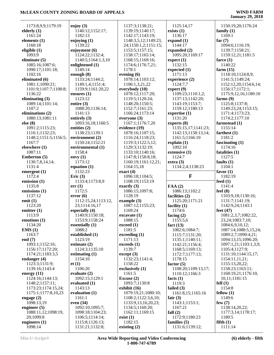| 1173:8,9,9;1179:19           | enjoy $(3)$                        | 1137:3;1138:21;           | 1125:14,17                      | 1150:19,20;1176:24    |
|------------------------------|------------------------------------|---------------------------|---------------------------------|-----------------------|
| elderly $(1)$                | 1140:12;1152:17;                   | 1139:19;1140:17;          | exists $(1)$                    | family $(1)$          |
|                              |                                    |                           |                                 |                       |
| 1161:24                      | 1182:13                            | 1142:17;1143:19;          | 1136:17                         | 1169:1                |
| elements (1)                 | enjoying $(1)$                     | 1148:3,5,12;1149:23,      | expand $(1)$                    | far $(7)$             |
| 1160:18                      | 1139:22                            | 24;1150:1,2;1151:15;      | 1144:17                         | 1094:6;1116:19;       |
| eligible $(1)$               | enjoyment (6)                      | 1153:5;1157:15;           | expanded (2)                    | 1139:7;1158:21;       |
| 1093:9                       | 1124:22;1132:4;                    | 1158:17;1165:14;          | 1095:20;1169:17                 | 1159:12,21;1181:5     |
| eliminate $(5)$              | 1140:5;1164:1,3,10                 | 1168:15;1169:16;          | expect(1)                       | farce $(1)$           |
| 1085:16;1087:6;              | enlightened (1)                    | 1174:6;1176:7,21;         | 1132:15                         | 1140:22               |
| 1090:17;1101:18;             | 1149:14                            | 1178:1                    | expected $(1)$                  | farm $(15)$           |
| 1102:16                      |                                    | evening $(6)$             | 1171:13                         | 1118:10;1124:8,9;     |
|                              | enough $(8)$                       |                           |                                 |                       |
| eliminated (6)               | 1133:24;1144:2;                    | 1078:14;1103:12;          | experience (2)                  | 1141:5;1149:24;       |
| 1081:1;1090:21;              | 1149:1,4;1151:4;                   | 1106:1,3,21,22            | 1124:7,7                        | 1152:12,20;1154:6,14; |
| 1101:9;1107:7;1108:8;        | 1159:9;1161:20,22                  | everybody (10)            | $\text{expert}(9)$              | 1156:17;1172:1;       |
| 1136:22                      | ensures $(1)$                      | 1078:12;1117:20;          | 1109:23;1110:1,2;               | 1175:9,12,16;1180:10  |
| eliminating $(3)$            | 1123:12                            | 1119:5;1120:24;           | 1137:13;1142:20;                | farms $(9)$           |
| 1089:14;1101:14;             | entire $(3)$                       | 1148:20;1150:5;           | 1143:19;1153:7;                 | 1125:8;1137:8;        |
| 1107:2                       | 1088:20;1136:14;                   | 1152:7;1161:23;           | 1159:12;1180:13                 | 1149:23,24;1153:15;   |
| eliminations (2)             | 1141:13                            | 1166:24;1173:14           | expertise $(1)$                 | 1171:4;1173:23;       |
| 1080:13;1081:11              |                                    | everyone (3)              | 1131:20                         | 1174:2;1177:10        |
|                              | entirely $(3)$                     |                           |                                 |                       |
| else (8)                     | 1093:16,18;1160:5                  | 1167:1;1176:7,20          | experts (8)                     | farmstead (1)         |
| 1091:2;1115:23;              | entities $(2)$                     | evidence (19)             | 1135:15,17;1141:23;             | 1155:14               |
| 1116:1;1132:23;              | 1138:23;1139:1                     | 1078:16;1107:15;          | 1142:13;1158:13,14;             | farthest $(1)$        |
| 1148:2;1151:5;1156:5;        | environment (2)                    | 1116:24;1118:23;          | 1161:5;1166:10                  | 1181:2                |
| 1167:7                       | 1150:24;1152:21                    | 1119:3;1122:5,12;         | explain(1)                      | fascinating $(1)$     |
| elsewhere (1)                | environmental (1)                  | 1129:3;1132:19;           | 1092:10                         | 1174:16               |
| 1087:11                      | 1158:4                             | 1133:10;1140:16;          | extensive (1)                   | fatalities (1)        |
| Emberton (5)                 | envy $(1)$                         | 1147:8;1158:8,18;         | 1124:7                          | 1127:5                |
| 1130:7,8,14,14;              | 1173:12                            | 1160:19;1161:12,21;       | extra(3)                        | faults $(1)$          |
|                              |                                    |                           |                                 |                       |
| 1131:4                       | equation $(1)$                     | 1164:15,18                | 1134:2,4;1138:23                | 1104:1                |
| emergent $(1)$               | 1132:23                            | exact(4)                  |                                 | favor $(1)$           |
|                              |                                    |                           |                                 |                       |
| 1172:4                       | Eric $(3)$                         | 1096:18;1104:5;           | $\mathbf{F}$                    | 1182:19               |
| emission (1)                 | 1133:4;1173:8,9                    | 1108:19;1153:19           |                                 | feed $(1)$            |
| 1135:8                       | err(1)                             | exactly $(3)$             | FAA(2)                          | 1141:4                |
|                              | 1172:5                             |                           |                                 |                       |
| emissions (1)                |                                    | 1086:15;1097:8;           | 1086:13;1102:2                  | feel $(8)$            |
| 1137:12                      | error(6)                           | 1128:19                   | facilities (2)                  | 1103:9,18;1130:16;    |
| emit(1)                      | 1112:15,24;1113:12,                | example $(3)$             | 1125:20;1171:21                 | 1131:7;1141:19;       |
| 1123:20                      | 23;1114:16,17                      | 1087:12;1155:23;          | facility $(1)$                  | 1142:9,24;1143:1      |
| emitter $(1)$                | especially $(4)$                   | 1169:24                   | 1174:6                          | feet $(47)$           |
| 1113:9                       | 1140:9;1150:18;                    | $\alpha$ excavate $(1)$   | facing $(2)$                    | 1081:2,3,7;1082:22,   |
| emotions (1)                 | 1153:9;1158:24                     | 1088:15                   | 1155:5,6                        | 23, 24; 1083: 7, 10;  |
| 1134:20                      | essentially $(1)$                  | exceed (1)                | fact $(13)$                     | 1084:6,9,10,12;       |
| EMS(1)                       | 1088:2                             | 1181:5                    | 1082:6;1084:7;                  | 1087:14;1088:5,15,24; |
| 1163:7                       | established (1)                    | exceeding (1)             | 1115:7;1131:20;                 | 1089:2,7;1090:4,21;   |
|                              |                                    | 1171:13                   |                                 |                       |
|                              | 1123:19                            |                           | 1135:1;1140:11;                 | 1094:13,15;1096:20;   |
| end $(7)$<br>1093:1;1152:16; | estimate $(2)$                     | exceeds (1)               | 1142:21;1156:4;                 | 1097:1,21;1103:1,3,9; |
| 1156:17;1172:20;             | 1124:3;1135:10                     | 1139:7                    | 1168:5;1169:13;                 | 1105:4;1127:9;        |
| 1174:21;1183:3,5             | estimating $(1)$                   | except (3)                | 1172:7;1177:13;                 | 1131:10;1144:15,17;   |
| endanger (4)                 | 1154:10                            | 1132:23;1141:4;           | 1178:15                         | 1154:11,11,21;        |
| 1123:3;1131:9;               | et(1)                              | 1158:22                   | factor $(5)$                    | 1155:13,20,22;        |
| 1139:16;1143:4               | 1106:20                            | exclusively (1)           | 1108:20;1109:13,17;             | 1158:23;1163:11;      |
| energy $(11)$                | evaluate (2)                       | 1161:5                    | 1110:12;1166:3                  | 1168:19,21;1176:10,   |
| 1124:16;1144:13;             | 1092:15;1129:1                     | Excuse (2)                | facts $(1)$                     | 10,11;1181:15         |
| 1148:2;1157:11;              | evaluated $(1)$                    | 1093:7;1130:8             | 1119:3                          | fell(1)               |
| 1173:23;1174:15,24;          | 1143:13                            | exhibit $(16)$            | failed $(3)$                    | 1154:8                |
|                              |                                    |                           |                                 |                       |
| 1175:1;1177:8,10,23          | evaluation $(1)$                   | 1079:19,21;1080:10;       | 1161:8,15;1165:16               | fellow $(1)$          |
| engage $(2)$                 | 1161:1                             | 1108:2;1122:3,6,10;       | fair $(3)$                      | 1149:6                |
| 1098:13,19                   | even $(34)$                        | 1133:9, 13, 16, 20, 23;   | 1143:1;1153:1;                  | few $(7)$             |
| engineer $(5)$               | 1092:10;1095:7;                    | 1134:5;1160:20;           | 1167:21                         | 1138:14,20,22;        |
| 1088:11,12;1098:19,          | 1098:18;1104:23;                   | 1162:11;1169:15           | fall $(2)$                      | 1177:3,14;1178:17;    |
| 20;1099:8                    | 1106:5;1114:14;                    | exist(1)                  | 1172:9;1180:23                  | 1180:5                |
| engineers $(1)$<br>1098:14   | 1115:8;1126:13;<br>1131:21;1132:8; | 1182:15<br>existing $(2)$ | families (5)<br>1131:6;1139:12; | fifth(1)<br>1111:14   |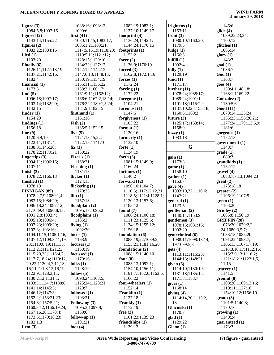L,

| 1088:16;1098:13;      | 1082:19;1083:1;                                                                                                                                                                                                                                                                                                                                                                                                                                                                                                                                                                                                                                                                                                  | frightens $(1)$                                                                                                                                                                                                                                                                                                                                                                                                                                                                                                                                                                                                                                                                                               | 1146:6                                                                                                                                                                                                                                                                                                                                                                                                                                                                                                                            |
|-----------------------|------------------------------------------------------------------------------------------------------------------------------------------------------------------------------------------------------------------------------------------------------------------------------------------------------------------------------------------------------------------------------------------------------------------------------------------------------------------------------------------------------------------------------------------------------------------------------------------------------------------------------------------------------------------------------------------------------------------|---------------------------------------------------------------------------------------------------------------------------------------------------------------------------------------------------------------------------------------------------------------------------------------------------------------------------------------------------------------------------------------------------------------------------------------------------------------------------------------------------------------------------------------------------------------------------------------------------------------------------------------------------------------------------------------------------------------|-----------------------------------------------------------------------------------------------------------------------------------------------------------------------------------------------------------------------------------------------------------------------------------------------------------------------------------------------------------------------------------------------------------------------------------------------------------------------------------------------------------------------------------|
| 1099:6                | 1137:10;1149:17                                                                                                                                                                                                                                                                                                                                                                                                                                                                                                                                                                                                                                                                                                  | 1153:11                                                                                                                                                                                                                                                                                                                                                                                                                                                                                                                                                                                                                                                                                                       | glide $(4)$                                                                                                                                                                                                                                                                                                                                                                                                                                                                                                                       |
| first $(41)$          | footprint $(4)$                                                                                                                                                                                                                                                                                                                                                                                                                                                                                                                                                                                                                                                                                                  | front $(3)$                                                                                                                                                                                                                                                                                                                                                                                                                                                                                                                                                                                                                                                                                                   | 1089:22,23,24;                                                                                                                                                                                                                                                                                                                                                                                                                                                                                                                    |
| 1080:11,15;1083:17;   | 1136:24;1142:1;                                                                                                                                                                                                                                                                                                                                                                                                                                                                                                                                                                                                                                                                                                  | 1080:10;1160:20;                                                                                                                                                                                                                                                                                                                                                                                                                                                                                                                                                                                                                                                                                              | 1100:12                                                                                                                                                                                                                                                                                                                                                                                                                                                                                                                           |
|                       | 1144:24;1170:15                                                                                                                                                                                                                                                                                                                                                                                                                                                                                                                                                                                                                                                                                                  | 1179:5                                                                                                                                                                                                                                                                                                                                                                                                                                                                                                                                                                                                                                                                                                        | glitches $(1)$                                                                                                                                                                                                                                                                                                                                                                                                                                                                                                                    |
| 1117:5,16,19;1118:20; |                                                                                                                                                                                                                                                                                                                                                                                                                                                                                                                                                                                                                                                                                                                  | fudge $(1)$                                                                                                                                                                                                                                                                                                                                                                                                                                                                                                                                                                                                                                                                                                   | 1086:14                                                                                                                                                                                                                                                                                                                                                                                                                                                                                                                           |
|                       |                                                                                                                                                                                                                                                                                                                                                                                                                                                                                                                                                                                                                                                                                                                  |                                                                                                                                                                                                                                                                                                                                                                                                                                                                                                                                                                                                                                                                                                               | glory(1)                                                                                                                                                                                                                                                                                                                                                                                                                                                                                                                          |
|                       |                                                                                                                                                                                                                                                                                                                                                                                                                                                                                                                                                                                                                                                                                                                  |                                                                                                                                                                                                                                                                                                                                                                                                                                                                                                                                                                                                                                                                                                               | 1143:7                                                                                                                                                                                                                                                                                                                                                                                                                                                                                                                            |
|                       |                                                                                                                                                                                                                                                                                                                                                                                                                                                                                                                                                                                                                                                                                                                  |                                                                                                                                                                                                                                                                                                                                                                                                                                                                                                                                                                                                                                                                                                               | goal(1)                                                                                                                                                                                                                                                                                                                                                                                                                                                                                                                           |
|                       |                                                                                                                                                                                                                                                                                                                                                                                                                                                                                                                                                                                                                                                                                                                  |                                                                                                                                                                                                                                                                                                                                                                                                                                                                                                                                                                                                                                                                                                               | 1086:7<br>God(1)                                                                                                                                                                                                                                                                                                                                                                                                                                                                                                                  |
|                       |                                                                                                                                                                                                                                                                                                                                                                                                                                                                                                                                                                                                                                                                                                                  |                                                                                                                                                                                                                                                                                                                                                                                                                                                                                                                                                                                                                                                                                                               | 1163:7                                                                                                                                                                                                                                                                                                                                                                                                                                                                                                                            |
|                       |                                                                                                                                                                                                                                                                                                                                                                                                                                                                                                                                                                                                                                                                                                                  |                                                                                                                                                                                                                                                                                                                                                                                                                                                                                                                                                                                                                                                                                                               | goes $(4)$                                                                                                                                                                                                                                                                                                                                                                                                                                                                                                                        |
|                       |                                                                                                                                                                                                                                                                                                                                                                                                                                                                                                                                                                                                                                                                                                                  |                                                                                                                                                                                                                                                                                                                                                                                                                                                                                                                                                                                                                                                                                                               | 1139:4;1148:18;                                                                                                                                                                                                                                                                                                                                                                                                                                                                                                                   |
|                       | 1172:22                                                                                                                                                                                                                                                                                                                                                                                                                                                                                                                                                                                                                                                                                                          |                                                                                                                                                                                                                                                                                                                                                                                                                                                                                                                                                                                                                                                                                                               | 1168:1;1169:22                                                                                                                                                                                                                                                                                                                                                                                                                                                                                                                    |
|                       |                                                                                                                                                                                                                                                                                                                                                                                                                                                                                                                                                                                                                                                                                                                  |                                                                                                                                                                                                                                                                                                                                                                                                                                                                                                                                                                                                                                                                                                               | Gonzalez (2)                                                                                                                                                                                                                                                                                                                                                                                                                                                                                                                      |
| 1176:22;1180:1,5,24;  | 1104:21                                                                                                                                                                                                                                                                                                                                                                                                                                                                                                                                                                                                                                                                                                          | 1101:18;1115:22;                                                                                                                                                                                                                                                                                                                                                                                                                                                                                                                                                                                                                                                                                              | 1130:5,6                                                                                                                                                                                                                                                                                                                                                                                                                                                                                                                          |
| 1181:9;1182:15        | foremost $(1)$                                                                                                                                                                                                                                                                                                                                                                                                                                                                                                                                                                                                                                                                                                   | 1137:10,22;1155:18;                                                                                                                                                                                                                                                                                                                                                                                                                                                                                                                                                                                                                                                                                           | <b>Good</b> (11)                                                                                                                                                                                                                                                                                                                                                                                                                                                                                                                  |
| firsthand $(1)$       | 1147:6                                                                                                                                                                                                                                                                                                                                                                                                                                                                                                                                                                                                                                                                                                           | 1160:6;1169:3                                                                                                                                                                                                                                                                                                                                                                                                                                                                                                                                                                                                                                                                                                 | 1078:14;1135:24;                                                                                                                                                                                                                                                                                                                                                                                                                                                                                                                  |
| 1161:16               |                                                                                                                                                                                                                                                                                                                                                                                                                                                                                                                                                                                                                                                                                                                  |                                                                                                                                                                                                                                                                                                                                                                                                                                                                                                                                                                                                                                                                                                               | 1155:23;1156:20,21;                                                                                                                                                                                                                                                                                                                                                                                                                                                                                                               |
| Fish $(2)$            | 1103:22                                                                                                                                                                                                                                                                                                                                                                                                                                                                                                                                                                                                                                                                                                          | 1125:17;1153:14;                                                                                                                                                                                                                                                                                                                                                                                                                                                                                                                                                                                                                                                                                              | 1177:24;1179:1,3,6,9;                                                                                                                                                                                                                                                                                                                                                                                                                                                                                                             |
|                       |                                                                                                                                                                                                                                                                                                                                                                                                                                                                                                                                                                                                                                                                                                                  |                                                                                                                                                                                                                                                                                                                                                                                                                                                                                                                                                                                                                                                                                                               | 1181:6                                                                                                                                                                                                                                                                                                                                                                                                                                                                                                                            |
|                       |                                                                                                                                                                                                                                                                                                                                                                                                                                                                                                                                                                                                                                                                                                                  |                                                                                                                                                                                                                                                                                                                                                                                                                                                                                                                                                                                                                                                                                                               | gorgeous $(1)$                                                                                                                                                                                                                                                                                                                                                                                                                                                                                                                    |
|                       |                                                                                                                                                                                                                                                                                                                                                                                                                                                                                                                                                                                                                                                                                                                  |                                                                                                                                                                                                                                                                                                                                                                                                                                                                                                                                                                                                                                                                                                               | 1152:13                                                                                                                                                                                                                                                                                                                                                                                                                                                                                                                           |
|                       |                                                                                                                                                                                                                                                                                                                                                                                                                                                                                                                                                                                                                                                                                                                  |                                                                                                                                                                                                                                                                                                                                                                                                                                                                                                                                                                                                                                                                                                               | government $(1)$<br>1148:7                                                                                                                                                                                                                                                                                                                                                                                                                                                                                                        |
|                       |                                                                                                                                                                                                                                                                                                                                                                                                                                                                                                                                                                                                                                                                                                                  |                                                                                                                                                                                                                                                                                                                                                                                                                                                                                                                                                                                                                                                                                                               | grade(1)                                                                                                                                                                                                                                                                                                                                                                                                                                                                                                                          |
|                       |                                                                                                                                                                                                                                                                                                                                                                                                                                                                                                                                                                                                                                                                                                                  |                                                                                                                                                                                                                                                                                                                                                                                                                                                                                                                                                                                                                                                                                                               | 1089:3                                                                                                                                                                                                                                                                                                                                                                                                                                                                                                                            |
|                       |                                                                                                                                                                                                                                                                                                                                                                                                                                                                                                                                                                                                                                                                                                                  |                                                                                                                                                                                                                                                                                                                                                                                                                                                                                                                                                                                                                                                                                                               | grandkids (1)                                                                                                                                                                                                                                                                                                                                                                                                                                                                                                                     |
|                       |                                                                                                                                                                                                                                                                                                                                                                                                                                                                                                                                                                                                                                                                                                                  |                                                                                                                                                                                                                                                                                                                                                                                                                                                                                                                                                                                                                                                                                                               | 1152:12                                                                                                                                                                                                                                                                                                                                                                                                                                                                                                                           |
| 1131:15               | fortunes $(1)$                                                                                                                                                                                                                                                                                                                                                                                                                                                                                                                                                                                                                                                                                                   | 1158:10                                                                                                                                                                                                                                                                                                                                                                                                                                                                                                                                                                                                                                                                                                       | gravel(4)                                                                                                                                                                                                                                                                                                                                                                                                                                                                                                                         |
| flicker $(1)$         | 1140:2                                                                                                                                                                                                                                                                                                                                                                                                                                                                                                                                                                                                                                                                                                           | gather(1)                                                                                                                                                                                                                                                                                                                                                                                                                                                                                                                                                                                                                                                                                                     | 1088:7,7,13;1094:23                                                                                                                                                                                                                                                                                                                                                                                                                                                                                                               |
| 1124:13               | forward $(12)$                                                                                                                                                                                                                                                                                                                                                                                                                                                                                                                                                                                                                                                                                                   | 1153:7                                                                                                                                                                                                                                                                                                                                                                                                                                                                                                                                                                                                                                                                                                        | $gr(2)$                                                                                                                                                                                                                                                                                                                                                                                                                                                                                                                           |
| flickering (1)        | 1090:10;1104:7;                                                                                                                                                                                                                                                                                                                                                                                                                                                                                                                                                                                                                                                                                                  | gave $(4)$                                                                                                                                                                                                                                                                                                                                                                                                                                                                                                                                                                                                                                                                                                    | 1173:18,18                                                                                                                                                                                                                                                                                                                                                                                                                                                                                                                        |
|                       |                                                                                                                                                                                                                                                                                                                                                                                                                                                                                                                                                                                                                                                                                                                  | 1093:10,22;1110:6;                                                                                                                                                                                                                                                                                                                                                                                                                                                                                                                                                                                                                                                                                            | greater (2)                                                                                                                                                                                                                                                                                                                                                                                                                                                                                                                       |
|                       |                                                                                                                                                                                                                                                                                                                                                                                                                                                                                                                                                                                                                                                                                                                  |                                                                                                                                                                                                                                                                                                                                                                                                                                                                                                                                                                                                                                                                                                               | 1106:19;1107:5                                                                                                                                                                                                                                                                                                                                                                                                                                                                                                                    |
|                       |                                                                                                                                                                                                                                                                                                                                                                                                                                                                                                                                                                                                                                                                                                                  |                                                                                                                                                                                                                                                                                                                                                                                                                                                                                                                                                                                                                                                                                                               | green(1)                                                                                                                                                                                                                                                                                                                                                                                                                                                                                                                          |
|                       |                                                                                                                                                                                                                                                                                                                                                                                                                                                                                                                                                                                                                                                                                                                  |                                                                                                                                                                                                                                                                                                                                                                                                                                                                                                                                                                                                                                                                                                               | 1163:20                                                                                                                                                                                                                                                                                                                                                                                                                                                                                                                           |
|                       |                                                                                                                                                                                                                                                                                                                                                                                                                                                                                                                                                                                                                                                                                                                  |                                                                                                                                                                                                                                                                                                                                                                                                                                                                                                                                                                                                                                                                                                               | Gridley (2)                                                                                                                                                                                                                                                                                                                                                                                                                                                                                                                       |
|                       |                                                                                                                                                                                                                                                                                                                                                                                                                                                                                                                                                                                                                                                                                                                  |                                                                                                                                                                                                                                                                                                                                                                                                                                                                                                                                                                                                                                                                                                               | 1085:8;1150:19                                                                                                                                                                                                                                                                                                                                                                                                                                                                                                                    |
|                       |                                                                                                                                                                                                                                                                                                                                                                                                                                                                                                                                                                                                                                                                                                                  |                                                                                                                                                                                                                                                                                                                                                                                                                                                                                                                                                                                                                                                                                                               | <b>GRIFFIN</b> (28)<br>1078:20;1079:2,2,                                                                                                                                                                                                                                                                                                                                                                                                                                                                                          |
|                       |                                                                                                                                                                                                                                                                                                                                                                                                                                                                                                                                                                                                                                                                                                                  |                                                                                                                                                                                                                                                                                                                                                                                                                                                                                                                                                                                                                                                                                                               | 24;1080:3,5,7;                                                                                                                                                                                                                                                                                                                                                                                                                                                                                                                    |
|                       |                                                                                                                                                                                                                                                                                                                                                                                                                                                                                                                                                                                                                                                                                                                  |                                                                                                                                                                                                                                                                                                                                                                                                                                                                                                                                                                                                                                                                                                               | 1083:13;1085:20;                                                                                                                                                                                                                                                                                                                                                                                                                                                                                                                  |
|                       |                                                                                                                                                                                                                                                                                                                                                                                                                                                                                                                                                                                                                                                                                                                  |                                                                                                                                                                                                                                                                                                                                                                                                                                                                                                                                                                                                                                                                                                               | 1091:22;1093:7;                                                                                                                                                                                                                                                                                                                                                                                                                                                                                                                   |
| focuses $(1)$         | 1155:21;1181:16,20                                                                                                                                                                                                                                                                                                                                                                                                                                                                                                                                                                                                                                                                                               | 19;1099:5,8                                                                                                                                                                                                                                                                                                                                                                                                                                                                                                                                                                                                                                                                                                   | 1106:13;1107:17,19;                                                                                                                                                                                                                                                                                                                                                                                                                                                                                                               |
| 1160:19               | foundations (2)                                                                                                                                                                                                                                                                                                                                                                                                                                                                                                                                                                                                                                                                                                  | gets(4)                                                                                                                                                                                                                                                                                                                                                                                                                                                                                                                                                                                                                                                                                                       | 1110:3,10,17;1112:16;                                                                                                                                                                                                                                                                                                                                                                                                                                                                                                             |
| focussed $(1)$        | 1088:15;1140:10                                                                                                                                                                                                                                                                                                                                                                                                                                                                                                                                                                                                                                                                                                  | 1113:11;1116:23;                                                                                                                                                                                                                                                                                                                                                                                                                                                                                                                                                                                                                                                                                              | 1115:7,9,13;1116:2;                                                                                                                                                                                                                                                                                                                                                                                                                                                                                                               |
| 1170:16               | four $(8)$                                                                                                                                                                                                                                                                                                                                                                                                                                                                                                                                                                                                                                                                                                       | 1144:13;1148:21                                                                                                                                                                                                                                                                                                                                                                                                                                                                                                                                                                                                                                                                                               | 1121:18,21;1122:1,5,                                                                                                                                                                                                                                                                                                                                                                                                                                                                                                              |
| folks $(1)$           | 1085:13;1092:1;                                                                                                                                                                                                                                                                                                                                                                                                                                                                                                                                                                                                                                                                                                  | given $(6)$                                                                                                                                                                                                                                                                                                                                                                                                                                                                                                                                                                                                                                                                                                   | 11,15                                                                                                                                                                                                                                                                                                                                                                                                                                                                                                                             |
| 1128:19               | 1154:10;1156:11;                                                                                                                                                                                                                                                                                                                                                                                                                                                                                                                                                                                                                                                                                                 | 1114:10;1130:19;                                                                                                                                                                                                                                                                                                                                                                                                                                                                                                                                                                                                                                                                                              | grocery(1)                                                                                                                                                                                                                                                                                                                                                                                                                                                                                                                        |
|                       |                                                                                                                                                                                                                                                                                                                                                                                                                                                                                                                                                                                                                                                                                                                  | 1131:18;1135:14;                                                                                                                                                                                                                                                                                                                                                                                                                                                                                                                                                                                                                                                                                              | 1141:5                                                                                                                                                                                                                                                                                                                                                                                                                                                                                                                            |
|                       |                                                                                                                                                                                                                                                                                                                                                                                                                                                                                                                                                                                                                                                                                                                  |                                                                                                                                                                                                                                                                                                                                                                                                                                                                                                                                                                                                                                                                                                               | ground(8)                                                                                                                                                                                                                                                                                                                                                                                                                                                                                                                         |
|                       |                                                                                                                                                                                                                                                                                                                                                                                                                                                                                                                                                                                                                                                                                                                  |                                                                                                                                                                                                                                                                                                                                                                                                                                                                                                                                                                                                                                                                                                               | 1108:20;1109:13,16;                                                                                                                                                                                                                                                                                                                                                                                                                                                                                                               |
|                       |                                                                                                                                                                                                                                                                                                                                                                                                                                                                                                                                                                                                                                                                                                                  |                                                                                                                                                                                                                                                                                                                                                                                                                                                                                                                                                                                                                                                                                                               | 1110:11;1127:18;                                                                                                                                                                                                                                                                                                                                                                                                                                                                                                                  |
|                       |                                                                                                                                                                                                                                                                                                                                                                                                                                                                                                                                                                                                                                                                                                                  |                                                                                                                                                                                                                                                                                                                                                                                                                                                                                                                                                                                                                                                                                                               | 1154:10,12;1156:10                                                                                                                                                                                                                                                                                                                                                                                                                                                                                                                |
|                       |                                                                                                                                                                                                                                                                                                                                                                                                                                                                                                                                                                                                                                                                                                                  |                                                                                                                                                                                                                                                                                                                                                                                                                                                                                                                                                                                                                                                                                                               | group(3)<br>1101:5;1140:3;                                                                                                                                                                                                                                                                                                                                                                                                                                                                                                        |
|                       |                                                                                                                                                                                                                                                                                                                                                                                                                                                                                                                                                                                                                                                                                                                  |                                                                                                                                                                                                                                                                                                                                                                                                                                                                                                                                                                                                                                                                                                               | 1170:16                                                                                                                                                                                                                                                                                                                                                                                                                                                                                                                           |
|                       |                                                                                                                                                                                                                                                                                                                                                                                                                                                                                                                                                                                                                                                                                                                  |                                                                                                                                                                                                                                                                                                                                                                                                                                                                                                                                                                                                                                                                                                               | growing (1)                                                                                                                                                                                                                                                                                                                                                                                                                                                                                                                       |
|                       |                                                                                                                                                                                                                                                                                                                                                                                                                                                                                                                                                                                                                                                                                                                  |                                                                                                                                                                                                                                                                                                                                                                                                                                                                                                                                                                                                                                                                                                               | 1140:24                                                                                                                                                                                                                                                                                                                                                                                                                                                                                                                           |
|                       |                                                                                                                                                                                                                                                                                                                                                                                                                                                                                                                                                                                                                                                                                                                  | 1129:22                                                                                                                                                                                                                                                                                                                                                                                                                                                                                                                                                                                                                                                                                                       | guaranteed (1)                                                                                                                                                                                                                                                                                                                                                                                                                                                                                                                    |
|                       |                                                                                                                                                                                                                                                                                                                                                                                                                                                                                                                                                                                                                                                                                                                  |                                                                                                                                                                                                                                                                                                                                                                                                                                                                                                                                                                                                                                                                                                               |                                                                                                                                                                                                                                                                                                                                                                                                                                                                                                                                   |
|                       | 1085:1,2;1103:21;<br>1119:5,11;1121:12;<br>1128:15;1129:10;<br>1134:22;1137:17;<br>1142:12;1144:12;<br>1147:6,13;1148:13;<br>1150:19;1154:19;<br>1155:11;1156:22;<br>1158:3;1160:17;<br>1161:9,11;1162:12;<br>1166:6;1167:2,13,14;<br>1135:5;1152:15<br>five $(5)$<br>1121:13,15,22;<br>1122:18;1141:10<br>fix(1)<br>1150:22<br>Fizer's $(1)$<br>1168:21<br>Flashing $(1)$<br>1170:23<br>flip $(1)$<br>1157:13<br>floodplain $(2)$<br>1095:17;1096:2<br>floodplains $(1)$<br>1135:2<br>flying $(1)$<br>1092:20<br>focus $(1)$<br>1163:9<br>follow $(5)$<br>1098:24;1103:5;<br>1125:24;1128:21;<br>1129:7<br>followed $(1)$<br>1103:21<br>Following (3)<br>1095:3;1097:8;<br>1159:6<br>follow-up $(1)$<br>1101:21 | footprints $(1)$<br>1153:2<br>force $(2)$<br>1136:9;1170:19<br>forced $(3)$<br>1162:8;1172:1,16<br>forces $(1)$<br>1172:24<br>forcing $(1)$<br>foregone $(1)$<br>forgiveness (1)<br>format $(1)$<br>1130:16<br>formerly $(1)$<br>1132:10<br>forte $(1)$<br>1134:19<br>forth $(3)$<br>1081:15;1149:9;<br>1160:24<br>1116:5;1117:12,12,21;<br>1118:5;1121:4;1128:1;<br>1130:13;1157:6;<br>1183:12<br>found $(7)$<br>1086:24;1100:18;<br>1111:23;1125:5;<br>1134:15;1155:12;<br>1156:18<br>foundation (6)<br>1088:19,22;1089:2;<br>1161:7;1162:6;1163:6;<br>1166:22<br>four-wheelers (1)<br>1152:14<br>Franklin $(1)$<br>1127:18<br>Frankly (1)<br>1172:19<br>free $(2)$<br>1101:23;1139:23<br>friendships $(1)$ | 1166:3<br>fulfill $(1)$<br>1092:4<br>fully $(1)$<br>1129:19<br>fund $(1)$<br>1171:17<br>further $(11)$<br>1078:24;1088:17;<br>1089:24;1091:1;<br>future $(3)$<br>1158:9<br>fuzzy $(1)$<br>1083:18<br>G<br>gain(1)<br>1173:3<br>game(1)<br>1147:21<br>general(1)<br>1123:5<br>gentleman (2)<br>1140:14;1153:9<br>gentlemen (3)<br>1078:15;1081:16;<br>1092:20<br>geotechnical (6)<br>1088:11;1098:13,14,<br>1171:8;1183:7<br>gives(1)<br>1168:14<br>giving $(4)$<br>1114:14,20;1115:2,<br>18<br>Glacinski (1)<br>1170:7<br>glad(1) |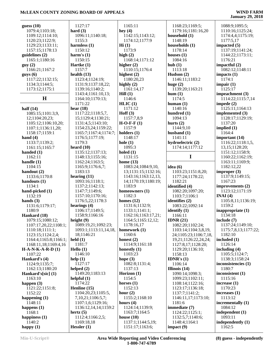| guess $(10)$                               | 1127:17                           | 1165:11                          | 1168:23;1169:5;                               | 1088:9;1095:5;                    |
|--------------------------------------------|-----------------------------------|----------------------------------|-----------------------------------------------|-----------------------------------|
| 1079:4;1103:18;                            | hard $(3)$                        | hey $(4)$                        | 1179:16;1181:16,20                            | 1110:16;1125:24;                  |
| 1109:12;1114:10;                           | 1096:11;1140:18;                  | 1142:15;1143:12;                 | household (1)                                 | 1174:4,4;1175:19;                 |
| 1120:23;1122:9;                            | 1155:3                            | 1174:12;1177:9                   | 1148:19                                       | 1177:5,17                         |
| 1129:23;1133:11;                           | harmless $(1)$                    | Hi(1)                            | households (1)                                | impacted $(5)$                    |
| 1157:15;1178:13                            | 1150:12                           | 1173:9                           | 1178:14                                       | 1137:19;1141:24;                  |
| guidelines (2)                             | harm's $(1)$                      | high $(2)$                       | houses $(1)$                                  | 1144:22;1173:11;                  |
| 1165:1;1180:16                             | 1150:15                           | 1168:14;1171:12                  | 1084:16                                       | 1176:21                           |
| guy(2)                                     | Hartke (1)                        | higher $(2)$                     | hub(1)                                        | impactful $(2)$                   |
| 1166:21;1167:2                             | 1157:7                            | 1110:15;1176:4                   | 1113:18                                       | 1082:12;1148:11                   |
| $g$ uys $(6)$                              | health $(13)$                     | highest $(2)$                    | Hudson $(2)$                                  | impacts $(1)$                     |
| 1117:22;1132:15;                           | 1123:4;1124:19;                   | 1180:20,23                       | 1146:11;1183:2                                | 1174:1                            |
| 1134:3;1144:5;                             | 1131:9;1137:18,22;                | highly $(2)$                     | huge $(2)$                                    | impair $(1)$                      |
| 1173:12;1175:1                             | 1139:16;1140:2;                   | 1161:14,17                       | 1139:20;1163:21                               | 1125:17                           |
| $\mathbf H$                                | 1143:4;1161:10,13;                | Hill(1)                          | hum(1)                                        | impeachment (3)                   |
|                                            | 1164:10;1170:13;                  | 1146:6                           | 1174:5                                        | 1114:22;1115:7,14                 |
|                                            | 1171:22                           | HLIC(1)                          | human $(1)$                                   | impede $(2)$<br>1125:11;1164:13   |
| half $(14)$                                | hear $(18)$                       | 1171:12<br>Hoff $(3)$            | 1140:16                                       |                                   |
| 1085:15;1101:3,9,                          | 1117:22;1118:5,7,                 |                                  | hundred (1)                                   | implemented (3)                   |
| 12;1104:20,23;                             | 15;1129:4;1130:21;                | 1157:7,8,9                       | 1094:13                                       | 1128:17;1129:19;                  |
| 1105:12;1106:10,20;                        | 1131:4,5;1143:10;                 | $H-O-F-F(1)$                     | hurts $(2)$                                   | 1137:20                           |
| 1107:1;1136:11,20;                         | 1154:23,24;1159:22;               | 1157:9                           | 1144:9,10                                     | implied $(1)$                     |
| 1158:17;1159:1                             | 1165:7;1167:4;1174:7;             | holders $(1)$                    | husband $(1)$                                 | 1164:4                            |
| hand $(4)$                                 | 1176:5;1177:19;                   | 1148:17                          | 1141:11                                       | important (14)                    |
| 1133:7;1139:2;                             | 1179:3                            | hole $(1)$                       | hydroelectric (2)                             | 1116:22;1118:1,5,                 |
| 1161:15;1165:7                             | heard $(10)$                      | 1095:3                           | 1174:14;1177:12                               | 13, 15; 1128: 20;                 |
| handed $(1)$                               | 1135:12;1137:13;                  | holed $(1)$                      | I                                             | 1151:12;1158:9;                   |
| 1162:11                                    | 1148:13;1155:16;                  | 1131:15                          |                                               | 1160:22;1162:19;                  |
| handle $(1)$                               | 1162:24;1163:5;                   | home $(13)$                      |                                               | 1163:11;1169:9;                   |
| 1104:15                                    | 1165:9;1176:6,7;                  | 1083:24;1084:9,10,               | idea $(6)$                                    | 1182:12,22                        |
| handout $(2)$                              | 1183:13                           | 13;1131:15;1132:16;              | 1103:23;1151:8,20;                            | improper $(3)$                    |
| 1133:6;1170:8                              | hearing $(11)$                    | 1143:16;1163:12,13,              | 1177:24;1178:22;                              | 1137:9;1149:15;                   |
| handouts (1)                               | 1093:16;1118:1;                   | 14;1170:19;1180:19;<br>1183:9    | 1182:21                                       | 1167:23                           |
| 1134:1                                     | 1137:2;1142:13;                   |                                  | identified (4)                                | improvements (2)                  |
| hand-picked (1)                            | 1147:7;1149:6;                    | homeowners (1)                   | 1082:20;1097:20;                              | 1123:12;1171:19                   |
| 1132:19<br>hands $(3)$                     | 1157:10;1170:16;                  | 1182:3                           | 1103:7;1106:1                                 | INAI $(4)$                        |
|                                            | 1176:5,22;1178:3                  | homes $(12)$<br>1131:6;1132:9;   | identifies (2)<br>1083:22;1092:14             | 1105:8,11;1136:19;                |
| 1131:6;1179:17;<br>1180:9                  | hearings $(4)$<br>1106:17;1149:5; | 1133:1;1141:1;                   | identify (1)                                  | 1159:2<br>inappropriate $(1)$     |
| Hankard (18)                               | 1158:9;1166:16                    | 1162:16;1163:17,21;              |                                               | 1134:18                           |
|                                            |                                   |                                  | 1166:11<br>IDNR $(21)$                        |                                   |
| 1079:15;1080:12;<br>1107:17,20,22;1108:1;  | height (9)<br>1089:19,21;1092:23; | 1164:5;1165:12,12;<br>1178:16,17 |                                               | include $(7)$<br>1137:24;1149:10; |
| 1110:18;1111:1;                            | 1093:1;1113:11,14,18,             | homework (1)                     | 1082:20;1102:24;                              |                                   |
|                                            |                                   |                                  | 1103:14;1104:3,8,19,                          | 1175:7,8,13;1177:22;<br>1182:10   |
| 1123:15;1124:2,4;<br>1164:4;1165:8;1166:1; | 18;1146:21<br>$\text{held}(1)$    | 1160:6<br>honest $(2)$           | 24;1105:23;1106:7,18,<br>19,21;1126:22,24,24; | included (1)                      |
| 1168:11,18;1169:4,16                       | 1181:7                            | 1114:9;1161:18                   | 1127:8,17;1128:20;                            | 1126:14                           |
| $H-A-N-K-A-R-D(1)$                         | Hello $(1)$                       | honestly $(1)$                   | 1129:20;1136:10;                              | including $(4)$                   |
| 1107:22                                    | 1146:10                           | 1103:23                          | 1158:13                                       | 1105:5;1124:7;                    |
| Hankard's (4)                              | help $(1)$                        | hope $(3)$                       | <b>IDNR's</b> $(1)$                           | 1138:3;1158:24                    |
| 1124:9;1135:7;                             | 1127:17                           | 1082:8;1131:4;                   | 1106:14                                       | inconsistencies (1)               |
| 1162:13;1180:20                            | helped $(2)$                      | 1137:13                          | Illinois $(14)$                               | 1180:7                            |
| Hankard's[sic] $(1)$                       | 1149:20;1183:13                   | Horizon (1)                      | 1090:14;1098:3;                               | inconsistent (1)                  |
| 1163:10                                    | helpful $(1)$                     | 1154:5                           | 1099:23;1102:11;                              | 1115:16                           |
| happen $(3)$                               | 1174:22                           | horses $(1)$                     | 1108:14;1122:16;                              | increase $(1)$                    |
| 1121:22;1151:8;                            | Henline $(15)$                    | 1152:13                          | 1123:17;1136:18;                              | 1170:23                           |
| 1152:22                                    | 1104:20,23;1105:5,                | hour $(2)$                       | 1137:7;1141:2;                                | increases $(1)$                   |
|                                            | 7, 10, 21; 1106: 5, 7;            | 1155:2;1168:10                   | 1146:11,17;1173:10;                           | 1113:12                           |
| happening $(1)$<br>1148:11                 | 1107:1,6;1129:16;                 | hours $(4)$                      | 1181:6                                        | incrementally (1)                 |
| happens $(1)$                              | 1136:12,14,14;1159:2              | 1124:14;1139:9;                  | immediate (7)                                 | 1084:12                           |
| 1168:1                                     | hertz $(5)$                       | 1163:7;1164:5                    | 1124:22;1125:1;                               | independent (1)                   |
| happiness $(1)$                            | 1112:4;1166:2,5;                  | house $(10)$                     | 1132:5,7;1140:6;                              | 1093:11                           |
| 1140:2                                     | 1169:18,18                        | 1137:1;1144:5,19;                | 1148:4;1164:1                                 | independently $(1)$               |
| happy $(1)$                                | Hessler $(1)$                     | 1151:17;1163:6;                  | impact(9)                                     | 1162:5                            |
|                                            |                                   |                                  |                                               |                                   |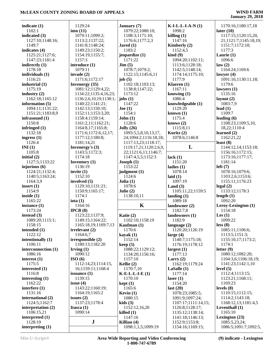| indicate $(1)$                | 1129:24                | January (7)                         | $K-I-L-L-I-A-N(1)$                 | 1170:16;1180:17,18                     |
|-------------------------------|------------------------|-------------------------------------|------------------------------------|----------------------------------------|
| 1102:1                        | into $(11)$            | 1079:22;1080:10;                    | 1098:2                             | later (10)                             |
| indicated $(3)$               | 1079:11;1099:2;        | 1108:3;1171:10;                     | killing $(1)$                      | 1117:15;1120:15,20,                    |
| 1127:10;1148:16;              | 1113:2;1137:22;        | 1176:6;1177:2,3                     | 1147:16                            | 21;1121:7;1145:18,19;                  |
| 1149:7                        | 1141:8;1148:24;        | Jared $(1)$                         | Kimberly (2)                       | 1151:7;1172:10;                        |
| indicates (4)                 | 1149:23;1150:2;        | 1183:2                              | 1152:4,5                           | 1177:3                                 |
| 1125:21;1127:6;               | 1154:19;1155:7;        | jeopardize (1)                      | $\;$ kind $\;$ (9)                 | Laurie (1)                             |
| 1147:23;1181:4                | 1157:3                 | 1171:22                             | 1094:20;1102:11;                   | 1096:6                                 |
| indirectly $(1)$              | introduce (1)          | Jim(5)                              | 1113:6;1128:18;                    | law(2)                                 |
| 1178:18                       | 1079:11                | 1078:7;1079:2;                      | 1142:5;1148:14;                    | 1164:24;1169:6                         |
| individuals (1)               | invade $(2)$           | 1122:15;1145:6,11                   | 1174:14;1175:10;                   | lawyer $(4)$                           |
| 1116:21                       | 1171:6;1172:17         | job $(5)$                           | 1177:9                             | 1091:16;1130:11,18;                    |
|                               |                        |                                     |                                    |                                        |
| industrial $(1)$              | <b>Invenergy</b> (35)  | 1102:18;1103:13;                    | Klaeren (1)                        | 1179:6                                 |
| 1175:19                       | 1081:12;1129:4,22;     | 1138:8;1147:22;                     | 1167:11                            | lawyers $(1)$                          |
| industry $(2)$                | 1134:22;1135:4,16,23;  | 1173:12                             | knowing $(1)$                      | 1135:16                                |
| 1162:18;1165:12               | 1136:2,6,10,19;1138:1; | jobs $(1)$                          | 1086:4                             | layout $(2)$                           |
| information $(5)$             | 1140:22;1141:21;       | 1147:22                             | knowledgeable (1)                  | 1083:7,9                               |
| 1094:11;1131:22;              | 1142:13;1150:10;       | Joe (1)                             | 1129:20                            | lead $(1)$                             |
| 1151:21;1183:8,9              | 1152:11;1153:3,20;     | 1154:1                              | known $(1)$                        | 1109:7                                 |
| infrasound $(1)$              | 1158:4;1159:14;        | John(1)                             | 1175:4                             | leading $(6)$                          |
| 1150:8                        | 1161:2,11;1162:21;     | 1128:6                              | knows $(2)$                        | 1108:23;1109:5,10,                     |
| infringed (1)                 | 1164:8,17;1165:8;      | Jolly(26)                           | 1115:8,11                          | 18,22;1110:4                           |
| 1132:18                       | 1171:6;1172:6,12,17;   | 1093:5,5,8,10,13,17,                | Kuritz (2)                         | learned $(2)$                          |
|                               | 1177:12;1180:8;        | 24;1094:2;1116:18,18;               | 1078:6;1146:8                      | 1162:21,22                             |
| ingress $(1)$                 |                        |                                     |                                    |                                        |
| 1126:4                        | 1181:14,21             | 1117:13,23;1118:17;                 |                                    | least $(8)$                            |
| INI(1)                        | Invenergy's (3)        | 1119:17,21;1120:2,6,9,              | L                                  | 1144:12,14;1153:18;                    |
| 1105:8                        | 1143:5;1172:3;         | 22;1121:6,11;1146:7;                |                                    | 1156:16;1172:15;                       |
| initial $(2)$                 | 1174:18                | 1147:4,5,5;1152:3                   | lack $(1)$                         | 1173:16;1177:17;                       |
| 1127:5;1133:22                | <b>Inventory</b> $(1)$ | Joseph(1)                           | 1151:20                            | 1181:14                                |
| injurious $(6)$               | 1136:19                | 1153:22                             | ladies $(1)$                       | left(7)                                |
| 1124:21;1132:4;               | invite $(1)$           | judgment $(1)$                      | 1078:14                            | 1078:16;1079:6;                        |
| 1140:5;1163:24;               | 1152:10                | 1124:6                              | laid $(1)$                         |                                        |
|                               |                        |                                     |                                    |                                        |
|                               |                        |                                     |                                    | 1103:2,6;1153:6;                       |
| 1164:3,9                      | involved (5)           | Julia $(1)$                         | 1097:19                            | 1155:11;1176:23                        |
| insert $(1)$                  | 1129:10;1131:21;       | 1078:6                              | Land $(3)$                         | legal(2)                               |
| 1154:9                        | 1150:9;1165:17;        | Julie $(2)$                         | 1105:11,22;1159:5                  | 1133:12;1178:3                         |
| inside $(1)$                  | 1174:1                 | 1138:10,11                          | landing $(1)$                      | length $(1)$                           |
| 1165:22                       | iota $(1)$             |                                     | 1089:18                            | 1092:20                                |
| instance $(1)$                | 1164:16                | $\mathbf K$                         | landowner (2)                      | Leroy-Lexington (1)                    |
| 1173:24                       | IPCB(8)                |                                     | 1182:7,8                           | 1154:18                                |
| instead $(3)$                 | 1123:22;1137:9;        | Katie (2)                           | landowners (1)                     | Les $(1)$                              |
| 1089:20:1115:1:               | 1149:15;1164:22;       | 1102:10;1158:19                     | 1182:9                             | 1099:22                                |
| 1158:15                       | 1165:18,19;1169:7,13   | Kaufman (1)                         | language $(2)$                     | less(8)                                |
| intended $(1)$                | irrelevant(2)          | 1170:6                              | 1120:20;1126:19                    | 1085:11;1106:6;                        |
| 1122:12                       | 1164:6,7               | $k$ ayak $(1)$                      | large $(4)$                        | 1113:5;1151:3;                         |
|                               | irresponsible (2)      | 1152:14                             |                                    |                                        |
| intentionally (1)<br>1106:11  |                        |                                     | 1140:7;1175:18;<br>1176:19;1178:12 | 1155:10,17;1173:2;<br>1174:1           |
|                               | 1180:13;1182:20        | keep(5)                             |                                    |                                        |
| interconnection (1)           | Irving $(1)$           | 1088:22;1129:12;                    | largest $(1)$                      | letter $(9)$                           |
| 1086:16                       | 1090:12                | 1134:20;1156:16;                    | 1177:13                            | 1080:12;1082:20;                       |
| interest $(1)$                | ISO(6)                 | 1157:10                             | Larry $(2)$                        | 1104:3,6;1106:18,19;                   |
| 1175:5                        | 1112:14,23;1114:15,    | Kellie $(2)$                        | 1162:19;1179:24                    | 1141:23;1142:1,10                      |
| interested (1)                | 16;1159:11;1168:4      | 1170:7,10                           | LaSalle(1)                         | level $(5)$                            |
| 1116:8                        | issuance $(1)$         | $K-E-L-L-E(1)$                      | 1177:14                            | 1112:4;1113:15;                        |
| interesting $(1)$             | 1139:15                | 1170:10                             | laser $(1)$                        | 1123:21;1168:11;                       |
| 1162:22                       | issue $(4)$            | kept(1)                             | 1154:20                            | 1169:23                                |
| interfere $(1)$               | 1143:22;1160:19;       | 1165:6                              | last $(20)$                        | levels $(8)$                           |
| 1131:16                       | 1164:19;1165:2         | Kevin $(1)$                         | 1078:23;1085:5;                    | 1110:15;1112:15;                       |
| international (2)             | issues $(2)$           | 1080:15                             | 1091:9;1097:24;                    | 1114:2;1143:18;                        |
| 1124:5;1162:7                 | 1137:23;1178:4         | kids $(3)$                          | 1107:17;1111:14,15;                | 1168:12,13;1181:4,5                    |
|                               |                        |                                     |                                    |                                        |
| interpretation $(2)$          | Itasca $(1)$           | 1152:12,16,20                       | 1126:8;1128:17;                    | Leventhall $(1)$                       |
| 1106:15,21                    | 1090:14                | killed $(1)$                        | 1135:12;1138:14;                   | 1165:10                                |
| interpreted (1)               |                        | 1147:16                             | 1141:18;1146:13;                   | Lexington $(23)$                       |
| 1128:19<br>interpreting $(1)$ | ${\bf J}$              | Killian $(4)$<br>1098:1,1,5;1099:19 | 1152:9;1153:8;<br>1154:16;1169:15; | 1085:5,23,24;<br>1086:5;1091:7;1092:5, |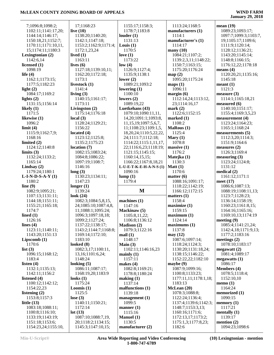# **January 29, 2018**

| 7;1096:8;1098:2;                       | 17;1168:23                               | 1155:17;1158:3;              | 1113:24;1168:5                    | mean(19)                        |
|----------------------------------------|------------------------------------------|------------------------------|-----------------------------------|---------------------------------|
| 1102:11;1141:17,20;                    | live $(10)$                              | 1178:7;1183:8                | manufacturers (1)                 | 1089:23;1093:17;                |
| 1144:14;1146:17;                       | 1138:20;1140:20;                         | louder(1)                    | 1114:1                            | 1097:7;1099:3;1103:7,           |
| 1150:18,21;1152:7;                     | 1142:1;1147:18;                          | 1131:13                      | manufacturer's (1)                | 19;1105:17;1109:6;              |
| 1170:11;1171:10,11,                    | 1153:2;1162:9;1171:4;                    | Louis $(1)$                  | 1114:17                           | 1111:9;1120:14;                 |
|                                        |                                          |                              |                                   |                                 |
| 15;1174:11;1180:3                      | 1172:1,23,24                             | 1170:5                       | $\boldsymbol{\mathrm{many}}$ (10) | 1128:12;1136:21;                |
| Lexingtonian (2)                       | lived $(1)$                              | love $(1)$                   | 1084:21;1107:2;                   | 1143:20;1145:14;                |
| 1142:6,14                              | 1163:11                                  | 1173:22                      | 1139:2,3,11;1148:22;              | 1148:8;1166:15;                 |
| licensed $(1)$                         | lives $(6)$                              | low(4)                       | 1150:7;1163:15;                   | 1176:12,22;1178:18              |
| 1098:19                                | 1127:18;1139:10,11;                      | 1126:9;1127:4;               | 1175:20;1176:24                   | means $(4)$                     |
| life $(4)$                             | 1162:20;1172:18;                         | 1135:9;1138:1                | map(2)                            | 1120:20,21;1135:16;             |
| 1162:1;1173:15;                        | 1173:1                                   | lower $(2)$                  | 1095:20;1175:24                   | 1145:18                         |
| 1177:5;1182:23                         |                                          | 1089:21;1093:2               |                                   | meant(1)                        |
|                                        | livestock (1)                            |                              | maps(1)                           |                                 |
| light $(2)$                            | 1141:4                                   | lowering $(1)$               | 1096:11                           | 1121:3                          |
| 1084:17;1169:2                         | living $(3)$                             | 1100:10                      | margin $(6)$                      | measure $(3)$                   |
| lights $(2)$                           | 1140:15;1161:17;                         | lowers $(2)$                 | 1112:14,24;1113:12,               | 1114:1;1165:18,21               |
| 1131:15;1156:14                        | 1173:11                                  | 1089:19,22                   | 23;1114:16,17                     | measured (6)                    |
| likely $(1)$                           | Livingston (2)                           | Luetkehans (43)              | mark(2)                           | 1140:10;1151:17;                |
| 1171:5                                 | 1175:14;1176:18                          | 1079:10;1090:11,11,          | 1122:6;1152:15                    | 1155:4;1169:3,5,23              |
| likewise (1)                           | local $(3)$                              |                              | marked $(1)$                      |                                 |
|                                        |                                          | 14, 20; 1091: 1; 1093: 8,    |                                   | measurement(4)                  |
| 1096:2                                 | 1128:24;1129:21;                         | 11, 15, 19; 1097: 5, 6, 7,   | 1108:2                            | 1123:24;1164:23;                |
| limit(4)                               | 1156:22                                  | 11;1108:23;1109:1,5,         | <b>MaRous</b> (1)                 | 1165:1;1168:24                  |
| 1115:9;1162:7,9;                       | located $(4)$                            | 18, 20, 24; 1110: 5, 22, 22, | 1125:4                            | measurements (5)                |
| 1168:16                                | 1123:12;1125:8;                          | 24;1111:7;1112:18;           | Mary $(1)$                        | 1112:3,20;1114:3;               |
| limited $(2)$                          | 1135:2;1175:23                           | 1114:22;1115:1,11,17,        | 1078:8                            | 1151:9;1164:6                   |
| 1124:12;1140:8                         | location $(7)$                           | 22;1116:6,23;1118:19;        | massive(1)                        | measures $(2)$                  |
| limits $(3)$                           | 1082:15;1083:24;                         | 1121:15;1145:15;             | 1176:2                            | 1126:3;1169:4                   |
|                                        |                                          |                              |                                   |                                 |
| 1132:24;1133:2;                        | 1084:8;1086:22;                          | 1160:14,15,15;               | Matejka (1)                       | measuring $(3)$                 |
| 1165:14                                | 1097:19;1108:7;                          | 1166:22;1167:8,18,21         | 1130:3                            | 1123:24;1124:8;                 |
| Lindsay $(2)$                          | 1146:16                                  | $L$ -U-E-T-K-E-H-A-N-S $(1)$ | Matt(1)                           | 1131:12                         |
| 1179:24;1180:1                         | long(3)                                  | 1090:16                      | 1170:6                            | medical $(2)$                   |
|                                        |                                          |                              |                                   |                                 |
|                                        |                                          |                              |                                   |                                 |
| $L-I-N-D-S-A-Y(1)$                     | 1130:23;1134:11;                         | lump(1)                      | matter $(6)$                      | 1161:12;1171:1                  |
| 1180:2                                 | 1147:23                                  | 1179:4                       | 1088:16;1091:17;                  | meet $(17)$                     |
| line $(9)$                             | longer $(1)$                             |                              | 1118:22;1142:19;                  | 1086:6;1087:13;                 |
| 1082:9;1095:21;                        | 1139:24                                  | M                            | 1166:12;1172:15                   | 1088:19;1108:11,13;             |
| 1107:13;1131:11;                       | look $(24)$                              |                              | matters $(1)$                     | 1123:7;1128:23;                 |
| 1144:18;1151:11;                       | 1082:3;1084:5,8,15,                      | machines $(1)$               | 1158:4                            | 1136:14;1158:19;                |
|                                        |                                          | 1147:16                      |                                   | 1160:23;1161:8,15;              |
| 1155:21;1165:18;                       | 24;1085:10;1087:4,8,                     |                              | maximize (1)                      |                                 |
| 1174:7                                 | 11;1088:1;1095:24;                       | Mackinaw (5)                 | 1159:15                           | 1164:16;1165:16;                |
| lined $(1)$                            | 1096:3;1097:18,18;                       | 1105:8,11,22;                | maximum <sub>(1)</sub>            | 1169:10,13;1174:19              |
| 1126:16                                | 1099:2;1127:24;                          | 1106:8;1136:12               | 1124:14                           | meeting $(9)$                   |
| lines $(4)$                            | 1137:22;1138:17;                         | <b>Madison (2)</b>           | maximums(1)                       | 1085:4;1141:21,24;              |
| 1123:11;1140:11;                       | 1143:2;1144:7;1168:8;                    | 1079:3;1122:16               | 1137:8                            | 1142:4,18;1171:9,13;            |
| 1143:20;1151:13                        | 1169:14;1172:10;                         | mail(1)                      | may(12)                           | 1177:2;1183:16                  |
|                                        | 1183:10                                  | 1148:17                      | 1087:6;1097:14;                   | meetings $(2)$                  |
| Lipscomb (1)                           |                                          |                              |                                   |                                 |
| 1170:6                                 | looked $(8)$                             | Main $(3)$                   | 1118:24;1124:3;                   | 1078:10;1183:17                 |
| list $(3)$                             | 1082:3,17;1100:11,                       | 1102:11;1146:16,23           | 1130:20;1131:18,24;               | megawatt $(2)$                  |
| 1096:15;1168:12;                       | 13, 16; 1101: 6, 24;                     | mainly(1)                    | 1138:15;1146:22;                  | 1081:4;1089:17                  |
| 1183:4                                 | 1148:24                                  | 1157:11                      | 1152:22,22;1182:10                | megawatts $(1)$                 |
| listen $(4)$                           | looking $(5)$                            | makes $(4)$                  | maybe $(9)$                       | 1086:17                         |
| 1132:1;1135:13;                        | 1086:11;1087:17;                         | 1082:8;1169:21;              | 1087:9;1099:16;                   | <b>Members</b> (4)              |
| 1142:11;1156:2                         | 1168:19,20;1183:9                        | 1178:8;1180:24               | 1100:8;1133:23;                   | 1078:5;1118:4;                  |
|                                        |                                          |                              |                                   |                                 |
| listened (4)                           | looks $(1)$                              | making (1)                   | 1177:11,11;1178:1,18;             | 1152:10,10                      |
| 1100:12;1142:12;                       | 1175:24                                  | 1137:14                      | 1183:13                           | memo $(1)$                      |
| 1154:22,23                             | Loomis $(1)$                             | malfunctions (1)             | McLean (20)                       | 1164:24                         |
| listening $(2)$                        | 1125:5                                   | 1139:18                      | 1078:3;1088:8;                    | memorized $(1)$                 |
| 1153:8;1157:3                          | lose $(3)$                               | management (1)               | 1122:24;1136:4;                   | 1090:15                         |
| little $(13)$                          | 1140:11;1150:21;                         | 1099:5                       | 1137:4;1139:6;1142:3;             | memory $(1)$                    |
| 1083:18;1088:11;                       | 1172:14                                  | manner $(1)$                 | 1148:7;1153:3,13;                 | 1117:21                         |
|                                        |                                          |                              |                                   |                                 |
| 1100:8;1116:10;                        | lot(13)                                  | 1115:16                      | 1160:16;1171:6;                   | mentally $(1)$                  |
| 1133:19;1143:19;                       | 1087:10;1088:7,19,                       | <b>Manuel</b> (1)            | 1172:13,17;1173:2;                | 1139:17                         |
| 1151:18;1153:6;<br>1154:23,24;1155:10, | 20;1118:2;1134:15;<br>1145:3;1147:10,15; | 1130:5<br>manufacturer (2)   | 1175:1,3;1177:8,23;<br>1182:6     | mention $(2)$<br>1094:23;1098:6 |

**(10) Lexingtonian - mention**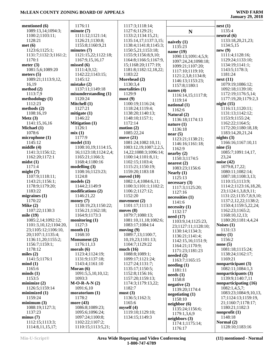| mentioned (6)         | 1176:11               | 1117:3;1118:14;            |                        | nest(1)                |
|-----------------------|-----------------------|----------------------------|------------------------|------------------------|
| 1089:13,14;1094:3;    | minute(7)             | 1127:6;1129:21;            | ${\bf N}$              | 1135:4                 |
| 1100:2;1103:11;       | 1111:12;1121:14;      | 1133:2;1134:15,21;         |                        | neutral (6)            |
| 1128:21               | 1126:21;1130:8;       | 1135:14,17;1137:3,15;      |                        | 1133:18,20,21,23;      |
|                       |                       |                            | naively $(1)$          |                        |
| met (6)               | 1155:8;1160:9,21      | 1138:4;1141:8;1145:3;      | 1135:23                | 1134:5,15              |
| 1123:6;1125:1;        | minutes $(7)$         | 1150:5,21;1153:18;         | name (19)              | new(9)                 |
| 1131:7;1132:3;1161:2; | 1121:15,22;1122:18;   | 1155:9;1156:8,9,10;        | 1090:13;1091:4,5,9;    | 1111:4;1128:16;        |
| 1170:1                | 1167:9,15,16,17       | 1164:8;1166:5;1167:9,      | 1097:24,24;1098:18;    | 1129:24;1133:10;       |
| meter $(3)$           | missed(6)             | 15;1168:20;1177:19;        | 1099:21;1107:20;       | 1134:19;1141:1;        |
| 1081:5,6;1089:20      | 1111:4,9,12;          | 1181:8;1182:12,18,22;      | 1117:10;1119:10;       | 1143:5;1178:3;         |
| meters (5)            | 1142:22;1143:15;      | 1183:22                    | 1121:2,3,8;1134:8;     | 1181:24                |
| 1089:21;1113:9,12,    | 1145:12               | Morehead (2)               |                        | next(11)               |
| 16,19                 | mistake $(2)$         | 1130:3,4                   | 1146:13;1153:23;       | 1079:19;1086:12;       |
| method (2)            | 1137:11;1149:18       | mortalities $(1)$          | 1157:8;1180:1          | 1092:18;1139:10;       |
| 1113:7,9              | misunderstanding (1)  | 1129:9                     | names $(4)$            |                        |
|                       |                       |                            | 1116:14,15;1117:8;     | 1172:19;1176:5,14;     |
| methodology (1)       | 1120:24               | most(9)                    | 1119:14                | 1177:19,20;1179:2,3    |
| 1112:23               | Mitchell (1)          | 1100:19;1116:24;           | national (1)           | night(15)              |
| methods (2)           | 1127:21               | 1118:24;1119:4;            | 1162:6                 | 1116:11;1120:11;       |
| 1108:16,19            | mitigate $(1)$        | 1138:20;1140:13;           | Natural (2)            | 1131:13;1142:12;       |
| Metz $(3)$            | 1146:22               | 1148:10;1157:1;            | 1136:18;1174:13        | 1153:9;1155:24;        |
| 1141:15,16,16         | <b>Mitigation (1)</b> | 1172:14                    | nature $(1)$           | 1162:22;1164:5;        |
| Michael (1)           | 1126:1                | motion $(2)$               | 1136:18                | 1172:20;1180:18,18;    |
| 1078:6                | mix(1)                | 1085:22,24                 |                        | 1183:14,20,21,24       |
| microphone (1)        | 1177:9                | move $(21)$                | near(5)                | nights $(3)$           |
| 1145:12               | model(11)             | 1081:24;1082:10,11;        | 1123:21;1138:21;       | 1166:16;1167:10,11     |
|                       |                       |                            | 1146:16;1161:18;       |                        |
| middle (4)            | 1108:10,19;1114:15,   | 1083:12,19;1087:2,2,5,     | 1162:9                 | nine(5)                |
| 1141:3;1156:12;       | 16;1123:18;1124:2,4;  | 14, 22; 1088: 3; 1096: 14; | nearby (2)             | 1085:7;1091:14,17,     |
| 1162:20;1172:1        | 1165:21;1166:3;       | 1100:14;1101:8,11;         | 1150:3;1174:5          | 23,24                  |
| midst (1)             | 1168:4;1180:16        | 1102:15;1103:4;            | nearest $(2)$          | noise $(42)$           |
| 1171:4                | modelling $(3)$       | 1115:21;1150:19;           | 1083:23;1156:6         | 1079:8,17,22;          |
| might (7)             | 1108:16;1123:23;      | 1159:20;1183:18            | Nearly $(1)$           | 1080:11;1082:14;       |
| 1107:9;1118:11;       | 1124:8                | moved $(10)$               | 1125:13                | 1087:18;1108:3,13;     |
| 1143:21;1156:1;       | models $(2)$          | 1082:1,4;1084:6,11;        |                        | 1110:15;1113:9;        |
| 1178:9;1179:20;       | 1144:2;1149:9         | 1100:3;1101:1;1102:2;      | necessary(3)           | 1114:2;1123:16,18,20,  |
| 1183:22               | modifications (2)     | 1106:2;1127:12;            | 1117:3;1125:20;        | 23;1124:1,3,8,9,11;    |
| migraines (1)         | 1146:21,22            | 1152:20                    | 1127:16                | 1131:22;1135:7,8,9,10; |
|                       |                       |                            | necessities (1)        | 1137:2,12,22;1138:2;   |
| 1170:22               | money $(7)$           | movement $(2)$             | 1141:6                 |                        |
| Mike(2)               | 1138:19,23;1150:22;   | 1101:17;1111:3             | necessity(1)           | 1150:4;1159:5,22,24;   |
| 1107:22;1130:3        | 1156:21;1162:18;      | moves $(8)$                | 1132:17                | 1162:23;1165:2;        |
| mile (19)             | 1164:9;1173:3         | 1079:7;1080:13;            | need $(17)$            | 1168:10,12,13;         |
| 1085:2,14;1092:12;    | monitoring $(1)$      | 1081:10,11,18;1082:6;      | 1103:9,14;1125:23,     | 1180:20;1181:4,4,24    |
| 1101:3,10,12;1104:20, | 1127:3                | 1083:17;1084:14            | 23;1127:11;1128:10;    | Noises $(1)$           |
| 23;1105:12;1106:10,   | month $(1)$           | moving $(9)$               | 1130:14;1134:3;        | 1131:13                |
| 20;1107:1;1135:4;     | 1168:10               | 1089:7,13;1100:7,          | 1136:21;1141:4;        | noisy(1)               |
| 1136:11,20;1155:2;    | <b>Monument</b> (2)   | 10, 19, 23; 1101: 13;      | 1142:15,16;1151:9;     | 1156:2                 |
| 1156:7;1159:1;        | 1176:11,13            | 1104:7;1129:22             | 1164:21;1170:9;        | none $(5)$             |
| 1178:12               | morals $(6)$          | much $(16)$                |                        | 1081:18;1115:24;       |
| miles $(2)$           | 1123:4;1124:19;       | 1088:8;1089:1;             | 1171:23;1181:23        | 1138:24;1162:17;       |
| 1141:5;1176:1         | 1131:9;1137:18;       | 1099:17;1121:24;           | needed $(2)$           | 1169:21                |
| mind (1)              | 1143:4;1161:10        | 1127:24;1131:7;            | 1163:7;1165:15         | nonparticipant (3)     |
|                       |                       |                            | $\mathbf{needing}$ (1) |                        |
| 1165:6                | Moran (6)             | 1135:17;1150:5;            | 1181:11                | 1082:11;1084:1,3       |
| minds(1)              | 1091:5,5,10,10,12;    | 1152:8;1156:16;            | needs(1)               | nonparticipants (3)    |
| 1153:5                | 1093:3                | 1157:20;1159:13;           | 1158:8                 | 1139:9;1140:7,11       |
| minimize (2)          | $M-O-R-A-N(2)$        | 1174:3;1179:13,22;         | negative $(2)$         | nonparticipating (16)  |
| 1126:5;1159:14        | 1091:6,10             | 1182:7                     | 1139:20;1174:4         | 1082:1,4,5,7;          |
| minimized (1)         | moratorium $(1)$      | must(3)                    | negotiating $(1)$      | 1083:23;1084:9,10,13,  |
| 1159:24               | 1178:2                | 1136:5;1162:3;             | 1158:10                | 17;1124:13;1159:19,    |
| minimum(3)            | more $(43)$           | 1165:6                     | neighbor(6)            | 21;1160:7;1178:17;     |
| 1088:19;1127:3;       | 1086:8;1089:23;       | myself(4)                  | 1135:24;1156:6;        | 1180:21;1182:3         |
| 1137:23               | 1095:6;1096:24;       | 1119:10;1129:10;           |                        | nonprofit $(1)$        |
| minus(7)              | 1097:24;1100:8;       | 1134:15;1149:3             | 1179:1,3,6,9           | 1148:18                |
| 1112:15;1113:3;       | 1102:22;1107:2;       |                            | neighbors (3)          | Normal (2)             |
|                       |                       |                            | 1174:1;1175:14;        |                        |
| 1114:8,11,15,17;      | 1110:15;1113:5,21;    |                            | 1176:17                | 1128:10;1183:16        |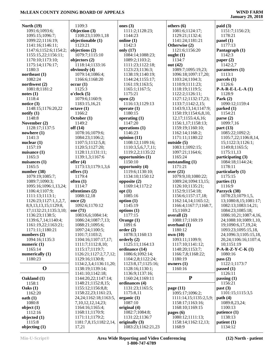| North $(19)$          |                            |                    |                         |                       |
|-----------------------|----------------------------|--------------------|-------------------------|-----------------------|
|                       | 1109:3                     | ones $(3)$         | others $(6)$            | paid(3)               |
| 1091:6;1093:6;        | Objection (3)              | 1111:2;1128:23;    | 1081:6;1124:17;         | 1151:7;1156:23;       |
| 1095:15;1096:7;       | 1108:23;1109:1,18          | 1144:23            | 1129:21;1132:4;         | 1178:21               |
| 1099:22;1116:19;      | objectionable (1)          | online (1)         | 1141:24;1181:21         | panel (1)             |
| 1141:16;1146:11;      | 1123:21                    | 1142:3             | Otherwise (2)           | 1177:13               |
| 1147:6;1152:6;1154:2; | objections (2)             | only (17)          | 1121:6;1156:20          | Pantagraph (1)        |
| 1155:15,22;1156:11;   | 1079:7;1115:10             | 1084:14;1088:23;   | ought $(1)$             | 1142:3                |
| 1170:10;1173:10;      | objectors (2)              | 1089:2;1103:2;     | 1134:7                  | paper $(2)$           |
| 1175:14;1176:17;      | 1118:14;1133:16            | 1111:23;1122:18;   | out (42)                | 1142:2,7              |
| 1180:3                | obviously (4)              | 1123:23;1136:3;    | 1089:7;1095:19,23;      | parameters (1)        |
| northeast $(1)$       | 1079:14;1086:4;            | 1138:19;1140:19;   | 1096:18;1097:17,20;     | 1113:1                |
| 1082:24               | 1166:6;1168:20             | 1144:24;1155:17;   | 1103:24;1104:3;         | parcels (1)           |
| northwest $(2)$       | occur(1)                   | 1161:19;1163:5;    | 1110:9;1111:23;         | 1126:6                |
| 1081:8;1181:2         | 1125:3                     | 1165:1;1167:5;     | 1118:19;1119:5;         | $P-A-R-E-L-L-A(1)$    |
| notes(1)              | o'clock(5)                 | 1175:21            | 1122:2;1126:11;         | 1128:9                |
| 1118:4                | 1079:6;1160:9;             | open $(2)$         | 1127:12;1132:17,23;     | Park $(2)$            |
| notice $(3)$          | 1183:15,16,21              | 1116:13;1129:13    | 1133:7;1142:2,15;       | 1090:12;1159:4        |
| 1148:15;1176:20,22    | octave(1)                  | operate $(1)$      | 1143:9,13,14;1147:9;    | parked (1)            |
| notify(1)             | 1166:2                     | 1180:15            | 1150:19;1154:6,8,10,    | 1154:21               |
| 1148:8                | October (1)                | operating $(1)$    | 12, 17; 1155: 4, 6, 16; | parse $(2)$           |
|                       |                            | 1147:20            |                         | 1099:7,16             |
| November (2)          | 1149:2                     |                    | 1156:1,17;1158:13;      |                       |
| 1128:17;1137:5        | off (14)                   | operations (1)     | 1159:19;1160:10;        | part $(13)$           |
| nowhere $(1)$         | 1078:16;1079:6;            | 1146:23            | 1162:14;1168:2;         | 1085:22;1092:2;       |
| 1141:3                | 1084:23;1106:2;            | opinion $(11)$     | 1171:11;1180:22         | 1105:7,22;1106:8,14,  |
| nuclear $(1)$         | 1107:5;1112:5,8;           | 1108:12;1109:16;   | outside $(5)$           | 15;1122:3;1126:1;     |
| 1157:19               | 1120:5;1127:20;            | 1110:3,5,6,7,7,11; | 1083:1;1092:15;         | 1149:8;1165:5;        |
| nuisance $(1)$        | 1128:11;1131:11;           | 1119:2,2;1135:22   | 1097:21;1164:6;         | 1175:11,13            |
| 1165:3                | 1139:1,3;1167:6            | opportunities (1)  | 1165:24                 | participating (3)     |
| nuisances (1)         | offer $(4)$                | 1150:10            | outstanding (1)         | 1084:18;1144:24;      |
| 1165:5                | 1173:13;1179:1,3,6         | opportunity (4)    | 1171:21                 | 1178:11               |
| number (38)           | offers $(1)$               | 1119:6;1130:10;    | over $(21)$             | particularly (1)      |
| 1079:19;1085:7;       | 1179:4                     | 1134:10;1150:12    | 1079:9,10;1080:22;      | 1175:15               |
| 1089:7;1090:3;        | often $(1)$                | opposite (2)       | 1089:24;1094:13,15;     | parties $(1)$         |
| 1095:16;1096:1,13,24; | 1114:7                     | 1169:14;1172:2     | 1126:10;1135:21;        | 1116:9                |
| 1106:4;1107:9;        | oftentimes (2)             | opt(1)             | 1152:9;1154:18;         | Parzyck (38)          |
| 1111:13;1113:1;       | 1088:12,18                 | 1085:16            | 1156:6;1157:17,18;      | 1078:23;1079:1,5,     |
| 1126:23;1127:1,1,2,7, |                            |                    |                         |                       |
|                       |                            |                    |                         |                       |
|                       | once $(2)$                 | option $(1)$       | 1162:14,14;1165:12;     | 13;1080:8,15;1081:17; |
| 8,9,13,13,15;1129:8,  | 1092:6;1170:12             | 1145:19            | 1166:4;1167:7;1168:7,   | 1082:13;1083:14,21;   |
| 17;1132:21;1135:3,10; | one (71)                   | options $(1)$      | 15;1169:2               | 1084:23;1085:18;      |
| 1136:23;1138:5;       | 1083:6,6;1084:14;          | 1177:15            | overall (2)             | 1086:10,21;1087:4,16, |
| 1139:6.7.14:1140:4:   | 1086:24;1087:7,13;         | Orange (1)         | 1088:17:1169:19         | 24;1088:10;1089:1,10, |
| 1161:19,22;1163:21;   | 1088:21;1095:6;            | 1091:6             | overhaul $(1)$          | 19;1090:6,17,19,24;   |
| 1171:11;1180:21       | 1097:24;1100:5;            | order(2)           | 1180:12                 | 1093:23;1095:15,18,   |
| numbers $(2)$         | 1101:7;1103:2;             | 1078:3;1160:13     | own (10)                | 24;1096:3;1105:15,18, |
| 1094:16;1135:3        | 1104:16;1107:17,17;        | orderly $(2)$      | 1093:11;1109:9;         | 20,24;1106:16;1107:4, |
| numeric $(1)$         | 1111:7;1112:8,10;          | 1125:11;1164:13    | 1117:10;1141:12;        | 10;1151:19            |
| 1165:14               | 1115:17;1119:7;            | ordinance (14)     | 1148:20;1153:7;         | $P-A-R-Z-Y-C-K(1)$    |
| numerically (1)       | 1126:21;1127:2,7,7,12;     | 1086:6;1092:14;    | 1166:7,8;1168:22;       | 1080:16               |
| 1180:23               | 1129:16;1130:8;            | 1104:2,8;1122:24;  | 1180:19                 | pass $(2)$            |
|                       | 1134:2,3,4;1136:11,20;     | 1123:8,17;1125:16; | owners $(1)$            | 1122:1;1173:7         |
| $\mathbf 0$           | 1138:19;1139:14;           | 1128:16;1130:1;    | 1160:16                 | passed $(1)$          |
|                       | 1141:10;1142:18;           | 1136:9;1137:16;    |                         | 1126:11               |
| Oakland (1)           | 1144:20,22;1147:14;        | 1160:24;1169:11    | ${\bf P}$               | passing $(1)$         |
| 1158:1                | 1148:21;1152:8,15;         | ordinances (4)     |                         | 1156:21               |
| Oaks(1)               | 1155:12;1156:8,8;          | 1131:23;1165:5;    | page (11)               | past (3)              |
| 1162:20               | 1158:22,23;1161:23,        | 1175:8,11          | 1095:17;1096:2;         | 1101:15;1115:3,5      |
| oath(1)               | 24, 24; 1162: 18; 1163: 5, | organic $(1)$      | 1111:14,15;1135:2,5,9;  | path $(4)$            |
| 1080:8                | 7, 10, 12, 12, 14, 23;     | 1087:10            | 1158:17;1163:16;        | 1089:8,23,24;         |
| object $(1)$          | 1164:16;1165:4;            | original (4)       | 1168:10;1169:15         | 1100:13               |
| 1112:16               | 1168:11;1170:9;            | 1082:7;1084:8;     | pages (6)               | patience (1)          |
| objected $(1)$        | 1171:11;1179:2;            | 1131:22;1136:7     | 1080:12;1111:13;        | 1138:13               |
| 1115:8                | 1181:7,8,15;1182:2,14,     | originally $(3)$   | 1158:14;1162:12,13;     | patient(1)            |
| objecting (1)         | 17,21                      | 1083:23;1162:21,23 | 1168:9                  | 1134:12               |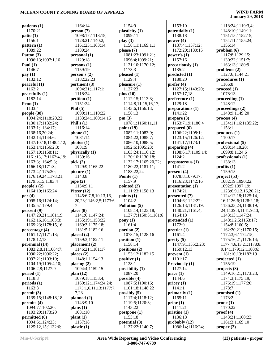## **January 29, 2018**

**patients (1)** 1170:21 **patio (1)** 1156:1 **pattern (1)** 1089:22 **Patton (3)** 1096:13;1097:1,16 **Paul (1)** 1146:7 **pay (1)** 1132:12 **peaceful (1)** 1162:2 **peacefully (1)** 1182:14 **Penn (1)** 1133:4 **people (38)** 1094:24;1118:20,22; 1130:17;1132:24; 1133:1;1134:17; 1138:16,20,24; 1142:14;1144:6; 1147:10,18;1148:4,12; 1153:14;1156:2,3; 1157:10;1158:11; 1161:13,17;1162:4,19; 1163:3;1164:5,8; 1166:18;1171:3; 1173:4;1175:20; 1176:19,24;1178:21; 1179:5,15;1183:4 **people's (2)** 1164:10;1165:24 **per (4)** 1095:16;1124:14; 1135:5;1179:4 **percent (9)** 1147:20,21;1161:19; 1162:16,16;1163:3; 1169:23;1178:15,16 **percentage (4)** 1161:17;1171:13; 1178:12,13 **perennial (14)** 1083:2,8,11;1084:7; 1090:22;1096:22; 1097:21;1103:10; 1104:19;1105:4,10; 1106:2,8;1127:9 **period (1)** 1118:3 **periods (1)** 1163:8 **permit (3)** 1139:15;1148:18,18 **permits (4)** 1094:7;1102:20; 1103:20;1173:20 **permitted (6)** 1094:6;1124:23; 1125:12,15;1132:6; **Phil (5) pick (2) pipe (2)**

 1164:14 **person (7)** 1098:17;1118:15; 1128:21;1140:2; 1161:23;1163:14; 1180:24 **personal (1)** 1129:18 **persons (1)** 1159:19 **person's (2)** 1182:22,23 **pertinent (3)** 1094:21;1117:1; 1118:24 **petition (1)** 1151:24 1090:11;1110:22; 1133:24;1160:14,15 **Phil's (1)** 1116:14 **phone (1)** 1081:14 **photos (1)** 1081:9 **physically (1)** 1139:16 1129:9;1165:22 **picture (1)** 1143:8 1154:9,11 **Pitzer (12)** 1145:6,7,8,10,13,16, 20,23;1146:2,5;1173:6, 7 **place (8)** 1141:6;1147:24; 1155:19;1158:22; 1169:3;1175:18; 1181:5;1182:16 **placed (2)** 1159:3;1182:11 **placement (2)** 1146:21;1181:17 **places (2)** 1148:1;1154:13 **placing (2)** 1094:4;1159:15 **plan (12)** 1079:18;1153:4; 1169:12;1174:24,24; 1175:1,6,11,13;1177:7, 7,23 **planned (2)** 1143:9,10 **plans (1)** 1081:10 **plant (1)** 1157:18 **plastic (1) play (3) pm (3) pony (1)**

 1154:9 **plasticity (1)** 1099:11 1158:11;1169:1,1 **please (7)** 1081:23;1091:21; 1096:4;1099:21; 1121:10;1170:12; 1173:3 **pleased (1)** 1129:4 **pleasure (1)** 1127:23 **plus (10)** 1112:15;1113:3; 1114:8,11,15,16,17; 1143:6;1156:13; 1158:13 1078:1;1160:11,11 **point (19)** 1082:11;1083:9; 1084:22;1085:7; 1086:10;1088:5; 1092:6;1095:23; 1103:24;1116:12; 1120:10;1130:18; 1132:17;1165:20,22; 1180:22;1181:11; 1183:22,24 **Pointe (1)** 1157:9 **pointed (2)** 1111:23;1158:13 **points (1)** 1104:2 **Pollution (5)** 1108:14;1123:18; 1137:7;1150:3;1181:6 1161:4 **portion (2)** 1078:15;1128:16 **position (1)** 1158:14 **positions (2)** 1153:12;1182:15 **positive (1)** 1128:1 **possibility (1)** 1087:20 **possible (4)** 1087:5;1100:16; 1101:18;1148:22 **possibly (5)** 1117:4;1118:12; 1119:5;1120:3; 1143:22 **postpone (1)** 1153:18 **potential (3)** 1137:22;1140:7;

 1153:10 **potentially (1)** 1138:18 **power (4)** 1137:4;1157:12; 1172:20;1180:15 **power's (1)** 1157:16 **precariously (1)** 1135:2 **predicted (1)** 1180:20 **prefer (4)** 1127:15;1140:20; 1157:17,18 **preference (1)** 1129:18 **preparations (1)** 1141:22 **prepare (3)** 1153:7,19;1180:4 **prepared (6)** 1106:22;1108:1; 1123:15;1126:12; 1141:17;1173:1 **preparing (4)** 1108:6,17;1109:14; 1124:2 **preposterous (1)** 1141:2 **present (4)** 1078:8;1079:17; 1116:23;1142:16 **presentation (1)** 1174:21 **presented (7)** 1104:6;1122:22; 1126:13;1131:19; 1140:21;1161:4; 1164:18 **pretended (1)** 1172:9 **prettier (1)** 1161:4 **pretty (5)** 1147:9;1155:2,23; 1159:12,13 **prevent (1)** 1101:17 **Previously (1)** 1127:14 **price (1)** 1144:6 **pricey (1)** 1141:1 **primarily (1)** 1165:11 **prior (1)** 1111:21 **pristine (1)** 1136:18 **probably (12)** 1086:14;1116:24;

 1118:24;1119:3,4; 1148:10;1149:11; 1151:15;1152:15; 1154:11;1155:24; 1156:14 **problem (6)** 1117:8;1129:15; 1130:22;1151:7; 1163:13;1180:9 **problems (2)** 1127:6;1144:21 **procedures (1)** 1166:8 **proceed (1)** 1078:13 **proceeding (1)** 1148:12 **proceedings (2)** 1148:9;1149:20 **process (4)** 1134:11,16;1135:22; 1153:1 **products (1)** 1100:17 **professional (5)** 1098:14,18,20; 1099:8;1124:6 **professionals (1)** 1138:13 **profits (1)** 1159:15 **project (53)** 1082:19;1090:22; 1092:5;1097:19; 1123:6,9,12,16,20,21; 1124:12,18;1125:14, 16;1126:6;1128:2,18; 1136:23,24;1138:19, 24;1139:4;1141:9,13; 1143:13;1147:24; 1148:1,2,5;1153:17; 1154:8;1160:5; 1162:20,21;1170:15; 1172:3,6;1174:15; 1175:16,21;1176:14; 1177:4,6,13,21;1178:8, 9,14;1179:12;1180:6; 1181:10,13;1182:19 **projected (1)** 1155:19 **projects (8)** 1149:16,21;1173:23; 1174:3;1175:19; 1176:19;1177:20; 1178:7 **promised (1)** 1173:2 **prone (1)** 1170:22 **proof (4)** 1143:21;1160:23;

1161:3;1169:10

**proper (2)**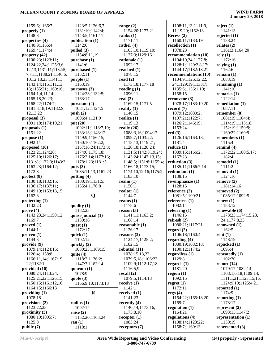| 1159:6;1166:7              | 1123:5;1126:6,7;   | range $(2)$                | 1108:11,13;1111:9,                 | reject $(1)$               |
|----------------------------|--------------------|----------------------------|------------------------------------|----------------------------|
| properly $(1)$             | 1131:10;1142:4;    | 1154:20;1177:21            | 11,19,20;1162:13                   | 1141:13                    |
| 1148:8                     | 1143:5;1161:11     | ranks $(1)$                | Recess $(2)$                       | rejected $(1)$             |
| properties (4)             | publication (1)    | 1171:11                    | 1160:11;1183:19                    | 1138:24                    |
| 1140:9;1166:4;             | 1142:6             | rather $(4)$               | recollection (1)                   | relates $(2)$              |
| 1169:4;1174:4              | pulled $(3)$       | 1105:10;1119:10;           | 1078:23                            | 1161:3:1164:20             |
| property (42)              | 1154:8,11,19       | 1127:3;1129:16             | recommendation (10)                | rely(1)                    |
| 1100:23;1123:11;           | purchase (1)       | rationale (1)              | 1104:19,24;1127:8;                 | 1172:16                    |
| 1124:22,24;1125:3,6,       | 1141:6             | 1092:17                    | 1128:1;1129:2,8,17;                | relying $(1)$              |
| 12, 13; 1131: 11; 1132: 5, | purchased (1)      | reached $(1)$              | 1144:17;1182:18,21                 | 1162:6                     |
| 7,7,11;1138:21;1140:6,     | 1132:11            | 1078:15                    | recommendations (10)               | remain $(1)$               |
| 10, 12, 18, 23; 1141:1;    | purple(1)          | read $(2)$                 | 1104:9;1126:12,22,                 | 1083:19                    |
| 1143:14;1151:11,13,        | 1163:19            | 1173:18;1177:18            | 24;1129:19;1133:7;                 | remaining $(1)$            |
| 13;1155:21;1160:16;        | purposes $(3)$     | reading $(1)$              | 1135:6;1136:1,10;                  | 1141:10                    |
| 1164:1,4,11,14;            | 1124:23;1132:5;    | 1096:11                    | 1158:15                            | remarks $(1)$              |
| 1165:18,20,23;             | 1163:17            | real $(2)$                 | reconvene $(3)$                    | 1122:14                    |
| 1168:22;1174:7;            | pursuant (2)       | 1169:15;1171:5             | 1078:17;1183:19,20                 | remediation (1)            |
| 1181:3,18,19;1182:9,       | 1081:12;1124:5     | reality $(1)$              | record $(7)$                       | 1087:11                    |
| 12,13,22                   | push $(2)$         | 1140:15                    | 1079:12;1080:2;                    | remember $(8)$             |
| proposal $(3)$             | 1096:4;1121:9      | realize $(1)$              | 1107:21;1122:7;                    | 1081:19;1104:4;            |
| 1091:18;1174:19,21         | put $(20)$         | 1119:13                    | 1126:2;1146:19;                    | 1114:19;1115:18;           |
| proposals $(1)$            | 1092:11;1118:7,19; | really $(26)$              | 1153:24                            | 1152:19;1159:9;            |
| 1151:22                    | 1133:13;1143:12;   | 1088:3,16;1094:17;         | red(3)                             | 1160:22;1169:9             |
| propose $(1)$              | 1149:9;1156:15;    | 1099:7;1103:22;            | 1126:16;1163:18;                   | remembers $(1)$            |
| 1092:11                    | 1160:10;1162:2;    | 1118:13;1119:21;           | 1181:4                             | 1115:4                     |
| proposed (10)              | 1167:16,24;1173:3; | 1120:18;1128:24;           | reduce $(3)$                       | remind $(4)$               |
| 1123:2;1124:20;            | 1174:6;1175:18;    | 1131:5;1142:8,19,24;       | 1089:15;1166:2;                    | 1172:22;1180:5,17;         |
| 1125:10;1126:17;           | 1176:2,14;1177:13; | 1143:24;1147:13,15;        | 1167:23                            | 1182:4                     |
| 1131:8;1132:3;1143:3;      | 1178:1,23;1181:5   | 1148:5;1151:8;1155:4;      | reduction $(3)$                    | remodel(1)                 |
| 1163:23;1164:12;           | puts $(3)$         | 1166:18;1173:15;           | 1135:11;1166:7,14                  | 1111:2                     |
| 1172:3                     | 1085:11,13;1161:23 | 1174:10,12,16;1175:2;      | redundant $(1)$                    | removal (1)                |
| protect (8)                | putting $(4)$      | 1183:10                    | 1138:15                            | 1124:16                    |
| 1130:18;1132:15;           | 1100:19;1131:5;    | realm $(1)$                | re-emphasize $(1)$                 | remove(2)                  |
| 1136:17;1137:11;           | 1155:4;1176:8      | 1150:1                     | 1128:15                            | 1181:14,16                 |
| 1149:19;1153:13,15;        |                    | realtor $(1)$              | reference $(2)$                    | removed $(2)$              |
| 1162:3                     | Q                  | 1144:7                     | 1081:5;1100:21                     | 1085:12;1092:5             |
| protecting (1)             |                    | reams $(1)$                | references $(1)$                   | renew $(1)$                |
| 1132:23                    | quality $(1)$      | 1178:6                     | 1082:14                            | 1183:12                    |
| prove(4)                   | 1182:23            | reason $(3)$               | referring $(1)$                    | renewable $(6)$            |
| 1143:23,24;1150:12;        | quasi-judicial (1) | 1141:11;1163:2;            | 1146:15                            | 1173:23;1174:15,23,        |
| 1169:7                     | 1130:16            | 1168:14                    | refresh $(2)$                      | 24;1177:8,23               |
| proved(1)                  | quest $(1)$        | reasonable $(1)$           | 1080:21;1117:21                    | renowned $(1)$             |
| 1144:1                     | 1172:17            | 1126:17                    | regard $(2)$                       | 1162:5                     |
| proven(1)                  | quick $(1)$        | reasons $(3)$              | 1106:18;1160:4                     | rent $(1)$                 |
| 1144:3                     | 1102:12            | 1124:17;1125:2;            | regarding $(4)$                    | 1148:19                    |
| provide(9)                 | quickly $(2)$      | 1182:15                    | 1080:19;1082:18;                   | repacked $(1)$             |
| 1079:14;1124:15;           | 1080:23;1169:15    | rebuttal $(11)$            | 1100:12;1174:2                     | 1095:4                     |
| 1126:4;1158:8;             | quite $(4)$        | 1078:15,18,22;             | regardless $(1)$                   | repeatedly $(1)$           |
| 1166:11,14;1167:19,        | 1118:2;1136:2;     | 1079:5,18;1106:23;         | 1129:8                             | 1102:20                    |
| 22;1182:1                  | 1147:7;1183:14     | 1109:9;1112:17,18;         | regards $(1)$                      | report $(14)$              |
| provided $(10)$            | quorum $(1)$       | 1116:5,9                   | 1181:20                            | 1079:17;1082:14;           |
| 1080:24;1113:24;           | 1078:9             | recall $(2)$               | region $(1)$                       | 1108:1,6,18;1109:14;       |
| 1125:21,22;1126:15;        | quote $(3)$        | 1079:5;1114:13             | 1092:15                            | 1111:1,21;1123:15,16;      |
| 1150:15;1161:12,16;        | 1166:9,10;1173:18  | receive $(1)$              | regret $(1)$                       | 1124:9,10;1125:4,21        |
| 1164:15;1166:13            |                    | 1142:1                     | 1172:11                            | reported $(1)$             |
| providing $(1)$            | $\bf R$            | received $(1)$             | regs $(4)$                         | 1174:9                     |
| 1078:18                    |                    | 1141:23                    | 1164:22;1165:18,20;                | reporting $(1)$            |
| provisions $(2)$           | radius $(1)$       | recently $(4)$             | 1169:7                             | 1173:17                    |
| 1123:22,23                 | 1092:12            | 1140:14;1173:16;           | regulation $(1)$                   | represent $(2)$            |
|                            |                    |                            |                                    |                            |
| proximity $(3)$            | raise $(2)$        | 1175:8,10                  | 1164:21                            | 1093:15;1147:2             |
| 1080:19;1095:7;            | 1152:20;1168:24    | receptor $(1)$             | regulations (4)                    | representation $(1)$       |
| 1125:8<br>public (7)       | ran $(1)$          | 1083:24<br>receptors $(7)$ | 1108:14;1123:22;<br>1158:7;1169:13 | 1130:19<br>represented (3) |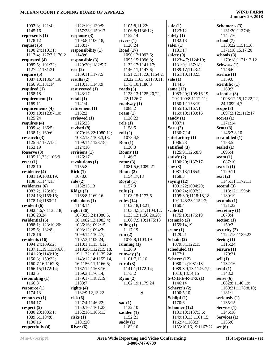| 1093:8;1121:4;       | 1122:19;1130:9;     | 1105:8,11,22;              | safe $(1)$             | Schomer's (3)        |
|----------------------|---------------------|----------------------------|------------------------|----------------------|
| 1145:16              | 1157:23;1159:17     | 1106:8;1136:12;            | 1123:12                | 1131:20;1137:6;      |
| represents $(1)$     | response $(3)$      | 1152:14                    | safely $(1)$           | 1144:16              |
| 1178:12              | 1103:8;1106:18;     | rivers $(1)$               | 1182:13                | school $(7)$         |
| request $(5)$        | 1158:17             | 1128:24                    | safer $(1)$            | 1138:22;1151:1,6;    |
| 1100:24;1101:1;      | responsibility (1)  | <b>Road</b> (17)           | 1181:17                | 1171:10,15,17,20     |
| 1117:4;1127:7;1170:2 | 1148:6              | 1090:12;1093:6;            | safety (9)             | schools $(3)$        |
| requested (4)        | responsible (3)     | 1095:15;1096:8;            | 1123:4,7;1124:19;      | 1170:18;1171:12,12   |
| 1085:5;1101:22;      | 1129:20;1182:5,7    | 1132:17;1141:17;           | 1131:9;1137:18;        | Schwass (1)          |
| 1127:2;1181:21       | rest(2)             | 1146:11;1147:6;            | 1139:17;1143:4;        | 1146:6               |
| require $(5)$        | 1139:11;1177:5      | 1151:2;1152:6;1154:2,      | 1161:10;1182:5         | science $(1)$        |
| 1087:10;1136:4,19;   | results $(2)$       | 20, 22; 1163: 5; 1170: 11; | sale $(1)$             | 1159:6               |
| 1166:9;1181:14       | 1110:15;1143:9      | 1173:10;1180:3             | 1144:5                 | scientific $(1)$     |
| required (1)         | resurveyed (1)      | roads $(5)$                | same $(12)$            | 1160:2               |
| 1158:18              | 1143:17             | 1123:13;1125:20,22,        | 1083:20;1108:16,19,    | scientist (8)        |
| requirement $(1)$    | retail $(1)$        | 22;1126:7                  | 20;1109:8;1112:11;     | 1098:12,15,17,22,22, |
| 1169:11              | 1141:4              | roadway $(1)$              | 1150:1;1153:19;        | 24;1099:4,7          |
| requirements (4)     | retirement $(1)$    | 1088:2                     | 1155:16;1167:1;        | scope $(3)$          |
| 1099:10;1123:7,10;   | 1162:2              | roam $(1)$                 | 1169:19;1180:16        | 1097:3,12;1112:17    |
| 1125:24              | reviewed (1)        | 1128:23                    | sandy $(1)$            | scores $(1)$         |
| requires $(4)$       | 1125:23             | role(1)                    | 1087:1                 | 1171:14              |
| 1099:4;1136:5;       | revised (9)         | 1158:5                     | Sara $(2)$             | Scott $(3)$          |
| 1138:1;1169:6        | 1079:16,22;1080:11; | roll(2)                    | 1130:7,14              | 1146:7,8,10          |
| research $(3)$       | 1082:13;1108:3,18;  | 1078:4,5                   | satisfactory (1)       | scrambled (1)        |
| 1125:6;1137:15;      | 1109:14;1123:15;    | Ron(1)                     | 1086:23                | 1153:5               |
| 1153:19              | 1124:10             | 1130:3                     | satisfied (3)          | sealed $(1)$         |
| Reserve (3)          | revisions $(1)$     | Ronny $(1)$                | 1125:9;1126:8,9        | 1095:4               |
| 1105:11,23;1106:9    | 1126:17             | 1146:7                     | satisfy $(2)$          | seam $(1)$           |
| reset(1)             | revolutions (1)     | rotor $(3)$                | 1100:20;1137:17        | 1087:10              |
| 1128:10              | 1155:8              | 1081:5,6;1089:21           | saw $(3)$              | search $(1)$         |
| residence (4)        | Rick(1)             | Route $(2)$                | 1087:13;1165:9;        | 1129:11              |
| 1081:19;1083:19;     | 1078:6              | 1154:17,18                 | 1168:3                 | seat $(2)$           |
| 1138:5;1144:15       | ride $(2)$          | Royal $(1)$                | saying $(12)$          | 1145:11;1172:11      |
| residences $(6)$     | 1152:13,13          | 1157:9                     | 1091:22;1094:20;       | second $(3)$         |
| 1082:2;1123:10;      | Ridge $(2)$         | rule $(2)$                 | 1096:24;1097:3;        | 1118:12;1159:4;      |
| 1124:13;1159:16;     | 1168:8;1169:16      | 1103:15;1177:6             | 1105:3,9;1118:18,18,   | 1180:19              |
| 1178:14;1180:21      | ridiculous (1)      | rules $(14)$               | 19;1143:23;1152:7;     | seconds $(1)$        |
| resident $(6)$       | 1148:14             | 1102:18,18,21;             | 1160:4                 | 1121:22              |
| 1082:4,6,7;1135:18;  | right $(36)$        | 1103:4,5,21;1104:12;       | scale $(2)$            | secretary $(1)$      |
| 1136:23,24           | 1079:23,24;1080:5,  | 1133:12;1158:20,20;        | 1175:19;1176:19        | 1078:4               |
| residential (6)      | 18;1082:13;1083:4;  | 1166:7,9,19;1175:18        | scenario $(2)$         | section $(1)$        |
| 1088:1;1123:10,20;   | 1086:16;1092:15;    | ruling $(1)$               | 1159:14,19             | 1159:2               |
| 1125:6;1132:8;       | 1093:12;1094:3;     | 1117:19                    | scene $(1)$            | security $(2)$       |
| 1178:16              | 1099:14;1102:7;     | run $(2)$                  | 1129:21                | 1124:15;1139:23      |
| residents $(16)$     | 1107:3;1109:24;     | 1079:8:1103:19             | Schain (2)             | Seeing $(1)$         |
| 1094:24;1095:2;      | 1110:1;1115:4,12;   | running $(1)$              | 1079:3;1122:15         | 1115:24              |
| 1137:11,19;1139:6,8; | 1119:20;1122:15,18, | 1126:9                     | scheduled (1)          | seizure $(1)$        |
| 1141:20;1149:19;     | 19;1132:16;1135:24; | runway $(3)$               | 1177:1                 | 1170:21              |
| 1150:3;1159:22;      | 1143:12,14;1155:14, | 1101:7,12,16               | Schertz $(12)$         | sell $(1)$           |
| 1160:7,16;1162:8;    | 16;1156:11;1166:5;  | rural $(3)$                | 1080:24;1081:13;       | 1132:16              |
| 1166:15;1172:14;     | 1167:12;1168:16;    | 1141:1;1172:14;            | 1089:8,9,13;1146:7,9,  | send $(1)$           |
| 1182:6               | 1169:3;1176:14;     | 1173:2                     | 10, 10, 13, 14, 15     | 1148:2               |
| resounding $(1)$     | 1179:17;1182:19;    | Ryan(2)                    | $S$ -C-H-E-R-T-Z $(1)$ | sense $(6)$          |
| 1166:8               | 1183:7              | 1162:19;1179:24            | 1146:14                | 1082:8;1140:19;      |
| resource(1)          | rights $(4)$        |                            | Schertz's (2)          | 1169:21;1178:8,10;   |
| 1174:13              | 1182:9,12,13,22     | S                          | 1100:5,10              | 1181:1               |
| resources (1)        | risk(6)             |                            | Schlipf $(1)$          | seriously $(1)$      |
| 1164:17              | 1127:4;1146:22;     | sac $(1)$                  | 1170:6                 | 1135:15              |
| respect $(5)$        | 1150:16;1161:23;    | 1132:10                    | Schomer (12)           | Service (1)          |
| 1080:23;1085:1;      | 1162:16;1165:13     | sadden $(1)$               | 1131:18;1137:3,6;      | 1146:16              |
| 1089:6;1104:8;       | risks(1)            | 1152:21                    | 1149:10,13;1161:15;    | Services (1)         |
| 1130:16              | 1101:20             | sadly $(1)$                | 1162:4;1163:3;         | 1135:6               |
| respectfully (4)     | River $(6)$         | 1182:10                    | 1165:10,16,19;1167:22  | set $(6)$            |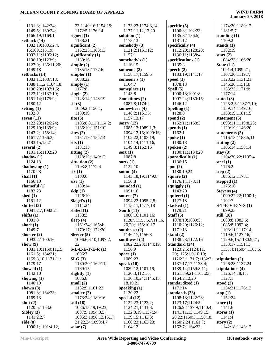| 1131:3;1142:24;        | 23;1140:16;1154:19;            | 1173:23;1174:3,14;                         | specific $(5)$                      | 1174:20;1180:12;                 |
|------------------------|--------------------------------|--------------------------------------------|-------------------------------------|----------------------------------|
| 1149:5;1160:24;        | 1172:5;1176:14                 | 1177:11,12,13,20                           | 1100:8;1102:23;                     | 1181:5,7                         |
| 1166:19;1169:1         | signed $(1)$                   | solution $(1)$                             | 1135:8;1136:5;                      | standing $(1)$                   |
| setback $(14)$         | 1138:21                        | 1173:13                                    | 1181:12                             | 1109:2                           |
| 1082:19;1085:2,4,      | significant (2)                | somebody $(3)$                             | specifically (4)                    | stands $(1)$                     |
| 15;1091:15,19;         | 1162:23;1163:13                | 1121:2;1151:12;                            | 1112:20;1128:20;                    | 1182:19                          |
| 1092:11;1105:12;       | significantly $(1)$            | 1157:1                                     | 1136:11;1138:4                      | start $(2)$                      |
| 1106:10;1123:9;        | 1180:16                        | somebody's (1)                             | specifications $(1)$                | 1084:23;1166:20                  |
| 1127:9;1136:11,20;     | simple $(2)$                   | 1116:15                                    | 1135:8                              | State $(11)$                     |
| 1149:18                | 1135:18;1177:6                 | someone (2)                                | speech $(2)$                        | 1091:4;1099:21;                  |
| setbacks (14)          | simpler $(1)$                  | 1158:17;1159:5                             | 1133:19;1141:17                     | 1107:20;1119:7;                  |
| 1083:11;1087:18;       | 1088:22                        | someone's (1)                              | speed $(1)$                         | 1128:22;1131:21;                 |
| 1088:1,1,2;1104:18;    | simply $(1)$                   | 1164:7                                     | 1078:13                             | 1146:20;1151:3;                  |
| 1106:20;1107:1,5;      | 1177:8                         | someplace (1)                              | Spell $(5)$                         | 1153:23;1171:9;                  |
| 1123:11;1137:10;       | single $(2)$                   | 1143:8                                     | 1090:13;1091:8;                     | 1177:14                          |
| 1151:14;1175:9;        | 1143:14;1148:19                | Sometimes (2)                              | 1097:24;1130:15;                    | stated (8)                       |
| 1180:12                | $s$ it $(3)$                   | 1087:8;1174:2                              | 1146:12                             | 1125:2,5;1137:7,10;              |
| setting $(1)$          | 1089:2;1156:1;                 | somewhere (4)                              | Spelling (1)                        | 1139:14;1149:16;                 |
| 1132:9                 | 1180:19                        | 1148:2;1151:5;                             | 1128:8                              | 1158:19;1181:15                  |
| seven $(11)$           | site $(6)$                     | 1157:13,17                                 | spend $(2)$                         | statement $(5)$                  |
| 1122:23;1126:24;       | 1105:8,8,11;1114:2;            | sorry $(12)$                               | 1152:11;1158:3                      | 1093:11;1119:8,23;               |
| 1129:19;1139:9;        | 1136:19;1151:10                | 1085:13;1089:1,3;                          | spends $(1)$                        | 1120:19;1146:20                  |
| 1143:2;1158:14;        | sites $(2)$                    | 1094:12,16;1099:16;                        | 1162:1                              | statements $(3)$                 |
| 1161:7;1166:3;         | 1151:19;1154:14                | 1102:22;1103:19;                           | spoke $(1)$                         | 1116:13;1183:5,11                |
| 1183:15,15,21          | sits(1)                        | 1104:14;1111:16;                           | 1180:18                             | stating $(2)$                    |
| several $(2)$          | 1181:15                        | 1149:3;1162:15                             | spoken $(2)$                        | 1106:14;1158:14                  |
| 1101:15;1102:20        | sitting $(2)$                  | sort $(1)$                                 | 1130:11;1134:20                     | stay $(3)$                       |
| shadow $(1)$           | 1128:12;1149:12                | 1087:8                                     | sporadically (1)                    | 1104:20,22;1105:4                |
| 1124:13                | situation $(2)$                | sorts $(1)$                                | 1136:15                             | steel $(1)$                      |
| shadowing $(1)$        | 1103:8;1172:4                  | 1132:10                                    | spot $(2)$                          | 1176:2                           |
| 1170:23                | six(1)                         | sound $(4)$                                | 1180:19,24                          | step $(2)$                       |
| shall $(1)$            | 1100:6                         | 1143:18,19;1149:8;                         | square $(2)$                        | 1086:12;1178:1                   |
| 1166:10                | size $(1)$                     | 1150:8                                     | 1176:1;1178:11                      | stepped $(1)$                    |
| shameful $(1)$         | 1180:14                        | sounded (1)                                | squiggly $(1)$                      | 1175:16                          |
| 1182:23                | skip $(1)$                     | 1091:16                                    | 1143:20                             | Stevens (4)                      |
| shed $(1)$             | 1126:10                        | source $(7)$                               | squirrel $(1)$                      | 1099:22,22;1100:1;               |
| 1151:12                | Slagel's $(1)$                 | 1094:22;1095:2,5;                          | 1127:18                             | 1102:7                           |
| shifted (3)            | 1111:24                        | 1113:11,14,17,18                           | stacked (1)                         | $S-T-E-V-E-N-S(1)$               |
| 1081:2,7;1082:21       | slated $(1)$                   | South $(11)$                               | 1179:21                             | 1099:23                          |
| shifts $(1)$<br>1081:8 | 1138:3                         | 1080:16;1101:16;                           | Staff $(5)$                         | still $(18)$                     |
| short $(1)$            | sleep $(4)$<br>1161:24;1165:4; | 1128:9;1155:6,7,11,16,<br>20,20;1156:10,17 | 1078:10;1089:5;<br>1110:20;1126:12; | 1080:8;1083:6;<br>1085:8;1092:4; |
| 1149:7                 | 1170:17;1172:20                | southeast (2)                              | 1171:18                             | 1108:11;1117:14;                 |
| shorter $(2)$          | Sleeter $(5)$                  | 1146:17;1156:8                             | stand $(2)$                         | 1119:6;1127:16;                  |
| 1093:2;1100:16         | 1096:6,6,10;1097:2,            | southwest $(4)$                            | 1138:23;1172:16                     | 1129:6,15;1130:9,21;             |
| show $(9)$             | 22                             | 1082:22,23;1144:19;                        | Standard (24)                       | 1133:17;1151:1;                  |
| 1081:10;1150:11,15;    | $S-L-E-E-T-E-R(1)$             | 1156:9                                     | 1123:2,5;1124:11,                   | 1158:4;1160:4;1165:5,            |
| 1161:5;1164:21;        | 1096:7                         | space $(1)$                                | 20;1125:1,9,10,19;                  | 6                                |
| 1169:8, 10; 1171:11;   | SLG(3)                         | 1089:23                                    | 1126:3;1131:7;1132:2;               | stipulation $(2)$                |
| 1179:17                | 1160:20;1162:11;               | speak $(10)$                               | 1137:17,17;1138:4;                  | 1126:23;1137:24                  |
| showed $(1)$           | 1169:15                        | 1089:12;1101:19;                           | 1139:14;1159:8,11;                  | stipulations (4)                 |
| 1142:10                | slightly $(1)$                 | 1120:3;1121:5;                             | 1161:3,9,21;1163:23;                | 1126:14,18,18;                   |
| showing $(1)$          | 1086:8                         | 1130:10,24;1145:15,                        | 1164:2,12,20                        | 1127:1                           |
| 1140:19                | small $(2)$                    | 18,19,21                                   | standardized (1)                    | stood $(2)$                      |
| shown $(3)$            | 1132:9;1161:22                 | speaking $(1)$                             | 1171:14                             | 1154:21;1176:12                  |
| 1081:8;1164:23;        | smaller $(2)$                  | 1130:22                                    | standards (23)                      | stop $(1)$                       |
| 1169:13                | 1173:24;1180:16                | special $(12)$                             | 1108:13;1122:23;                    | 1152:24                          |
| shut $(2)$             | soil (16)                      | 1122:23;1123:2;                            | 1123:17;1124:5;                     | store $(1)$                      |
| 1120:5;1163:6          | 1086:13,19,19,23;              | 1124:21;1131:8;                            | 1126:9;1137:9;1140:4;               | 1141:6                           |
| Sibley $(3)$           | 1087:9;1094:3,5;               | 1132:3,19;1137:24;                         | 1141:11,13;1149:15,                 | stores $(1)$                     |
| 1141:2,2,7             | 1095:3;1098:12,15,17,          | 1139:15;1143:3;                            | 20, 22; 1150: 3; 1158: 18;          | 1141:4                           |
| side $(8)$             | 21, 22, 24; 1099: 4, 7         | 1160:23;1163:23;                           | 1160:2,24;1161:7;                   | story $(2)$                      |
| 1090:1;1101:4,12,      | solar $(7)$                    | 1164:12                                    | 1162:7;1164:23;                     | 1142:18;1143:12                  |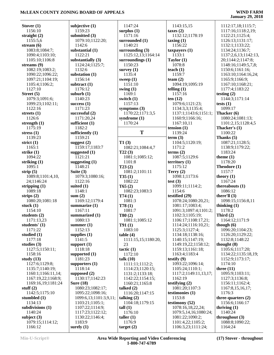|                             | subjective $(1)$       | 1147:24                   |                        |                      |
|-----------------------------|------------------------|---------------------------|------------------------|----------------------|
| Stover $(1)$<br>1156:10     |                        |                           | 1143:15,15             | 1112:17,18;1115:7;   |
|                             | 1159:23                | surplus $(1)$             | taxes(2)               | 1117:16;1118:2,19;   |
| straight $(2)$              | submitted $(3)$        | 1171:16                   | 1132:12;1178:19        | 1122:21;1125:4;      |
| 1155:5,6                    | 1079:10;1122:20;       | surrounded (1)<br>1140:21 | $\text{taxing}(1)$     | 1126:13;1131:17;     |
| stream $(6)$                | 1142:6                 |                           | 1156:22                | 1132:1;1133:22;      |
| 1083:8;1084:7;              | substantial (1)        | surrounding $(3)$         | taxpayers $(1)$        | 1134:24;1136:7;      |
| 1090:4;1103:10;             | 1122:21                | 1125:12,13;1164:14        | 1133:1                 | 1137:2,6,13;1142:13, |
| 1105:10;1106:8              | substantially (3)      | surroundings $(1)$        | Taylor $(1)$           | 20;1144:2;1147:8;    |
| streams $(9)$               | 1124:24;1125:7;        | 1150:23                   | 1078:8                 | 1148:16;1149:5,7,8;  |
| 1082:19;1083:2;             | 1132:6                 | survey $(1)$              | teach $(1)$            | 1150:6;1161:16;      |
| 1090:22;1096:22;            | substation (1)         | 1135:4                    | 1159:7                 | 1163:10;1164:16,24;  |
| 1097:21;1104:19;            | 1156:14                | sweep $(1)$               | team $(2)$             | 1165:9;1166:9;       |
| 1105:4;1106:2;              | subtract $(1)$         | 1151:10                   | 1094:19;1095:19        | 1167:10;1168:21;     |
| 1127:10                     | 1176:12                | swing $(1)$               | telling $(1)$          | 1177:4;1183:22       |
| Street $(5)$                | suburb $(1)$           | 1169:1                    | 1157:16                | testing $(2)$        |
| 1079:3;1091:6;              | 1140:23                | switch (1)                | ten $(12)$             | 1144:3;1171:14       |
| 1099:23;1102:11;            | success $(1)$          | 1157:13                   | 1079:6;1121:23;        | tests $(1)$          |
| 1122:16                     | 1171:23                | symptoms $(3)$            | 1134:3,3;1135:4;       | 1099:17              |
| streets $(1)$               | successful $(2)$       | 1170:22;1171:3,5          | 1137:1;1143:6;1151:1;  | Thacker (6)          |
| 1126:6                      | 1171:20,24             | syndrome (1)              | 1160:9;1166:16;        | 1080:24;1081:13;     |
| strength $(1)$              | sufficient $(1)$       | 1170:24                   | 1167:10,11             | 1101:2,15;1128:4,5   |
| 1175:19                     | 1182:2                 |                           | tension $(1)$          | Thacker's (1)        |
| stress $(1)$                | sufficiently $(1)$     | T                         | 1139:24                | 1100:22              |
| 1139:23                     | 1159:21                |                           | term (3)               | Thanks (5)           |
| strict $(1)$                | suggest $(2)$          | T1(3)                     | 1104:5;1120:19;        | 1087:21;1128:5;      |
| 1165:1                      | 1159:17;1183:7         | 1082:21;1084:4,7          | 1171:2                 | 1138:9;1179:22;      |
| strike $(1)$                | suggested $(1)$        | T22(3)                    | terms $(2)$            | 1183:24              |
| 1094:22                     | 1121:21                | 1081:1;1085:12;           | 1087:5;1129:6          | theme $(1)$          |
| striking $(1)$              | suggesting $(1)$       | 1101:8                    | $\text{territory} (1)$ | 1178:20              |
| 1095:1                      | 1148:21                | T23(2)                    | 1175:12                | Theodore (1)         |
| strip $(5)$                 | Suite $(3)$            | 1081:2;1101:11            | Terry $(2)$            | 1157:7               |
| 1089:8;1101:4,10,           | 1079:3;1080:16;        | T35(1)                    | 1098:1;1173:6          | theory $(1)$         |
| 24;1146:24                  | 1122:16                | 1082:22                   | test $(3)$             | 1167:24              |
| stripping $(1)$             | suited $(1)$           | T65(2)                    | 1099:11;1114:2;        | thereabouts $(1)$    |
| 1089:18                     | 1148:1                 | 1082:23;1083:3            | 1154:6                 | 1086:12              |
| strips $(2)$                | sum(2)                 | T74(1)                    | testified (29)         | there'll $(3)$       |
| 1080:20;1081:18             | 1169:12;1179:4         | 1081:3                    | 1078:24;1080:20,21;    | 1098:15;1156:8,11    |
| stuck $(1)$                 | summarize $(1)$        | T78(1)                    | 1081:17;1083:4;        | thinking $(1)$       |
| 1154:10                     | 1167:11                | 1081:7                    | 1091:3;1097:4;1101:2;  | 1178:2               |
| students $(2)$              | summarized (1)         | T80(2)                    | 1102:3;1105:19;        | Third $(2)$          |
| 1171:13,23                  | 1080:13                | 1081:1;1085:12            | 1106:17;1108:17,21;    | 1164:12;1171:9       |
| students' (1)               | summer $(1)$           | T91(1)                    | 1114:24;1116:10,21;    | though $(6)$         |
| 1171:22                     | 1152:13                | 1083:10                   | 1125:3;1127:4;         | 1096:20;1104:23;     |
| studied $(1)$               | supplies $(1)$         | table(4)                  | 1134:18;1138:16;       | 1126:20;1129:22;     |
| 1177:18                     | 1141:5                 | 1111:15,15;1180:20,       | 1140:15;1147:19;       | 1132:8;1148:22       |
| studies $(3)$               | support $(1)$          | 23                        | 1149:19,22;1158:12;    | thought $(8)$        |
| 1127:5;1150:11;             | 1118:18                | tactic(1)                 | 1159:13;1161:18;       | 1105:6;1117:20;      |
| 1158:16                     | supported $(1)$        | 1172:10                   | 1163:4;1183:4          | 1134:22;1135:18,19;  |
| study $(13)$                | 1181:23                | talk $(10)$               | testify $(9)$          | 1152:9;1173:17;      |
| 1127:6;1129:8;              | supporters $(1)$       | 1111:11;1112:2;           | 1093:22;1096:14;       | 1174:10              |
| 1135:7;1140:19;             | 1118:14                | 1114:23;1120:15;          | 1105:24;1110:1;        | three $(11)$         |
| 1160:1;1166:11,14;          | supposed $(2)$         | 1131:2;1133:18;           | 1117:2;1149:11,13,17;  | 1095:9;1103:11;      |
| 1167:19,22;1168:9;          | 1130:17;1142:23        | 1142:22;1154:15;          | 1162:19                | 1127:3;1136:8;       |
| 1169:16,19;1181:24          | Sure $(18)$            | 1160:21;1165:8            | testifying $(2)$       | 1156:11;1162:4;      |
| stuff $(2)$                 | 1080:23;1082:17;       | talked $(2)$              | 1081:20;1107:3         | 1167:8,15,16,17;     |
| 1142:5;1175:10              | 1095:22;1098:16;       | 1116:20;1147:15           | testimonies (1)        | 1176:3               |
| stumbled (1)                | 1099:6,13;1101:3,9,11; | talking $(2)$             | 1153:8                 | three-quarters $(2)$ |
| 1134:13                     | 1103:21;1105:1;        | 1104:18;1179:15           | testimony (52)         | 1156:6;1166:17       |
| subdivisions $(1)$          | 1107:22;1114:9;        | tall(1)                   | 1078:16,18,22,24;      | thriving $(1)$       |
| 1140:24                     | 1117:23;1122:12;       | 1176:10                   | 1079:5,14,16;1080:24;  | 1140:24              |
| subject $(3)$               | 1130:22;1146:4;        | taller $(1)$              | 1081:22;1090:2;        | throughout $(3)$     |
| 1079:15;1114:12;<br>1166:12 | 1183:9                 | 1176:9                    | 1101:4,22;1105:2;      | 1088:8;1090:22;      |
|                             | surely $(1)$           | target(2)                 | 1106:3,23;1111:24;     | 1164:24              |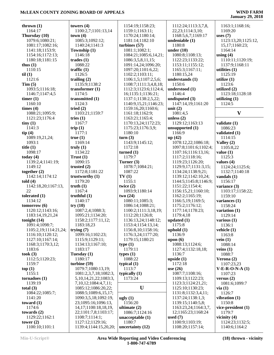| thrown $(1)$                  | towers $(4)$                       | 1154:19;1158:23;             | 1112:24;1113:3,7,8,     | 1163:1;1168:16;     |
|-------------------------------|------------------------------------|------------------------------|-------------------------|---------------------|
| 1164:17                       | 1100:2,7;1101:13,14                | 1159:1;1163:11;              | 22, 23; 1114: 3, 10;    | 1169:20             |
| Thursday (10)                 | town(4)                            | 1170:24;1180:14;             | 1168:5,6,7;1169:17      | uses $(7)$          |
| 1079:6;1080:21;               | 1085:3;1092:12;                    | 1181:14;1182:10              | undeniable (1)          | 1123:13,20;1125:12, |
| 1081:17;1082:16;              | 1140:24;1141:3                     | turbines $(57)$              | 1180:8                  | 15, 17; 1160: 23;   |
| 1141:18;1153:9;               | Township (1)                       | 1081:1:1082:1:               | under $(10)$            | 1164:14             |
|                               | 1146:18                            |                              | 1080:8;1108:13;         |                     |
| 1154:16;1172:13;              |                                    | 1084:21;1085:6,14,21;        |                         | using $(4)$         |
| 1180:18;1181:15               | trades(1)                          | 1086:3,5,8,11,15;            | 1122:23;1133:22;        | 1110:11;1120:19;    |
| thus $(1)$                    | 1088:22                            | 1091:14,24;1096:20;          | 1153:11;1155:12;        | 1137:9;1168:11      |
| 1110:15                       | traffic $(1)$                      | 1097:20;1101:6,22;           | 1165:3;1167:11;         | utilities $(1)$     |
| til(1)                        | 1126:5                             | 1102:2;1103:11;              | 1180:15,24              | 1125:19             |
| 1121:6                        | trailing $(2)$                     | 1106:1,5;1107:2,5,6;         | understands (1)         | utilize $(1)$       |
| Tim(5)                        | 1135:9;1138:2                      | 1108:7;1111:3,4,8,18;        | 1150:6                  | 1123:6              |
| 1093:5;1116:18;               | transformer $(1)$                  | 1112:3;1123:6;1124:4,        | understood (1)          | utilized $(2)$      |
| 1146:7;1147:4,5               | 1174:5                             | 16;1135:1;1136:21;           | 1146:4                  | 1123:18;1128:18     |
| timer $(1)$                   | transmitted (1)                    | 1137:1;1138:2,5,22;          | undisputed (3)          | utilizing $(1)$     |
| 1160:10                       | 1124:3                             | 1140:9,15,21;1146:23;        | 1147:14,19;1161:20      | 1124:5              |
| times $(4)$                   | tried $(2)$                        | 1159:16,20;1160:6;           | unit $(2)$              |                     |
| 1088:21;1095:9;               | 1103:21;1159:7                     | 1161:18;1162:9;              | 1081:4,5                | $\mathbf{V}$        |
| 1121:23;1176:4                | tries $(1)$                        | 1163:21;1165:4;              | unless $(2)$            |                     |
| tiny(1)                       | 1167:7                             | 1170:13,24;1172:23;          | 1129:12;1163:13         | validate (1)        |
| 1141:3                        | trip $(1)$                         | 1175:23;1176:3,9;            | unsupported $(1)$       | 1086:23             |
| tip(4)                        | 1177:1                             | 1180:10                      | 1166:9                  | validated (1)       |
| 1089:19,21,24;                | true(1)                            | turn(3)                      | up(42)                  | 1114:15             |
| 1093:1                        | 1169:14                            | 1143:9;1145:12;              | 1078:12,22;1086:18;     | Valley (2)          |
| title $(1)$                   | truly $(1)$                        | 1172:18                      |                         | 1105:8,22           |
|                               |                                    |                              | 1097:8;1101:6;1102:4;   |                     |
| 1098:17                       | 1134:22                            | turned $(1)$                 | 1107:16;1116:13,16;     | value $(1)$         |
| today $(4)$                   | Trust(1)                           | 1179:7                       | 1117:2;1118:16;         | 1125:3              |
| 1139:2,4;1141:19;             | 1090:15                            | Turner (3)                   | 1119:23;1126:20;        | values $(4)$        |
| 1149:12                       | trusted $(2)$                      | 1078:7;1084:21;              | 1129:9,17;1131:3,15;    | 1124:24;1125:6;     |
| together $(2)$                | 1172:8;1181:22                     | 1087:22                      | 1134:24;1138:9,21;      | 1132:7;1140:18      |
| 1142:14;1174:12               | trustworthy (1)                    | TV(1)                        | 1139:12;1142:10,24;     | vandals $(1)$       |
| told $(4)$                    | 1179:20                            | 1155:1                       | 1144:5;1145:8;1146:9;   | 1156:17             |
| 1142:18,20;1167:13,           | truth(1)                           | twice $(2)$                  | 1151:22;1154:4;         | variance $(3)$      |
| 22                            | 1167:4                             | 1093:9;1180:14               | 1156:15,21;1160:10;     | 1103:17;1158:22;    |
| tolerated $(1)$               | truthful $(1)$                     | two(24)                      | 1162:2;1165:19;         | 1159:10             |
| 1134:12                       | 1140:17                            | 1080:11;1085:3;              | 1166:5,19;1169:5;       | variances $(1)$     |
| tomorrow(6)                   | try(10)                            | 1086:14;1088:21;             | 1175:2;1176:12;         | 1158:24             |
| 1120:12;1143:16;              | 1087:2,4;1088:3;                   | 1100:2;1111:3,18,19;         | 1177:14;1178:23;        | variation (1)       |
| 1183:14,19,21,24              | 1095:21;1134:20;                   | 1112:20;1126:8;              | 1179:4,18               | 1129:14             |
| tonight $(14)$                | 1158:2;1177:11,12;                 | 1136:13,24;1148:12;          |                         |                     |
| 1091:4;1098:7;                |                                    |                              |                         |                     |
|                               |                                    |                              | updated $(1)$<br>1175:8 | various $(1)$       |
|                               | 1183:18,23                         | 1153:4;1154:13,14;           |                         | 1136:1              |
| 1105:2,19;1114:21,24;         | trying $(7)$                       | 1156:8,10;1158:16;           | uphold $(1)$            | vehicle (1)         |
| 1116:10;1120:12;              | 1099:16;1102:23;                   | 1176:3,24;1177:20;           | 1136:9                  | 1163:8              |
| 1127:10;1167:14;              | 1115:9;1129:11;                    | 1179:15;1180:21              | upon $(6)$              | vein $(1)$          |
| 1168:3;1170:3,12;             | 1134:13;1167:10;                   | type(1)                      | 1088:13;1124:6;         | 1088:14             |
| 1183:6                        | 1183:17                            | 1179:11                      | 1127:4;1132:18,18;      | veins $(1)$         |
| took $(3)$                    | Tuesday (1)                        | types $(1)$                  | 1136:7                  | 1088:7              |
| 1112:5;1120:23;               | 1180:17                            | 1088:22                      | upside $(1)$            | Verona $(2)$        |
| 1159:7                        | turbine (59)                       | typical $(1)$                | 1172:18                 | 1107:23,23          |
| top(1)                        | 1079:7;1080:13,19;                 | 1113:7                       | use $(26)$              | $V-E-R-O-N-A(1)$    |
| 1155:1                        | 1081:2,3,7,18;1082:3,              | typically $(1)$              | 1087:7;1108:16;         | 1107:23             |
| tornadoes(1)                  | 5, 10, 14, 21, 22; 1083: 3,        | 1173:24                      | 1109:13;1122:23;        | versus $(2)$        |
| 1139:19                       | 7, 10, 12; 1084: 4, 7, 11;         |                              | 1123:3;1124:21,21;      | 1081:6;1099:7       |
| total $(3)$                   | 1085:12;1086:20,22;                | U                            | 1125:10;1130:23;        | via(1)              |
| 1084:22;1085:7;               | 1088:5;1089:6,15,17;               |                              | 1131:8;1132:3,4,11;     | 1126:7              |
| 1141:20                       | 1090:3,5,18;1092:19,               | ugly(1)                      | 1137:24;1138:1,3;       | vibration $(1)$     |
| toward $(1)$                  | 23;1095:16;1096:13,                | 1156:20                      | 1139:15;1140:5,8;       | 1150:8              |
| 1174:6                        | 14, 17; 1100: 18, 18, 19,          | ultimate $(2)$               | 1163:23,24;1164:3,7,    | vice-president (1)  |
| towards $(2)$                 | 22;1101:7,8;1103:17;               | 1086:7;1124:16               | 12;1165:23;1168:24      | 1179:7              |
|                               |                                    |                              | used $(7)$              | vicinity $(4)$      |
| 1129:22;1162:1<br>tower $(2)$ | 1108:7;1114:1;<br>1127:12;1129:16; | unacceptable $(1)$<br>1180:7 | 1100:9;1103:19;         | 1124:23;1132:5;     |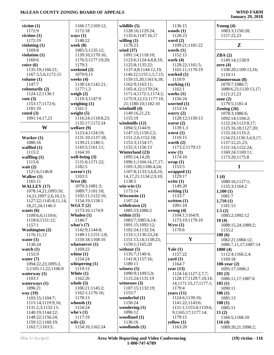| victim $(1)$          | 1166:17;1169:12;   | wildlife $(5)$              | 1136:15                 | Young $(4)$            |
|-----------------------|--------------------|-----------------------------|-------------------------|------------------------|
| 1172:9                | 1172:18            | 1128:16;1129:24;            | woods $(1)$             | 1083:3;1150:20;        |
| victims $(1)$         | ways $(1)$         | 1135:6;1147:16,17           | 1128:23                 | 1157:22,23             |
| 1172:19               | 1148:22            | willing $(1)$               | word $(2)$              |                        |
| violating $(1)$       | week $(8)$         | 1178:23                     | 1109:21;1181:22         | $\mathbf{Z}$           |
| 1169:8                | 1085:5;1135:12;    | wind $(37)$                 | words $(1)$             |                        |
| violation $(1)$       | 1139:10;1170:16;   | 1091:14;1118:10;            | 1152:15                 | ZBA(2)                 |
| 1169:6                | 1176:5;1177:19,20; | 1123:6;1124:4,8,8,16;       | work $(4)$              | 1149:14;1158:9         |
| voice $(6)$           | 1179:3             | 1125:8;1135:22;             | 1128:22;1161:5;         | zero $(4)$             |
| 1135:19;1166:21;      | weekend (2)        | 1137:4,8;1144:12,19;        | 1165:11;1170:19         | 1108:20;1109:13,16;    |
| 1167:3,5,6;1172:15    | 1079:9,11          | 1146:22;1155:1,5,7,15;      | worked $(1)$            | 1110:11                |
| volume $(1)$          | weeks $(4)$        | 1159:15,20;1161:6,18;       | 1110:9                  | Zimmerman (8)          |
| 1147:7                | 1138:14;1142:21;   | 1162:9;1163:11;             | working $(1)$           | 1078:7;1086:7;         |
| voluntarily (2)       | 1177:1,3           | 1165:4,12;1170:24;          | 1162:1                  | 1088:6,23;1120:13,17;  |
| 1124:12;1136:1        | weigh $(2)$        | 1171:4;1172:1;1174:2;       | works $(1)$             | 1121:21,23             |
| vote $(3)$            | 1119:3;1147:9      | 1175:9,12,15;1177:10,       | 1156:24                 | zone $(2)$             |
| 1153:17;1172:6;       | weighing $(1)$     | 21;1180:10;1182:10          | worried (1)             | 1179:5;1181:4          |
| 1181:10               | 1161:1             | windmill (4)                | 1153:14                 | Zoning $(26)$          |
| voted $(3)$           | weight $(5)$       | 1149:16,21,23;              | worry $(2)$             | 1078:3;1086:6;         |
| 1091:14,17,23         | 1116:24;1118:8,23; | 1155:19                     | 1128:12;1150:13         | 1092:14;1104:2;        |
|                       | 1135:17;1172:24    | windmills $(12)$            | worse $(2)$             | 1122:24;1123:8,17;     |
| W                     | welfare $(9)$      | 1094:5;1144:9;              | 1139:1,3                | 1125:16,18;1127:20;    |
|                       | 1123:4;1124:19;    | 1147:15;1150:2,5;           | worst $(1)$             | 1132:24;1133:2;        |
| Wacker $(1)$          | 1131:10;1137:18;   | 1151:2,6;1152:18;           | 1110:15                 | 1134:23;1136:3,4,9,17; |
| 1080:16               | 1139:21;1140:1;    | 1153:3;1154:17;             | worth $(2)$             | 1137:12,21,23;         |
| waffled $(1)$         | 1143:5;1161:11;    | 1155:3;1156:13              | 1173:2;1179:13          | 1151:14;1152:24;       |
| 1115:2                | 1164:10            | Winterland (23)             | wow(1)                  | 1160:24;1169:11;       |
| waffling $(1)$        | well-being $(3)$   | 1095:14,14,20;              | 1174:10                 | 1173:20;1175:8         |
| 1115:6                | 1131:6;1171:22;    | 1096:1;1104:14,17,17;       | wrap(1)                 |                        |
| wait $(2)$            | 1182:5             | 1105:3,20;1106:4,24;        | 1153:5                  | 1                      |
| 1121:6;1146:8         | weren't $(1)$      | 1107:8;1133:5,6,8,10,       | wrapped $(1)$           |                        |
| Walker $(1)$          | 1103:3             | 14, 17, 21; 1134: 2, 9, 10; | 1129:17                 | 1(4)                   |
| 1165:11               | West $(8)$         | 1138:5                      | write $(1)$             |                        |
|                       | 1079:3;1081:3;     | $win\text{-}win(1)$         | 1149:20                 | 1080:16;1127:1;        |
| WALLEY (17)           |                    | 1173:14                     |                         | 1135:3;1164:2          |
| 1078:14,21;1093:10,   | 1089:7;1101:10;    |                             | writing $(1)$<br>1133:7 | 1,100(1)               |
| 14,21;1097:2,6,10,13; | 1102:11;1122:16;   | Wisconsin $(1)$             |                         | 1081:7                 |
| 1127:22;1145:8,11,14, | 1154:19;1158:1     | 1107:24                     | written $(1)$           | 1,710(1)               |
| 18,21,24;1146:3       | WGLT(2)            | withdrawn $(2)$             | 1091:18                 | 1181:15                |
| wants $(6)$           | 1173:16;1174:9     | 1085:23;1086:2              | wrong $(4)$             | 1.5(2)                 |
| 1109:6,6;1110:6;      | Whalen $(1)$       | within $(15)$               | 1104:1;1164:9;          | 1085:2;1092:12         |
| 1118:6;1151:12;       | 1146:7             | 1083:7;1085:6,14;           | 1173:19;1179:10         | 10(4)                  |
| 1157:1                | what's $(7)$       | 1091:15;1092:12;            | Wyss(1)                 | 1088:15,24;1089:2;     |
| <b>Washington (2)</b> | 1142:9;1144:8;     | 1102:24;1132:24;            | 1170:6                  | 1155:2                 |
| 1176:11,13            | 1148:11;1151:1,8;  | 1133:1;1136:23,24;          |                         | 100(6)                 |
| waste $(1)$           | 1159:18;1168:10    | 1151:13,14;1158:23;         | $\mathbf{Y}$            | 1082:21;1084:12;       |
| 1130:24               | whatsoever $(1)$   | 1159:1;1165:20              |                         | 1086:7,11,17;1087:14   |
| watch $(1)$           | 1169:22            | without $(5)$               | Yale $(1)$              | 1000(4)                |
| 1155:9                | whine $(1)$        | 1135:7;1140:4;              | 1157:22                 | 1112:4;1166:2,4;       |
| water $(7)$           | 1154:24            | 1141:8;1157:16;             | yard $(1)$              | 1169:18                |
| 1094:22,23;1095:2,    | whispering $(1)$   | 1180:11                     | 1164:7                  | 100-year $(2)$         |
| 5;1105:11,22;1106:9   | 1119:13            | witness $(5)$               | year $(13)$             | 1095:17;1096:2         |
| waterway $(1)$        | White $(1)$        | 1090:9;1109:5,9;            | 1124:14;1127:2,7,7;     | 101(3)                 |
| 1103:1                | 1162:20            | 1115:24;1131:19             | 1128:17;1129:7,10,14,   | 1086:11,17;1087:6      |
| waterways $(1)$       | whole $(5)$        | witnesses $(3)$             | 14;1171:15,17;1177:1;   | 105(1)                 |
| 1096:21               | 1106:21;1145:2;    | 1107:15;1132:19;            | 1179:4                  | 1090:11                |
| way (19)              | 1162:1;1176:16;    | 1153:7                      | years $(11)$            | 106(1)                 |
| 1103:15;1104:7;       | 1178:13            | wonderful (1)               | 1124:6;1139:10;         | 1085:13                |
| 1115:14;1119:9,16;    | whoosh $(1)$       | 1150:24                     | 1141:22;1143:6;         | 108(1)                 |
| 1131:2,3;1132:11;     | 1154:24            | wondering $(1)$             | 1151:1;1153:4;1159:6,   | 1085:11                |
| 1140:19;1144:22;      | who's $(1)$        | 1096:12                     | 9;1165:17;1177:14;      | 11(2)                  |
| 1148:22;1156:24;      | 1117:19            | woodland (1)                | 1179:15                 | 1166:5;1168:10         |
| 1159:12;1160:19;      | wife $(2)$         | 1136:16                     | yellow (1)              | 116(4)                 |
| 1162:7;1163:5;        | 1154:16;1162:24    | woodlands (1)               | 1163:20                 | 1089:20,21;1098:2;     |
|                       |                    |                             |                         |                        |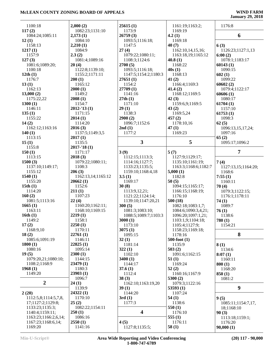| 1100:18                       | 2,000(2)                  | 25615(1)<br>1173:9          | 1161:19;1163:2;<br>1169:19 | 1176:8                  |
|-------------------------------|---------------------------|-----------------------------|----------------------------|-------------------------|
| 117(2)                        | 1082:23;1131:10           |                             | 4.2(1)                     | 6                       |
| 1084:24;1085:11               | 2,173(1)                  | 26759(3)                    | 1169:18                    |                         |
| 12(1)<br>1158:13              | 1084:10<br>2,210(1)       | 1093:5;1116:18;<br>1147:5   | 40(7)                      | 6(3)                    |
| 1217(1)                       | 1084:9                    | 27(4)                       | 1162:10,14,15,16;          | 1126:23;1127:1,13       |
| 1157:9                        | 2.3(2)                    | 1079:22;1080:11;            | 1163:18,19;1165:12         | 6:00(2)                 |
| 127(3)                        | 1081:4;1089:16            | 1108:3;1124:6               | 40.8(1)                    | 1078:1;1183:17          |
| 1081:6;1089:20;               | 20(4)                     | 2700(5)                     | 1168:22                    | 60143(1)                |
| 1100:18                       | 1122:8;1139:10;           | 1093:5;1116:18;             | 40s(1)                     | 1090:15                 |
| 12th(1)                       | 1155:2;1171:11            | 1147:5;1154:2;1180:3        | 1168:13                    | 602(1)                  |
| 1176:7                        | 200(1)                    | 27651(1)                    | 41(2)                      | 1099:22                 |
| 13(1)                         | 1165:12                   | 1154:2                      | 1166:4;1169:3              | 60602(2)                |
| 1162:13                       | 2000(1)                   | 27709 (1)                   | 41.4(2)                    | 1079:4;1122:17          |
| 13,000(2)                     | 1149:2                    | 1141:16                     | 1168:12;1169:5             | 60606(1)                |
| 1175:22,22                    | 2008(1)                   | 27th(1)                     | 42(3)                      | 1080:17                 |
| 1300(1)                       | 1154:7                    | 1171:10                     | 1159:6,9;1169:5            | 61704(1)                |
| 1146:11                       | $2012 - 13(1)$            | 29(1)                       | 43(2)                      | 1157:10                 |
| 135(1)                        | 1171:15                   | 1138:3                      | 1169:5,24                  | 61753(1)                |
| 1155:22                       | 2014(1)                   | 2900(2)                     | 457(2)                     | 1098:3                  |
| 14(2)                         | 1114:20                   | 1096:7;1152:6               | 1178:10,16                 | 62(5)                   |
| 1162:12;1163:16               | 2016(3)                   | 2nd(1)                      | 47(1)                      | 1096:13,15,17,24;       |
| 140(1)                        | 1137:5;1149:3,5           | 1177:2                      | 1169:23                    | 1097:16                 |
| 1113:15                       | 2017(1)                   | $\mathbf{3}$                | 5                          | 65(2)                   |
| 15(1)                         | 1135:5                    |                             |                            | 1095:17;1096:2          |
| 1155:8<br>150(1)              | $2017 - 18(1)$<br>1171:17 | 3(9)                        | 5(7)                       | 7                       |
| 1113:15                       | 2018(3)                   | 1112:15;1113:3;             | 1127:9;1129:17;            |                         |
| 1500(3)                       | 1079:22;1080:11;          | 1114:16;1127:7;             | 1135:10;1161:19;           | 7(4)                    |
| 1137:10;1149:17;              | 1108:3                    | 1133:23;1135:5;             | 1163:3;1168:6;1182:7       | 1127:13,15;1164:20;     |
| 1155:12                       | 206(3)                    | 1159:10;1168:4,18           | 5,000(1)                   | 1168:6                  |
| 1540(1)                       | 1162:13,14;1165:12        | 3.5(1)                      | 1182:8                     | 7:55(1)                 |
| 1155:20                       | 20662(1)                  | 1169:17                     | 50(5)                      | 1160:11                 |
| 15th(1)                       | 1152:6                    | 30(8)                       | 1094:15;1165:17;           | 70(4)                   |
| 1114:20                       | 211(1)                    | 1113:9,12,21;               | 1166:15;1168:19;           | 1079:3;1122:15;         |
|                               |                           |                             |                            |                         |
| 160(2)                        | 1107:23                   | 1121:22;1124:14;            | 1176:10                    |                         |
| 1081:5;1113:16                | 22(4)                     | 1139:10;1147:20,21          | 500(18)                    | 1176:1;1178:11<br>74(1) |
| 1665(1)                       | 1160:20;1162:11;          | 300(5)                      | 1082:18;1083:1,7;          | 1089:7                  |
| 1163:11                       | 1168:10;1169:15           | 1081:3;1083:10;             | 1084:6;1090:3,4,21;        | 76(1)                   |
| 16th(1)                       | 2219(1)                   | 1088:5;1089:7;1103:3        | 1096:20;1097:1,21;         | 1138:6                  |
| 1149:2                        | 1158:1                    | 3000(1)                     | 1103:1,9;1104:18;          | 780(1)                  |
| 17(2)                         | 2250(1)                   | 1173:10                     | 1105:4;1127:9;             | 1154:21                 |
| 1168:9,10                     | 1170:11                   | 3075(1)                     | 1158:23;1169:18;           |                         |
| 18(2)                         | 22761(1)                  | 1095:15                     | 1178:16                    | 8                       |
| 1085:6;1091:19                | 1146:11                   | 32(1)                       | $500$ -foot $(1)$          |                         |
| 1800(1)                       | 22825(1)                  | 1181:14                     | 1135:9                     | 8(1)                    |
| 1080:16                       | 1095:14                   | 322(1)                      | 503(2)                     | 1134:6                  |
| 19(5)                         | 2300(1)                   | 1102:10                     | 1091:6;1162:15             | 8:07(1)                 |
| 1079:20,21;1080:10;           | 1144:15                   | 3400(1)                     | 51(1)                      | 1160:11                 |
| 1108:2;1168:9                 | 23479 (1)                 | 1144:17                     | 1169:24                    | 800(1)                  |
| 1968(1)                       | 1180:3                    | 37.6(1)                     | 52(2)                      | 1168:20                 |
| 1149:20                       | 23903(1)                  | 1112:4                      | 1160:16;1167:9             | 850(1)                  |
| $\overline{2}$                | 1096:7<br>24(1)           | 38(3)<br>1162:10;1163:19,20 | 5300(2)<br>1079:3;1122:16  | 1081:2                  |
|                               | 1139:9                    | 39(1)                       | 53593(1)                   | 9                       |
| 2(20)                         | 24322(1)                  | 1144:20                     | 1107:24                    |                         |
| 1112:5,8;1114:5,7,8,          | 1170:10                   | 3rd(1)                      | 54(1)                      | 9(5)                    |
| 17;1127:2;1129:8;             | 25(2)                     | 1177:3                      | 1138:6                     | 1085:11;1154:7,17,      |
| 1133:23;1135:3;               | 1082:22;1154:11           |                             | 550(1)                     | 18;1168:10              |
| 1140:4;1159:11;               | 250(1)                    | $\overline{\mathbf{4}}$     | 1176:10                    | 90(3)                   |
| 1163:23;1166:2,6,14;          | 1086:16                   |                             | 555 $(1)$                  | 1113:18;1159:1;         |
| 1167:23;1168:6,14;<br>1169:20 | 2550(1)<br>1141:16        | 4(5)<br>1127:8;1135:5;      | 1176:11<br>58(1)           | 1176:20<br>90,000(1)    |